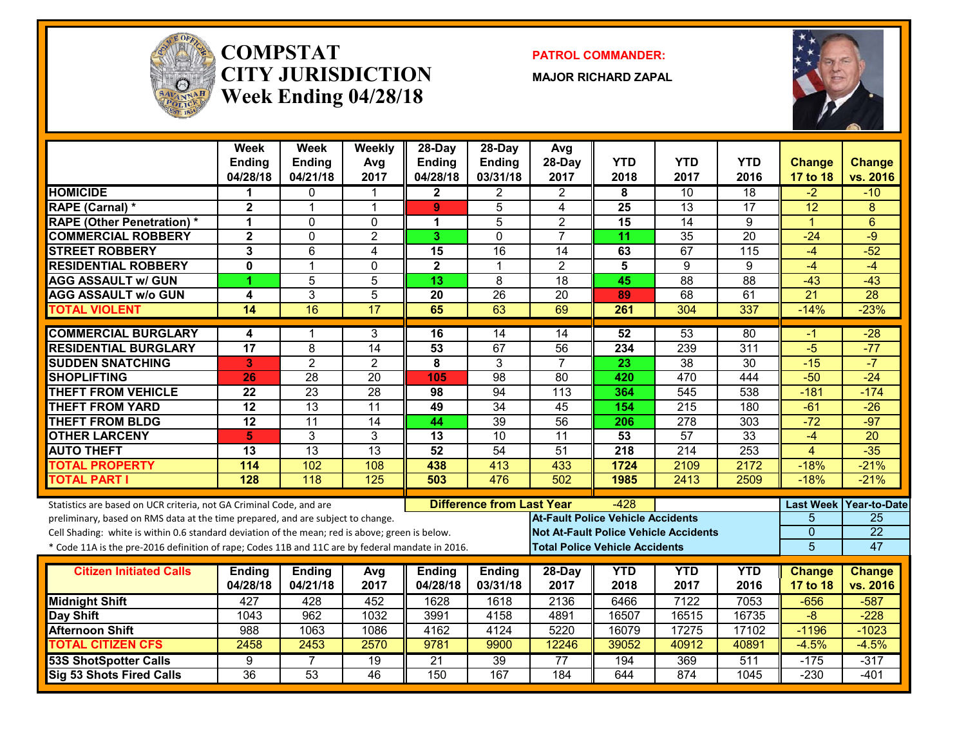

#### **COMPSTATCITY JURISDICTIONWeek Ending 04/28/18**

**PATROL COMMANDER:**

**MAJOR RICHARD ZAPAL**



|                                                                                                  | Week<br><b>Ending</b><br>04/28/18 | Week<br><b>Ending</b><br>04/21/18 | Weekly<br>Avg<br>2017 | 28-Day<br>Ending<br>04/28/18 | $28-Dav$<br><b>Ending</b><br>03/31/18 | Avg<br>28-Day<br>2017                        | <b>YTD</b><br>2018                    | <b>YTD</b><br>2017 | <b>YTD</b><br>2016 | <b>Change</b><br>17 to 18 | Change<br>vs. 2016 |
|--------------------------------------------------------------------------------------------------|-----------------------------------|-----------------------------------|-----------------------|------------------------------|---------------------------------------|----------------------------------------------|---------------------------------------|--------------------|--------------------|---------------------------|--------------------|
| <b>HOMICIDE</b>                                                                                  | 1                                 | $\mathbf{0}$                      | 1                     | $\mathbf{2}$                 | $\mathbf{2}$                          | $\overline{2}$                               | 8                                     | $\overline{10}$    | $\overline{18}$    | $-2$                      | $-10$              |
| <b>RAPE (Carnal) *</b>                                                                           | $\overline{2}$                    | $\overline{1}$                    | $\mathbf{1}$          | 9                            | 5                                     | 4                                            | 25                                    | $\overline{13}$    | 17                 | 12                        | 8                  |
| <b>RAPE (Other Penetration)*</b>                                                                 | 1                                 | $\mathbf{0}$                      | $\Omega$              | 1                            | 5                                     | $\overline{2}$                               | 15                                    | 14                 | 9                  | $\blacktriangleleft$      | 6                  |
| <b>COMMERCIAL ROBBERY</b>                                                                        | $\mathbf{2}$                      | $\mathbf{0}$                      | $\overline{2}$        | 3                            | $\Omega$                              | $\overline{7}$                               | 11                                    | 35                 | $\overline{20}$    | $-24$                     | $-9$               |
| <b>STREET ROBBERY</b>                                                                            | 3                                 | 6                                 | 4                     | 15                           | $\overline{16}$                       | 14                                           | 63                                    | 67                 | $\overline{115}$   | $-4$                      | $-52$              |
| <b>RESIDENTIAL ROBBERY</b>                                                                       | $\mathbf{0}$                      | $\overline{1}$                    | $\Omega$              | $\overline{\mathbf{2}}$      | $\overline{1}$                        | $\overline{2}$                               | 5                                     | 9                  | 9                  | $-4$                      | $-4$               |
| <b>AGG ASSAULT w/ GUN</b>                                                                        | 4                                 | 5                                 | $\overline{5}$        | 13                           | 8                                     | $\overline{18}$                              | 45                                    | $\overline{88}$    | 88                 | $-43$                     | $-43$              |
| <b>AGG ASSAULT w/o GUN</b>                                                                       | 4                                 | $\overline{3}$                    | $\overline{5}$        | $\overline{20}$              | 26                                    | $\overline{20}$                              | 89                                    | 68                 | 61                 | $\overline{21}$           | 28                 |
| <b>TOTAL VIOLENT</b>                                                                             | 14                                | 16                                | $\overline{17}$       | 65                           | 63                                    | 69                                           | 261                                   | 304                | 337                | $-14%$                    | $-23%$             |
| <b>COMMERCIAL BURGLARY</b>                                                                       | 4                                 | 1                                 | 3                     | 16                           | 14                                    | 14                                           | 52                                    | 53                 | 80                 | $-1$                      | $-28$              |
| <b>RESIDENTIAL BURGLARY</b>                                                                      | $\overline{17}$                   | 8                                 | 14                    | 53                           | 67                                    | $\overline{56}$                              | 234                                   | 239                | $\overline{311}$   | $-5$                      | $-77$              |
| <b>SUDDEN SNATCHING</b>                                                                          | 3                                 | $\overline{2}$                    | $\overline{2}$        | 8                            | $\overline{3}$                        | $\overline{7}$                               | $\overline{23}$                       | $\overline{38}$    | $\overline{30}$    | $-15$                     | $-7$               |
| <b>SHOPLIFTING</b>                                                                               | 26                                | 28                                | $\overline{20}$       | 105                          | 98                                    | $\overline{80}$                              | 420                                   | 470                | 444                | $-50$                     | $-24$              |
| <b>THEFT FROM VEHICLE</b>                                                                        | $\overline{22}$                   | $\overline{23}$                   | 28                    | 98                           | 94                                    | $\overline{113}$                             | 364                                   | $\overline{545}$   | 538                | $-181$                    | $-174$             |
| <b>THEFT FROM YARD</b>                                                                           | $\overline{12}$                   | $\overline{13}$                   | 11                    | 49                           | 34                                    | 45                                           | 154                                   | $\overline{215}$   | 180                | $-61$                     | $-26$              |
| <b>THEFT FROM BLDG</b>                                                                           | $\overline{12}$                   | 11                                | $\overline{14}$       | 44                           | $\overline{39}$                       | 56                                           | 206                                   | $\overline{278}$   | $\overline{303}$   | $-72$                     | $-97$              |
| <b>OTHER LARCENY</b>                                                                             | 5                                 | 3                                 | 3                     | 13                           | $\overline{10}$                       | $\overline{11}$                              | 53                                    | 57                 | $\overline{33}$    | $-4$                      | $\overline{20}$    |
| <b>AUTO THEFT</b>                                                                                | 13                                | 13                                | 13                    | 52                           | 54                                    | 51                                           | 218                                   | 214                | 253                | 4                         | $-35$              |
| <b>TOTAL PROPERTY</b>                                                                            | 114                               | 102                               | 108                   | 438                          | 413                                   | 433                                          | 1724                                  | 2109               | 2172               | $-18%$                    | $-21%$             |
| <b>TOTAL PART I</b>                                                                              | 128                               | 118                               | 125                   | 503                          | 476                                   | 502                                          | 1985                                  | 2413               | 2509               | $-18%$                    | $-21%$             |
| Statistics are based on UCR criteria, not GA Criminal Code, and are                              |                                   |                                   |                       |                              | <b>Difference from Last Year</b>      |                                              | $-428$                                |                    |                    | <b>Last Week</b>          | Year-to-Date       |
| preliminary, based on RMS data at the time prepared, and are subject to change.                  |                                   |                                   |                       |                              |                                       | <b>At-Fault Police Vehicle Accidents</b>     |                                       |                    |                    | 5                         | $\overline{25}$    |
| Cell Shading: white is within 0.6 standard deviation of the mean; red is above; green is below.  |                                   |                                   |                       |                              |                                       | <b>Not At-Fault Police Vehicle Accidents</b> |                                       |                    |                    | $\overline{0}$            | $\overline{22}$    |
| * Code 11A is the pre-2016 definition of rape; Codes 11B and 11C are by federal mandate in 2016. |                                   |                                   |                       |                              |                                       |                                              | <b>Total Police Vehicle Accidents</b> |                    |                    | 5                         | 47                 |
| <b>Citizen Initiated Calls</b>                                                                   | <b>Ending</b>                     | <b>Ending</b>                     | Avg                   | <b>Ending</b>                | <b>Ending</b>                         | 28-Day                                       | <b>YTD</b>                            | <b>YTD</b>         | <b>YTD</b>         | <b>Change</b>             | <b>Change</b>      |
|                                                                                                  | 04/28/18                          | 04/21/18                          | 2017                  | 04/28/18                     | 03/31/18                              | 2017                                         | 2018                                  | 2017               | 2016               | 17 to 18                  | vs. 2016           |
| <b>Midnight Shift</b>                                                                            | 427                               | 428                               | 452                   | 1628                         | 1618                                  | 2136                                         | 6466                                  | 7122               | 7053               | $-656$                    | $-587$             |
| Day Shift                                                                                        | 1043                              | 962                               | 1032                  | 3991                         | 4158                                  | 4891                                         | 16507                                 | 16515              | 16735              | $-8$                      | $-228$             |
| <b>Afternoon Shift</b>                                                                           | 988                               | 1063                              | 1086                  | 4162                         | 4124                                  | 5220                                         | 16079                                 | 17275              | 17102              | $-1196$                   | $-1023$            |
| <b>TOTAL CITIZEN CFS</b>                                                                         | 2458                              | 2453                              | 2570                  | 9781                         | 9900                                  | 12246                                        | 39052                                 | 40912              | 40891              | $-4.5%$                   | $-4.5%$            |
| <b>53S ShotSpotter Calls</b>                                                                     | 9                                 | 7                                 | 19                    | $\overline{21}$              | 39                                    | 77                                           | 194                                   | 369                | 511                | $-175$                    | $-317$             |
| <b>Sig 53 Shots Fired Calls</b>                                                                  | 36                                | 53                                | $\overline{46}$       | 150                          | 167                                   | 184                                          | 644                                   | 874                | 1045               | $-230$                    | $-401$             |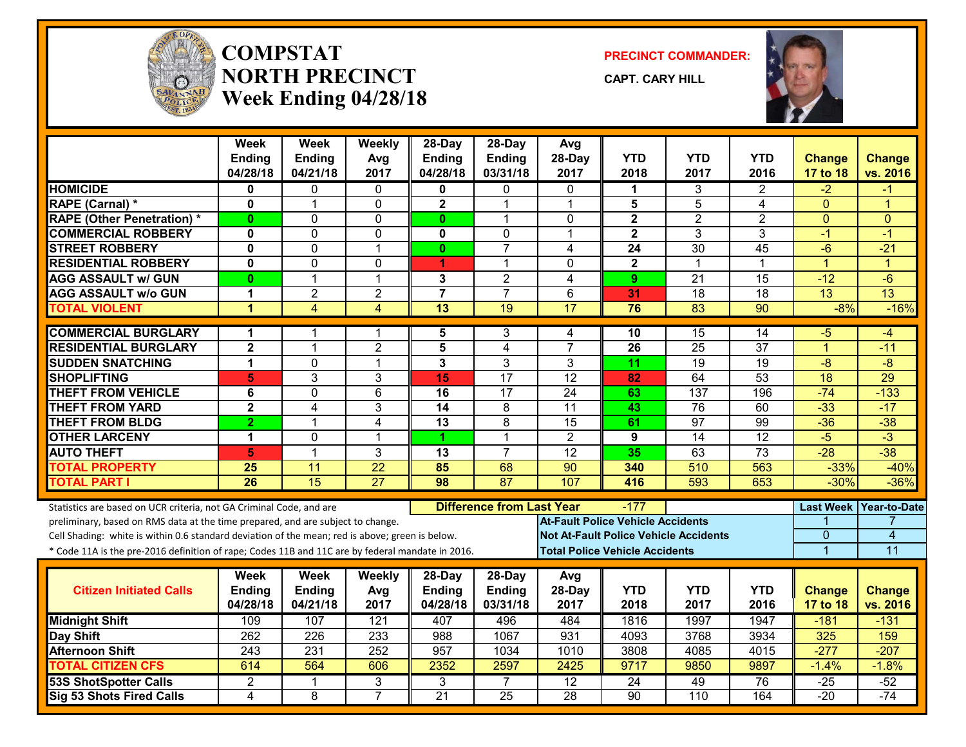

#### **COMPSTATNORTH PRECINCTWeek Ending 04/28/18**

**PRECINCT COMMANDER:**

**CAPT. CARY HILL**



|                                                                                                                                                        | Week<br><b>Ending</b><br>04/28/18 | <b>Week</b><br>Ending<br>04/21/18 | Weekly<br>Avg<br>2017 | $28-Dav$<br><b>Ending</b><br>04/28/18 | $28-Dav$<br><b>Ending</b><br>03/31/18 | Avg<br>28-Day<br>2017                    | <b>YTD</b><br>2018                    | <b>YTD</b><br>2017                           | <b>YTD</b><br>2016 | <b>Change</b><br>17 to 18 | <b>Change</b><br>vs. 2016 |
|--------------------------------------------------------------------------------------------------------------------------------------------------------|-----------------------------------|-----------------------------------|-----------------------|---------------------------------------|---------------------------------------|------------------------------------------|---------------------------------------|----------------------------------------------|--------------------|---------------------------|---------------------------|
| <b>HOMICIDE</b>                                                                                                                                        | 0                                 | 0                                 | 0                     | 0                                     | 0                                     | $\mathbf{0}$                             | 1                                     | 3                                            | 2                  | -2                        | -1                        |
| <b>RAPE (Carnal) *</b>                                                                                                                                 | $\bf{0}$                          | $\mathbf{1}$                      | $\mathbf 0$           | $\overline{\mathbf{2}}$               | 1                                     | $\mathbf 1$                              | 5                                     | $\overline{5}$                               | 4                  | $\Omega$                  | 1                         |
| <b>RAPE (Other Penetration) *</b>                                                                                                                      | $\bf{0}$                          | 0                                 | $\mathbf{0}$          | $\mathbf{0}$                          | $\mathbf 1$                           | $\mathbf{0}$                             | $\mathbf{2}$                          | $\overline{2}$                               | $\overline{2}$     | $\mathbf{0}$              | $\mathbf{0}$              |
| <b>COMMERCIAL ROBBERY</b>                                                                                                                              | $\mathbf 0$                       | 0                                 | $\mathbf{0}$          | 0                                     | $\Omega$                              | 1                                        | $\mathbf{2}$                          | 3                                            | 3                  | $-1$                      | $-1$                      |
| <b>STREET ROBBERY</b>                                                                                                                                  | $\mathbf 0$                       | $\Omega$                          | $\overline{1}$        | $\mathbf{0}$                          | $\overline{7}$                        | 4                                        | $\overline{24}$                       | 30                                           | 45                 | $-6$                      | $-21$                     |
| <b>RESIDENTIAL ROBBERY</b>                                                                                                                             | $\mathbf 0$                       | 0                                 | $\mathbf{0}$          | 4                                     | 1                                     | $\Omega$                                 | $\mathbf{2}$                          | -1                                           | $\mathbf 1$        | $\overline{1}$            | $\blacktriangleleft$      |
| <b>AGG ASSAULT w/ GUN</b>                                                                                                                              | 0                                 | $\mathbf{1}$                      | $\mathbf{1}$          | 3                                     | $\overline{2}$                        | 4                                        | 9                                     | $\overline{21}$                              | $\overline{15}$    | $-12$                     | $-6$                      |
| <b>AGG ASSAULT w/o GUN</b>                                                                                                                             | $\mathbf 1$                       | $\overline{2}$                    | $\overline{2}$        | $\overline{\mathbf{7}}$               | $\overline{7}$                        | 6                                        | 31                                    | $\overline{18}$                              | $\overline{18}$    | $\overline{13}$           | 13                        |
| <b>TOTAL VIOLENT</b>                                                                                                                                   | $\overline{1}$                    | 4                                 | $\overline{4}$        | $\overline{13}$                       | $\overline{19}$                       | 17                                       | 76                                    | 83                                           | $\overline{90}$    | $-8%$                     | $-16%$                    |
| <b>COMMERCIAL BURGLARY</b>                                                                                                                             | 1                                 | 1                                 | -1                    | 5                                     | 3                                     | 4                                        | 10                                    | 15                                           | 14                 | -5                        | -4                        |
| <b>RESIDENTIAL BURGLARY</b>                                                                                                                            | $\mathbf{2}$                      | $\mathbf{1}$                      | $\overline{2}$        | 5                                     | 4                                     | $\overline{7}$                           | 26                                    | 25                                           | 37                 | $\mathbf{1}$              | $-11$                     |
| <b>SUDDEN SNATCHING</b>                                                                                                                                | $\mathbf{1}$                      | 0                                 | $\overline{1}$        | 3                                     | 3                                     | 3                                        | 11                                    | $\overline{19}$                              | 19                 | $\overline{-8}$           | $-8$                      |
| <b>SHOPLIFTING</b>                                                                                                                                     | 5                                 | $\overline{3}$                    | 3                     | 15                                    | $\overline{17}$                       | $\overline{12}$                          | 82                                    | 64                                           | $\overline{53}$    | 18                        | 29                        |
| <b>THEFT FROM VEHICLE</b>                                                                                                                              | 6                                 | 0                                 | $6\phantom{1}$        | 16                                    | 17                                    | 24                                       | 63                                    | 137                                          | 196                | $-74$                     | $-133$                    |
| <b>THEFT FROM YARD</b>                                                                                                                                 | $\overline{2}$                    | 4                                 | 3                     | 14                                    | $\overline{8}$                        | $\overline{11}$                          | 43                                    | 76                                           | 60                 | $-33$                     | $-17$                     |
| <b>THEFT FROM BLDG</b>                                                                                                                                 | $\overline{2}$                    | 1                                 | 4                     | $\overline{13}$                       | 8                                     | $\overline{15}$                          | 61                                    | 97                                           | 99                 | $-36$                     | $-38$                     |
| <b>OTHER LARCENY</b>                                                                                                                                   | $\mathbf 1$                       | 0                                 | $\overline{1}$        | 4                                     | 1                                     | $\overline{2}$                           | 9                                     | 14                                           | 12                 | $-5$                      | $-3$                      |
| <b>AUTO THEFT</b>                                                                                                                                      | 5                                 | 1                                 | 3                     | 13                                    | $\overline{7}$                        | 12                                       | 35                                    | 63                                           | $\overline{73}$    | $-28$                     | $-38$                     |
| <b>TOTAL PROPERTY</b>                                                                                                                                  | 25                                | 11                                | $\overline{22}$       | 85                                    | 68                                    | $\overline{90}$                          | 340                                   | 510                                          | 563                | $-33%$                    | $-40%$                    |
| <b>TOTAL PART I</b>                                                                                                                                    | $\overline{26}$                   | 15                                | $\overline{27}$       | $\overline{98}$                       | 87                                    | 107                                      | 416                                   | 593                                          | 653                | $-30%$                    | $-36%$                    |
| Statistics are based on UCR criteria, not GA Criminal Code, and are<br>preliminary, based on RMS data at the time prepared, and are subject to change. |                                   |                                   |                       |                                       | <b>Difference from Last Year</b>      | <b>At-Fault Police Vehicle Accidents</b> | $-177$                                |                                              |                    | <b>Last Week</b>          | <b>Year-to-Date</b>       |
| Cell Shading: white is within 0.6 standard deviation of the mean; red is above; green is below.                                                        |                                   |                                   |                       |                                       |                                       |                                          |                                       | <b>Not At-Fault Police Vehicle Accidents</b> |                    | 0                         | 4                         |
| * Code 11A is the pre-2016 definition of rape; Codes 11B and 11C are by federal mandate in 2016.                                                       |                                   |                                   |                       |                                       |                                       |                                          | <b>Total Police Vehicle Accidents</b> |                                              |                    | $\overline{1}$            | 11                        |
|                                                                                                                                                        | Week                              | <b>Week</b>                       | Weekly                | 28-Day                                | $28-Day$                              | Avg                                      |                                       |                                              |                    |                           |                           |
| <b>Citizen Initiated Calls</b>                                                                                                                         | <b>Ending</b>                     | Ending                            | Avg                   | <b>Ending</b>                         | <b>Ending</b>                         | 28-Day                                   | <b>YTD</b>                            | <b>YTD</b>                                   | <b>YTD</b>         | <b>Change</b>             | <b>Change</b>             |
|                                                                                                                                                        | 04/28/18                          | 04/21/18                          | 2017                  | 04/28/18                              | 03/31/18                              | 2017                                     | 2018                                  | 2017                                         | 2016               | 17 to 18                  | vs. 2016                  |
| <b>Midnight Shift</b>                                                                                                                                  | 109                               | 107                               | 121                   | 407                                   | 496                                   | 484                                      | 1816                                  | 1997                                         | 1947               | $-181$                    | $-131$                    |
| Day Shift                                                                                                                                              | 262                               | 226                               | 233                   | 988                                   | 1067                                  | 931                                      | 4093                                  | 3768                                         | 3934               | 325                       | 159                       |
| <b>Afternoon Shift</b>                                                                                                                                 | 243                               | 231                               | 252                   | $\overline{957}$                      | 1034                                  | 1010                                     | 3808                                  | 4085                                         | 4015               | $-277$                    | $-207$                    |
| <b>TOTAL CITIZEN CFS</b>                                                                                                                               | 614                               | 564                               | 606                   | 2352                                  | 2597                                  | 2425                                     | 9717                                  | 9850                                         | 9897               | $-1.4%$                   | $-1.8%$                   |
| <b>53S ShotSpotter Calls</b>                                                                                                                           | $\overline{2}$                    | 1                                 | 3                     | 3                                     | 7                                     | 12                                       | 24                                    | 49                                           | 76                 | -25                       | $-52$                     |
| Sig 53 Shots Fired Calls                                                                                                                               | $\overline{\mathbf{A}}$           | $\overline{8}$                    | $\overline{7}$        | $\overline{21}$                       | $\overline{25}$                       | $\overline{28}$                          | 90                                    | $\overline{110}$                             | 164                | $-20$                     | $-74$                     |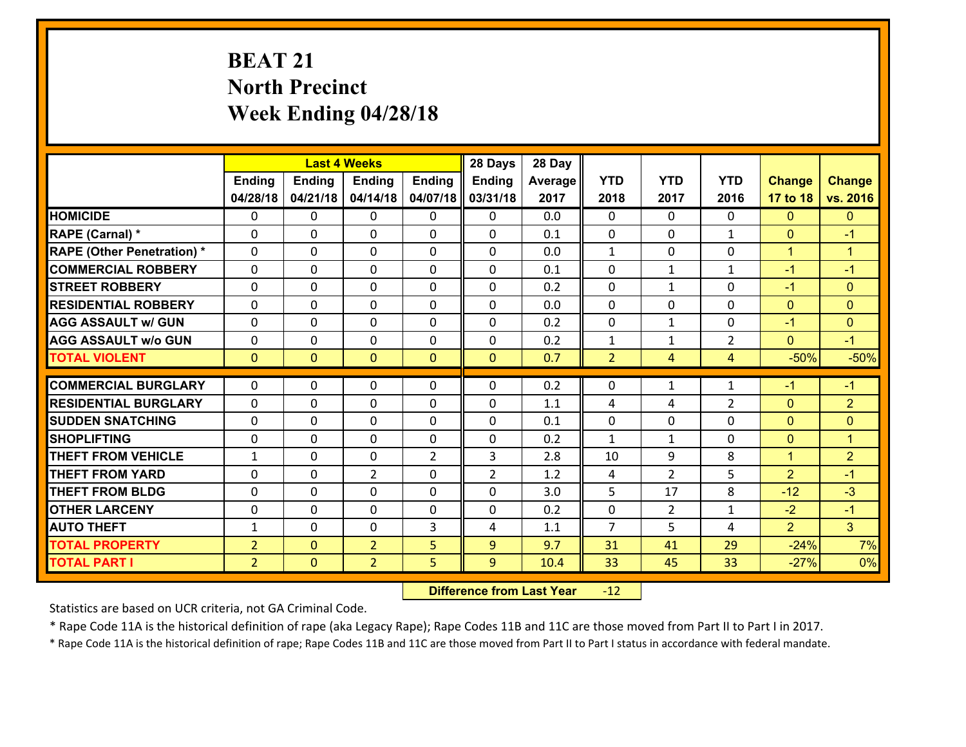# **BEAT 21 North Precinct Week Ending 04/28/18**

|                                   |                |                | <b>Last 4 Weeks</b> |                | 28 Days        | 28 Day  |                |                |                |                |                |
|-----------------------------------|----------------|----------------|---------------------|----------------|----------------|---------|----------------|----------------|----------------|----------------|----------------|
|                                   | <b>Ending</b>  | <b>Ending</b>  | <b>Ending</b>       | <b>Ending</b>  | Ending         | Average | <b>YTD</b>     | <b>YTD</b>     | <b>YTD</b>     | <b>Change</b>  | <b>Change</b>  |
|                                   | 04/28/18       | 04/21/18       | 04/14/18            | 04/07/18       | 03/31/18       | 2017    | 2018           | 2017           | 2016           | 17 to 18       | vs. 2016       |
| <b>HOMICIDE</b>                   | 0              | $\Omega$       | $\Omega$            | 0              | $\Omega$       | 0.0     | $\Omega$       | $\Omega$       | 0              | $\Omega$       | $\mathbf{0}$   |
| RAPE (Carnal) *                   | $\Omega$       | 0              | $\mathbf{0}$        | 0              | 0              | 0.1     | $\mathbf{0}$   | 0              | $\mathbf{1}$   | $\mathbf{0}$   | $-1$           |
| <b>RAPE (Other Penetration) *</b> | $\Omega$       | 0              | $\mathbf{0}$        | $\Omega$       | 0              | 0.0     | $\mathbf{1}$   | $\Omega$       | $\Omega$       | $\mathbf{1}$   | $\overline{1}$ |
| <b>COMMERCIAL ROBBERY</b>         | 0              | 0              | 0                   | $\Omega$       | $\mathbf{0}$   | 0.1     | $\mathbf{0}$   | $\mathbf{1}$   | $\mathbf{1}$   | $-1$           | $-1$           |
| <b>STREET ROBBERY</b>             | 0              | 0              | $\mathbf 0$         | 0              | 0              | 0.2     | $\mathbf 0$    | $\mathbf{1}$   | 0              | $-1$           | $\mathbf{0}$   |
| <b>RESIDENTIAL ROBBERY</b>        | $\Omega$       | $\Omega$       | $\mathbf 0$         | $\Omega$       | $\Omega$       | 0.0     | $\Omega$       | $\Omega$       | $\Omega$       | $\mathbf{0}$   | $\mathbf{0}$   |
| <b>AGG ASSAULT w/ GUN</b>         | 0              | $\Omega$       | $\mathbf 0$         | $\Omega$       | $\Omega$       | 0.2     | $\mathbf 0$    | $\mathbf{1}$   | 0              | $-1$           | $\mathbf{0}$   |
| <b>AGG ASSAULT w/o GUN</b>        | 0              | 0              | $\mathbf 0$         | 0              | 0              | 0.2     | $\mathbf{1}$   | $\mathbf{1}$   | $\overline{2}$ | $\mathbf{0}$   | $-1$           |
| <b>TOTAL VIOLENT</b>              | $\mathbf{0}$   | $\overline{0}$ | $\mathbf{0}$        | $\mathbf{0}$   | $\mathbf{0}$   | 0.7     | $\overline{2}$ | $\overline{4}$ | 4              | $-50%$         | $-50%$         |
| <b>COMMERCIAL BURGLARY</b>        | $\Omega$       | $\Omega$       | $\mathbf{0}$        | $\Omega$       | 0              | 0.2     | $\Omega$       | $\mathbf{1}$   | 1              | $-1$           | $-1$           |
| <b>RESIDENTIAL BURGLARY</b>       | 0              | 0              | $\mathbf 0$         | 0              | 0              | 1.1     | 4              | 4              | $\overline{2}$ | $\mathbf{0}$   | $\overline{2}$ |
| <b>SUDDEN SNATCHING</b>           | 0              | 0              | 0                   | $\Omega$       | 0              | 0.1     | $\mathbf 0$    | $\mathbf 0$    | 0              | $\mathbf{0}$   | $\mathbf{0}$   |
| <b>SHOPLIFTING</b>                | 0              | 0              | $\mathbf 0$         | 0              | 0              | 0.2     | $\mathbf{1}$   | $\mathbf{1}$   | 0              | $\mathbf{0}$   | $\mathbf{1}$   |
| <b>THEFT FROM VEHICLE</b>         | $\mathbf{1}$   | 0              | 0                   | $\overline{2}$ | 3              | 2.8     | 10             | 9              | 8              | $\mathbf{1}$   | $\overline{2}$ |
| <b>THEFT FROM YARD</b>            | 0              | $\mathbf 0$    | $\overline{2}$      | $\Omega$       | $\overline{2}$ | 1.2     | 4              | $\overline{2}$ | 5              | $\overline{2}$ | $-1$           |
| <b>THEFT FROM BLDG</b>            | 0              | 0              | $\mathbf 0$         | $\Omega$       | 0              | 3.0     | 5              | 17             | 8              | $-12$          | $-3$           |
| <b>OTHER LARCENY</b>              | 0              | 0              | $\mathbf 0$         | 0              | 0              | 0.2     | $\mathbf 0$    | $\overline{2}$ | $\mathbf{1}$   | $-2$           | $-1$           |
| <b>AUTO THEFT</b>                 | $\mathbf{1}$   | 0              | $\mathbf{0}$        | 3              | 4              | 1.1     | $\overline{7}$ | 5              | 4              | $\overline{2}$ | 3 <sup>1</sup> |
| <b>TOTAL PROPERTY</b>             | $\overline{2}$ | $\mathbf{O}$   | $\overline{2}$      | 5              | 9              | 9.7     | 31             | 41             | 29             | $-24%$         | 7%             |
| <b>TOTAL PART I</b>               | $\overline{2}$ | $\overline{0}$ | $\overline{2}$      | 5              | 9              | 10.4    | 33             | 45             | 33             | $-27%$         | 0%             |
|                                   |                |                |                     |                |                |         |                |                |                |                |                |

 **Difference from Last Year**r -12

Statistics are based on UCR criteria, not GA Criminal Code.

\* Rape Code 11A is the historical definition of rape (aka Legacy Rape); Rape Codes 11B and 11C are those moved from Part II to Part I in 2017.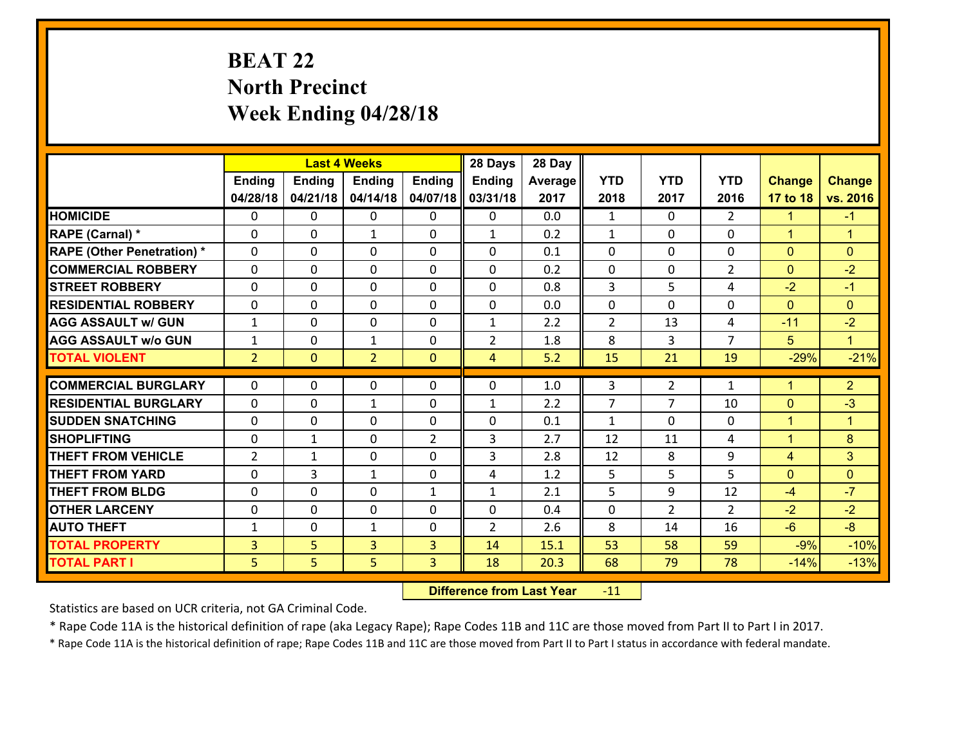# **BEAT 22 North Precinct Week Ending 04/28/18**

|                                   |                |               | <b>Last 4 Weeks</b> |                | 28 Days        | 28 Day  |                |                |                |                |                      |
|-----------------------------------|----------------|---------------|---------------------|----------------|----------------|---------|----------------|----------------|----------------|----------------|----------------------|
|                                   | Ending         | <b>Ending</b> | <b>Ending</b>       | <b>Ending</b>  | <b>Ending</b>  | Average | <b>YTD</b>     | <b>YTD</b>     | <b>YTD</b>     | <b>Change</b>  | <b>Change</b>        |
|                                   | 04/28/18       | 04/21/18      | 04/14/18            | 04/07/18       | 03/31/18       | 2017    | 2018           | 2017           | 2016           | 17 to 18       | vs. 2016             |
| <b>HOMICIDE</b>                   | $\Omega$       | 0             | 0                   | $\Omega$       | $\Omega$       | 0.0     | 1              | $\Omega$       | $\mathcal{L}$  | 1.             | $-1$                 |
| RAPE (Carnal) *                   | $\mathbf{0}$   | 0             | $\mathbf{1}$        | 0              | $\mathbf{1}$   | 0.2     | $\mathbf{1}$   | $\mathbf{0}$   | 0              | $\mathbf{1}$   | $\blacktriangleleft$ |
| <b>RAPE (Other Penetration) *</b> | $\Omega$       | 0             | $\mathbf{0}$        | $\Omega$       | $\Omega$       | 0.1     | $\Omega$       | 0              | 0              | $\mathbf{0}$   | $\Omega$             |
| <b>COMMERCIAL ROBBERY</b>         | $\mathbf{0}$   | 0             | 0                   | 0              | $\Omega$       | 0.2     | $\mathbf{0}$   | 0              | $\overline{2}$ | $\mathbf{0}$   | $-2$                 |
| <b>STREET ROBBERY</b>             | 0              | 0             | $\mathbf 0$         | 0              | 0              | 0.8     | 3              | 5              | 4              | $-2$           | $-1$                 |
| <b>RESIDENTIAL ROBBERY</b>        | $\Omega$       | $\Omega$      | $\mathbf 0$         | $\Omega$       | 0              | 0.0     | 0              | $\Omega$       | 0              | $\mathbf{0}$   | $\Omega$             |
| <b>AGG ASSAULT w/ GUN</b>         | $\mathbf{1}$   | 0             | $\mathbf 0$         | 0              | $\mathbf{1}$   | 2.2     | $\overline{2}$ | 13             | 4              | $-11$          | $-2$                 |
| <b>AGG ASSAULT w/o GUN</b>        | $\mathbf{1}$   | 0             | 1                   | $\mathbf 0$    | $\overline{2}$ | 1.8     | 8              | 3              | $\overline{7}$ | 5 <sup>5</sup> | $\mathbf{1}$         |
| <b>TOTAL VIOLENT</b>              | $\overline{2}$ | $\mathbf{0}$  | $\overline{2}$      | $\mathbf{0}$   | $\overline{4}$ | 5.2     | 15             | 21             | 19             | $-29%$         | $-21%$               |
| <b>COMMERCIAL BURGLARY</b>        | $\Omega$       | 0             | $\mathbf{0}$        | $\Omega$       | $\Omega$       | 1.0     | 3              | $\overline{2}$ | $\mathbf{1}$   | $\mathbf{1}$   | $\overline{2}$       |
| <b>RESIDENTIAL BURGLARY</b>       | 0              | 0             | $\mathbf{1}$        | 0              | $\mathbf{1}$   | 2.2     | $\overline{7}$ | $\overline{7}$ | 10             | $\mathbf{0}$   | $-3$                 |
| <b>SUDDEN SNATCHING</b>           | 0              | 0             | 0                   | 0              | 0              | 0.1     | $\mathbf{1}$   | 0              | 0              | $\mathbf{1}$   | $\overline{1}$       |
| <b>SHOPLIFTING</b>                | 0              | 1             | $\mathbf 0$         | $\overline{2}$ | 3              | 2.7     | 12             | 11             | 4              | $\mathbf{1}$   | 8                    |
| <b>THEFT FROM VEHICLE</b>         | $\overline{2}$ | $\mathbf{1}$  | $\mathbf 0$         | 0              | 3              | 2.8     | 12             | 8              | 9              | $\overline{4}$ | 3 <sup>1</sup>       |
| <b>THEFT FROM YARD</b>            | 0              | 3             | 1                   | 0              | 4              | 1.2     | 5              | 5              | 5              | $\mathbf{0}$   | $\overline{0}$       |
| <b>THEFT FROM BLDG</b>            | 0              | 0             | $\mathbf 0$         | $\mathbf{1}$   | $\mathbf{1}$   | 2.1     | 5              | 9              | 12             | $-4$           | $-7$                 |
| <b>OTHER LARCENY</b>              | 0              | 0             | $\mathbf 0$         | 0              | 0              | 0.4     | 0              | $\overline{2}$ | $\overline{2}$ | $-2$           | $-2$                 |
| <b>AUTO THEFT</b>                 | $\mathbf{1}$   | 0             | $\mathbf{1}$        | $\mathbf{0}$   | $\overline{2}$ | 2.6     | 8              | 14             | 16             | $-6$           | $-8$                 |
| <b>TOTAL PROPERTY</b>             | 3              | 5             | 3                   | 3              | 14             | 15.1    | 53             | 58             | 59             | $-9%$          | $-10%$               |
| <b>TOTAL PART I</b>               | 5              | 5             | 5                   | 3              | 18             | 20.3    | 68             | 79             | 78             | $-14%$         | $-13%$               |

 **Difference from Last Year**r -11

Statistics are based on UCR criteria, not GA Criminal Code.

\* Rape Code 11A is the historical definition of rape (aka Legacy Rape); Rape Codes 11B and 11C are those moved from Part II to Part I in 2017.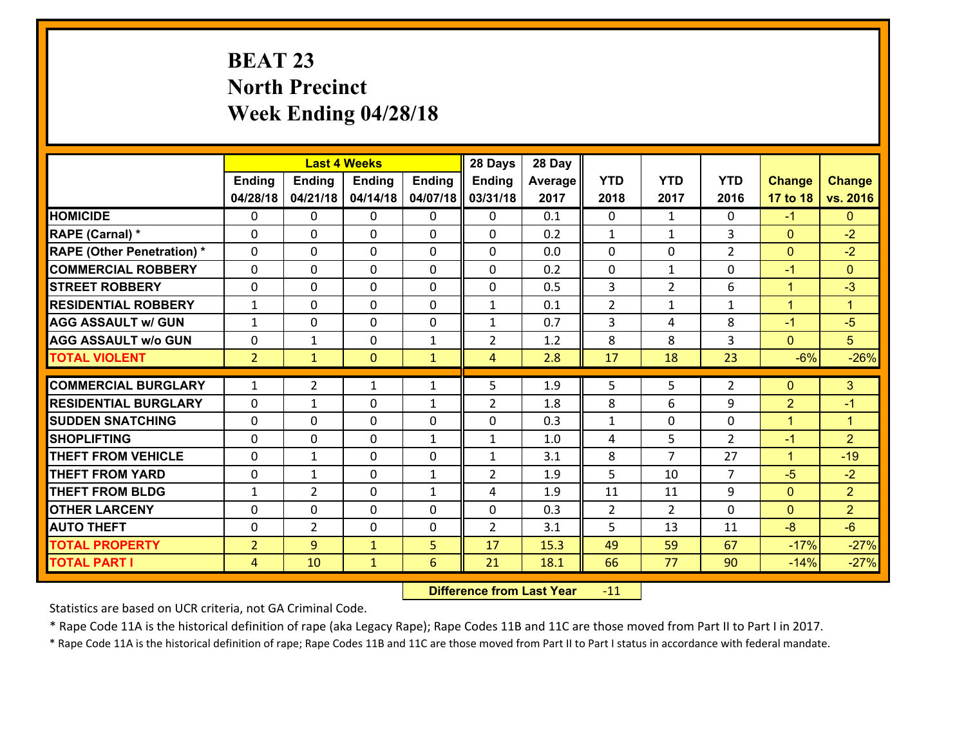# **BEAT 23 North Precinct Week Ending 04/28/18**

|                                   |                |                | <b>Last 4 Weeks</b> |               | 28 Days        | 28 Day  |                |                |                |                |                      |
|-----------------------------------|----------------|----------------|---------------------|---------------|----------------|---------|----------------|----------------|----------------|----------------|----------------------|
|                                   | <b>Ending</b>  | <b>Ending</b>  | <b>Ending</b>       | <b>Ending</b> | <b>Ending</b>  | Average | <b>YTD</b>     | <b>YTD</b>     | <b>YTD</b>     | <b>Change</b>  | <b>Change</b>        |
|                                   | 04/28/18       | 04/21/18       | 04/14/18            | 04/07/18      | 03/31/18       | 2017    | 2018           | 2017           | 2016           | 17 to 18       | vs. 2016             |
| <b>HOMICIDE</b>                   | 0              | $\Omega$       | $\Omega$            | 0             | $\Omega$       | 0.1     | $\Omega$       | $\mathbf{1}$   | 0              | $-1$           | $\Omega$             |
| RAPE (Carnal) *                   | 0              | 0              | $\mathbf{0}$        | 0             | 0              | 0.2     | $\mathbf{1}$   | $\mathbf{1}$   | 3              | $\mathbf{0}$   | $-2$                 |
| <b>RAPE (Other Penetration) *</b> | $\Omega$       | 0              | $\mathbf{0}$        | $\Omega$      | 0              | 0.0     | $\Omega$       | $\Omega$       | $\overline{2}$ | $\mathbf{0}$   | $-2$                 |
| <b>COMMERCIAL ROBBERY</b>         | 0              | 0              | 0                   | $\Omega$      | $\mathbf{0}$   | 0.2     | $\mathbf{0}$   | $\mathbf{1}$   | $\Omega$       | $-1$           | $\mathbf{0}$         |
| <b>STREET ROBBERY</b>             | 0              | 0              | $\mathbf 0$         | 0             | 0              | 0.5     | 3              | $\overline{2}$ | 6              | $\mathbf{1}$   | $-3$                 |
| <b>RESIDENTIAL ROBBERY</b>        | $\mathbf{1}$   | $\Omega$       | $\mathbf 0$         | $\Omega$      | $\mathbf{1}$   | 0.1     | $\overline{2}$ | $\mathbf{1}$   | $\mathbf{1}$   | $\mathbf{1}$   | $\blacktriangleleft$ |
| <b>AGG ASSAULT w/ GUN</b>         | $\mathbf{1}$   | 0              | $\mathbf 0$         | 0             | $\mathbf{1}$   | 0.7     | 3              | 4              | 8              | $-1$           | $-5$                 |
| <b>AGG ASSAULT w/o GUN</b>        | 0              | $\mathbf{1}$   | $\mathbf 0$         | $\mathbf{1}$  | $\overline{2}$ | 1.2     | 8              | 8              | 3              | $\mathbf{0}$   | 5 <sup>5</sup>       |
| <b>TOTAL VIOLENT</b>              | $\overline{2}$ | $\mathbf{1}$   | $\mathbf{0}$        | $\mathbf{1}$  | 4              | 2.8     | 17             | 18             | 23             | $-6%$          | $-26%$               |
| <b>COMMERCIAL BURGLARY</b>        | $\mathbf{1}$   | $\overline{2}$ | 1                   | $\mathbf{1}$  | 5              | 1.9     | 5              | 5.             | $\overline{2}$ | $\mathbf{0}$   | 3                    |
| <b>RESIDENTIAL BURGLARY</b>       | 0              | $\mathbf{1}$   | 0                   | $\mathbf{1}$  | $\overline{2}$ | 1.8     | 8              | 6              | 9              | $\overline{2}$ | $-1$                 |
| <b>SUDDEN SNATCHING</b>           | 0              | 0              | 0                   | $\Omega$      | 0              | 0.3     | $\mathbf{1}$   | $\mathbf 0$    | 0              | $\mathbf{1}$   | $\mathbf{1}$         |
| <b>SHOPLIFTING</b>                | 0              | 0              | $\mathbf 0$         | $\mathbf{1}$  | $\mathbf{1}$   | 1.0     | 4              | 5              | $\overline{2}$ | $-1$           | $\overline{2}$       |
| <b>THEFT FROM VEHICLE</b>         | 0              | $\mathbf{1}$   | 0                   | $\Omega$      | $\mathbf{1}$   | 3.1     | 8              | $\overline{7}$ | 27             | $\mathbf{1}$   | $-19$                |
| <b>THEFT FROM YARD</b>            | 0              | $\mathbf{1}$   | $\mathbf 0$         | $\mathbf{1}$  | $\overline{2}$ | 1.9     | 5              | 10             | $\overline{7}$ | $-5$           | $-2$                 |
| <b>THEFT FROM BLDG</b>            | $\mathbf{1}$   | $\overline{2}$ | $\mathbf 0$         | $\mathbf{1}$  | 4              | 1.9     | 11             | 11             | 9              | $\mathbf{0}$   | $\overline{2}$       |
| <b>OTHER LARCENY</b>              | 0              | 0              | $\mathbf 0$         | 0             | 0              | 0.3     | $\overline{2}$ | $\overline{2}$ | $\Omega$       | $\mathbf{0}$   | $\overline{2}$       |
| <b>AUTO THEFT</b>                 | $\Omega$       | $\overline{2}$ | $\mathbf{0}$        | $\Omega$      | $\overline{2}$ | 3.1     | 5              | 13             | 11             | $-8$           | $-6$                 |
| <b>TOTAL PROPERTY</b>             | $\overline{2}$ | 9              | $\mathbf{1}$        | 5             | 17             | 15.3    | 49             | 59             | 67             | $-17%$         | $-27%$               |
| <b>TOTAL PART I</b>               | $\overline{4}$ | 10             | $\mathbf{1}$        | 6             | 21             | 18.1    | 66             | 77             | 90             | $-14%$         | $-27%$               |
|                                   |                |                |                     |               |                |         |                |                |                |                |                      |

 **Difference from Last Year**r -11

Statistics are based on UCR criteria, not GA Criminal Code.

\* Rape Code 11A is the historical definition of rape (aka Legacy Rape); Rape Codes 11B and 11C are those moved from Part II to Part I in 2017.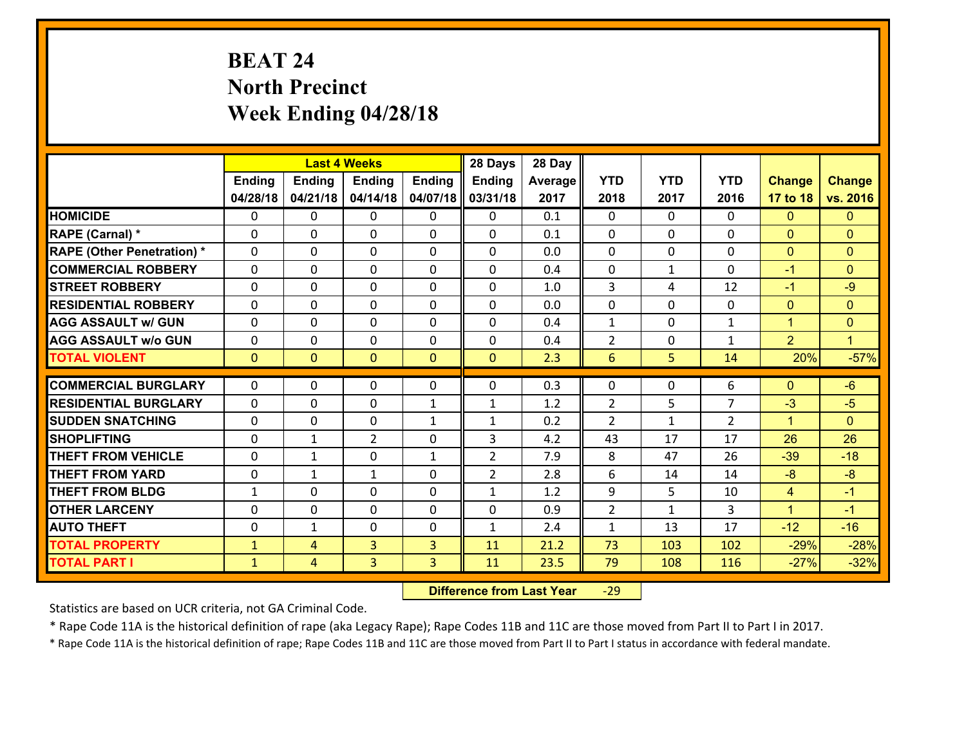# **BEAT 24 North Precinct Week Ending 04/28/18**

|                                   |               |                | <b>Last 4 Weeks</b> |               | 28 Days        | 28 Day  |                |              |                |                |                |
|-----------------------------------|---------------|----------------|---------------------|---------------|----------------|---------|----------------|--------------|----------------|----------------|----------------|
|                                   | <b>Ending</b> | <b>Ending</b>  | <b>Ending</b>       | <b>Ending</b> | <b>Ending</b>  | Average | <b>YTD</b>     | <b>YTD</b>   | <b>YTD</b>     | <b>Change</b>  | <b>Change</b>  |
|                                   | 04/28/18      | 04/21/18       | 04/14/18            | 04/07/18      | 03/31/18       | 2017    | 2018           | 2017         | 2016           | 17 to 18       | vs. 2016       |
| <b>HOMICIDE</b>                   | $\Omega$      | 0              | $\Omega$            | $\Omega$      | $\Omega$       | 0.1     | $\Omega$       | $\Omega$     | 0              | $\Omega$       | $\mathbf{0}$   |
| RAPE (Carnal) *                   | 0             | 0              | $\mathbf{0}$        | 0             | $\Omega$       | 0.1     | $\mathbf{0}$   | 0            | $\Omega$       | $\mathbf{0}$   | $\mathbf{0}$   |
| <b>RAPE (Other Penetration) *</b> | $\Omega$      | 0              | $\mathbf{0}$        | $\Omega$      | $\Omega$       | 0.0     | $\Omega$       | $\Omega$     | $\Omega$       | $\mathbf{0}$   | $\mathbf{0}$   |
| <b>COMMERCIAL ROBBERY</b>         | 0             | 0              | 0                   | 0             | 0              | 0.4     | $\mathbf{0}$   | $\mathbf{1}$ | $\Omega$       | $-1$           | $\mathbf{0}$   |
| <b>STREET ROBBERY</b>             | $\Omega$      | 0              | $\mathbf 0$         | 0             | 0              | 1.0     | $\overline{3}$ | 4            | 12             | $-1$           | $-9$           |
| <b>RESIDENTIAL ROBBERY</b>        | $\Omega$      | $\Omega$       | $\mathbf 0$         | $\Omega$      | 0              | 0.0     | $\mathbf 0$    | $\Omega$     | $\Omega$       | $\mathbf{0}$   | $\mathbf{0}$   |
| <b>AGG ASSAULT w/ GUN</b>         | $\Omega$      | 0              | $\mathbf 0$         | $\Omega$      | 0              | 0.4     | $\mathbf 1$    | $\mathbf 0$  | $\mathbf{1}$   | $\mathbf{1}$   | $\overline{0}$ |
| <b>AGG ASSAULT w/o GUN</b>        | 0             | 0              | $\mathbf 0$         | 0             | 0              | 0.4     | $\overline{2}$ | $\mathbf 0$  | $\mathbf{1}$   | $\overline{2}$ | $\mathbf{1}$   |
| <b>TOTAL VIOLENT</b>              | $\mathbf{0}$  | $\overline{0}$ | $\mathbf{O}$        | $\mathbf{0}$  | $\mathbf{0}$   | 2.3     | $6\phantom{1}$ | 5            | 14             | 20%            | $-57%$         |
| <b>COMMERCIAL BURGLARY</b>        | $\Omega$      | 0              | $\mathbf{0}$        | $\Omega$      | $\Omega$       | 0.3     | $\Omega$       | $\Omega$     | 6              | $\mathbf{0}$   | $-6$           |
| <b>RESIDENTIAL BURGLARY</b>       | 0             | 0              | $\mathbf 0$         | $\mathbf{1}$  | $\mathbf{1}$   | 1.2     | $\overline{2}$ | 5            | $\overline{7}$ | $-3$           | $-5$           |
| <b>SUDDEN SNATCHING</b>           | 0             | 0              | $\mathbf 0$         | $\mathbf{1}$  | $\mathbf{1}$   | 0.2     | 2              | $\mathbf{1}$ | $\overline{2}$ | $\mathbf{1}$   | $\mathbf{0}$   |
| <b>SHOPLIFTING</b>                | 0             | 1              | $\overline{2}$      | 0             | 3              | 4.2     | 43             | 17           | 17             | 26             | 26             |
| <b>THEFT FROM VEHICLE</b>         | $\Omega$      | $\mathbf{1}$   | $\mathbf 0$         | $\mathbf{1}$  | $\overline{2}$ | 7.9     | 8              | 47           | 26             | $-39$          | $-18$          |
| <b>THEFT FROM YARD</b>            | 0             | $\mathbf{1}$   | 1                   | 0             | $\overline{2}$ | 2.8     | 6              | 14           | 14             | $-8$           | $-8$           |
| <b>THEFT FROM BLDG</b>            | $\mathbf{1}$  | 0              | $\mathbf 0$         | 0             | $\mathbf{1}$   | 1.2     | 9              | 5            | 10             | $\overline{4}$ | $-1$           |
| <b>OTHER LARCENY</b>              | 0             | 0              | $\mathbf 0$         | 0             | 0              | 0.9     | $\overline{2}$ | $\mathbf{1}$ | 3              | $\mathbf{1}$   | $-1$           |
| <b>AUTO THEFT</b>                 | 0             | 1              | $\mathbf{0}$        | 0             | $\mathbf{1}$   | 2.4     | $\mathbf{1}$   | 13           | 17             | $-12$          | $-16$          |
| <b>TOTAL PROPERTY</b>             | $\mathbf{1}$  | 4              | $\overline{3}$      | 3             | 11             | 21.2    | 73             | 103          | 102            | $-29%$         | $-28%$         |
| <b>TOTAL PART I</b>               | $\mathbf{1}$  | $\overline{4}$ | 3                   | 3             | 11             | 23.5    | 79             | 108          | 116            | $-27%$         | $-32%$         |
|                                   |               |                |                     |               |                |         |                |              |                |                |                |

 **Difference from Last Year**r -29

Statistics are based on UCR criteria, not GA Criminal Code.

\* Rape Code 11A is the historical definition of rape (aka Legacy Rape); Rape Codes 11B and 11C are those moved from Part II to Part I in 2017.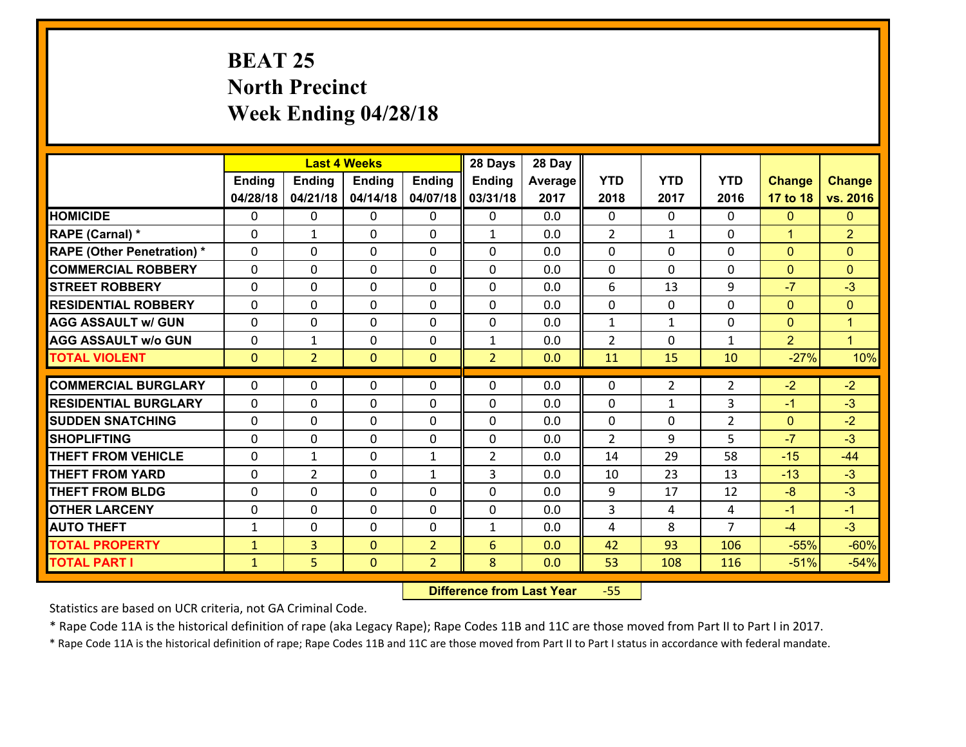# **BEAT 25 North Precinct Week Ending 04/28/18**

|                                   |               | <b>Last 4 Weeks</b> |               |                | 28 Days        | 28 Day  |                |                |                |                |                |
|-----------------------------------|---------------|---------------------|---------------|----------------|----------------|---------|----------------|----------------|----------------|----------------|----------------|
|                                   | <b>Ending</b> | <b>Ending</b>       | <b>Ending</b> | <b>Ending</b>  | Ending         | Average | <b>YTD</b>     | <b>YTD</b>     | <b>YTD</b>     | <b>Change</b>  | <b>Change</b>  |
|                                   | 04/28/18      | 04/21/18            | 04/14/18      | 04/07/18       | 03/31/18       | 2017    | 2018           | 2017           | 2016           | 17 to 18       | vs. 2016       |
| <b>HOMICIDE</b>                   | 0             | $\Omega$            | $\Omega$      | 0              | $\Omega$       | 0.0     | $\Omega$       | $\Omega$       | 0              | $\mathbf{0}$   | $\mathbf{0}$   |
| RAPE (Carnal) *                   | $\Omega$      | $\mathbf{1}$        | $\mathbf{0}$  | 0              | $\mathbf{1}$   | 0.0     | 2              | $\mathbf{1}$   | $\Omega$       | $\mathbf{1}$   | $\overline{2}$ |
| <b>RAPE (Other Penetration) *</b> | $\Omega$      | $\Omega$            | $\mathbf{0}$  | $\Omega$       | 0              | 0.0     | $\Omega$       | $\Omega$       | $\Omega$       | $\mathbf{0}$   | $\mathbf{0}$   |
| <b>COMMERCIAL ROBBERY</b>         | 0             | 0                   | 0             | $\Omega$       | $\mathbf{0}$   | 0.0     | $\mathbf{0}$   | $\Omega$       | $\Omega$       | $\mathbf{0}$   | $\mathbf{0}$   |
| <b>STREET ROBBERY</b>             | 0             | 0                   | $\mathbf 0$   | 0              | 0              | 0.0     | 6              | 13             | 9              | $-7$           | $-3$           |
| <b>RESIDENTIAL ROBBERY</b>        | $\Omega$      | $\Omega$            | $\mathbf 0$   | $\Omega$       | $\Omega$       | 0.0     | $\Omega$       | $\Omega$       | $\Omega$       | $\mathbf{0}$   | $\mathbf{0}$   |
| <b>AGG ASSAULT w/ GUN</b>         | 0             | $\Omega$            | $\mathbf 0$   | $\Omega$       | $\Omega$       | 0.0     | $\mathbf{1}$   | $\mathbf{1}$   | 0              | $\mathbf{0}$   | $\mathbf{1}$   |
| <b>AGG ASSAULT w/o GUN</b>        | 0             | $\mathbf{1}$        | $\mathbf 0$   | 0              | $\mathbf{1}$   | 0.0     | $\overline{2}$ | $\mathbf 0$    | $\mathbf{1}$   | $\overline{2}$ | $\mathbf{1}$   |
| <b>TOTAL VIOLENT</b>              | $\mathbf{0}$  | $\overline{2}$      | $\mathbf{0}$  | $\mathbf{0}$   | $\overline{2}$ | 0.0     | 11             | 15             | 10             | $-27%$         | 10%            |
| <b>COMMERCIAL BURGLARY</b>        | $\Omega$      | $\Omega$            | $\mathbf{0}$  | $\Omega$       | 0              | 0.0     | $\Omega$       | $\overline{2}$ | 2              | $-2$           | $-2$           |
| <b>RESIDENTIAL BURGLARY</b>       | 0             | 0                   | $\mathbf 0$   | 0              | 0              | 0.0     | $\mathbf 0$    | $\mathbf{1}$   | 3              | $-1$           | $-3$           |
| <b>SUDDEN SNATCHING</b>           | 0             | 0                   | 0             | $\Omega$       | 0              | 0.0     | $\mathbf 0$    | $\mathbf 0$    | $\overline{2}$ | $\mathbf{0}$   | $-2$           |
| <b>SHOPLIFTING</b>                | 0             | 0                   | $\mathbf 0$   | 0              | 0              | 0.0     | $\overline{2}$ | 9              | 5              | $-7$           | $-3$           |
| <b>THEFT FROM VEHICLE</b>         | 0             | $\mathbf{1}$        | 0             | $\mathbf{1}$   | $\overline{2}$ | 0.0     | 14             | 29             | 58             | $-15$          | $-44$          |
| <b>THEFT FROM YARD</b>            | 0             | $\overline{2}$      | $\mathbf 0$   | $\mathbf{1}$   | 3              | 0.0     | 10             | 23             | 13             | $-13$          | $-3$           |
| <b>THEFT FROM BLDG</b>            | 0             | 0                   | $\mathbf 0$   | $\Omega$       | 0              | 0.0     | 9              | 17             | 12             | $-8$           | $-3$           |
| <b>OTHER LARCENY</b>              | 0             | 0                   | $\mathbf 0$   | 0              | 0              | 0.0     | 3              | 4              | 4              | $-1$           | $-1$           |
| <b>AUTO THEFT</b>                 | $\mathbf{1}$  | 0                   | $\mathbf{0}$  | $\Omega$       | $\mathbf{1}$   | 0.0     | 4              | 8              | $\overline{7}$ | $-4$           | $-3$           |
| <b>TOTAL PROPERTY</b>             | $\mathbf{1}$  | $\overline{3}$      | $\mathbf{0}$  | $\overline{2}$ | 6              | 0.0     | 42             | 93             | 106            | $-55%$         | $-60%$         |
| <b>TOTAL PART I</b>               | $\mathbf{1}$  | 5                   | $\mathbf{0}$  | $\overline{2}$ | 8              | 0.0     | 53             | 108            | 116            | $-51%$         | $-54%$         |

 **Difference from Last Year**‐55

Statistics are based on UCR criteria, not GA Criminal Code.

\* Rape Code 11A is the historical definition of rape (aka Legacy Rape); Rape Codes 11B and 11C are those moved from Part II to Part I in 2017.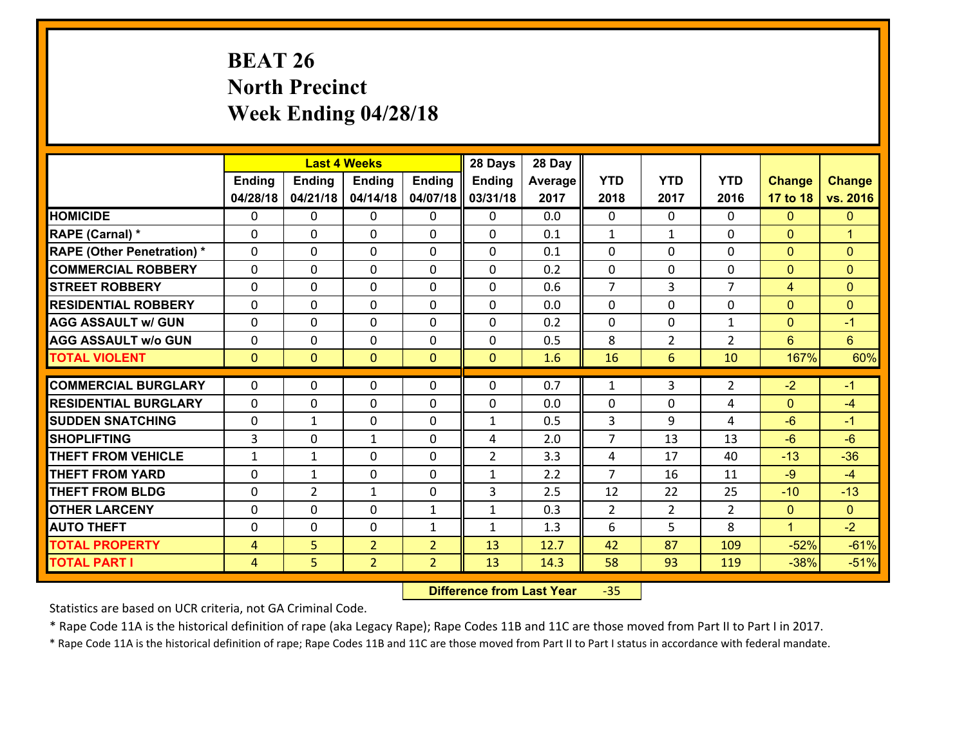# **BEAT 26 North Precinct Week Ending 04/28/18**

|                                               |                |                | <b>Last 4 Weeks</b> |                | 28 Days             | 28 Day     |                     |                |                |                |                      |
|-----------------------------------------------|----------------|----------------|---------------------|----------------|---------------------|------------|---------------------|----------------|----------------|----------------|----------------------|
|                                               | <b>Ending</b>  | <b>Ending</b>  | <b>Ending</b>       | <b>Ending</b>  | <b>Ending</b>       | Average    | <b>YTD</b>          | <b>YTD</b>     | <b>YTD</b>     | <b>Change</b>  | <b>Change</b>        |
|                                               | 04/28/18       | 04/21/18       | 04/14/18            | 04/07/18       | 03/31/18            | 2017       | 2018                | 2017           | 2016           | 17 to 18       | vs. 2016             |
| <b>HOMICIDE</b>                               | $\Omega$       | 0              | $\Omega$            | $\Omega$       | $\Omega$            | 0.0        | $\Omega$            | $\Omega$       | 0              | $\Omega$       | $\mathbf{0}$         |
| RAPE (Carnal) *                               | 0              | 0              | $\mathbf{0}$        | 0              | $\Omega$            | 0.1        | $\mathbf{1}$        | $\mathbf{1}$   | $\Omega$       | $\mathbf{0}$   | $\blacktriangleleft$ |
| <b>RAPE (Other Penetration) *</b>             | $\Omega$       | 0              | $\mathbf{0}$        | $\Omega$       | $\Omega$            | 0.1        | $\Omega$            | $\Omega$       | $\Omega$       | $\mathbf{0}$   | $\mathbf{0}$         |
| <b>COMMERCIAL ROBBERY</b>                     | 0              | 0              | 0                   | 0              | $\Omega$            | 0.2        | $\mathbf{0}$        | 0              | $\Omega$       | $\mathbf 0$    | $\mathbf{0}$         |
| <b>STREET ROBBERY</b>                         | $\Omega$       | 0              | $\mathbf 0$         | 0              | 0                   | 0.6        | $\overline{7}$      | $\overline{3}$ | $\overline{7}$ | 4              | $\mathbf{0}$         |
| <b>RESIDENTIAL ROBBERY</b>                    | $\Omega$       | $\Omega$       | $\mathbf 0$         | $\Omega$       | 0                   | 0.0        | $\Omega$            | $\Omega$       | $\Omega$       | $\overline{0}$ | $\mathbf{0}$         |
| <b>AGG ASSAULT w/ GUN</b>                     | $\Omega$       | 0              | $\mathbf 0$         | $\Omega$       | 0                   | 0.2        | $\mathbf 0$         | $\mathbf 0$    | $\mathbf{1}$   | $\mathbf{0}$   | $-1$                 |
| <b>AGG ASSAULT w/o GUN</b>                    | 0              | 0              | $\mathbf 0$         | 0              | 0                   | 0.5        | 8                   | $\overline{2}$ | $\overline{2}$ | $6^{\circ}$    | $6\overline{6}$      |
| <b>TOTAL VIOLENT</b>                          | $\mathbf{0}$   | $\overline{0}$ | $\overline{0}$      | $\mathbf{0}$   | $\mathbf{0}$        | 1.6        | 16                  | 6              | 10             | 167%           | 60%                  |
| <b>COMMERCIAL BURGLARY</b>                    | $\Omega$       | 0              | $\mathbf{0}$        | $\Omega$       | $\Omega$            | 0.7        | $\mathbf{1}$        | 3              | 2              | $-2$           | $-1$                 |
|                                               |                |                |                     |                |                     |            |                     |                |                |                |                      |
| <b>RESIDENTIAL BURGLARY</b>                   | 0              | 0              | $\mathbf 0$         | 0              | 0                   | 0.0        | 0                   | 0              | 4              | $\mathbf{0}$   | $-4$                 |
| <b>SUDDEN SNATCHING</b><br><b>SHOPLIFTING</b> | 0<br>3         | 1              | $\mathbf 0$         | 0              | $\mathbf{1}$        | 0.5        | 3<br>$\overline{7}$ | 9<br>13        | 4<br>13        | $-6$<br>$-6$   | $-1$<br>$-6$         |
|                                               |                | 0              | 1                   | 0              | 4<br>$\overline{2}$ | 2.0<br>3.3 |                     |                |                | $-13$          | $-36$                |
| <b>THEFT FROM VEHICLE</b>                     | $\mathbf{1}$   | $\mathbf{1}$   | $\mathbf 0$         | 0              |                     |            | 4                   | 17             | 40             |                |                      |
| <b>THEFT FROM YARD</b>                        | 0              | $\mathbf{1}$   | $\mathbf 0$         | 0              | $\mathbf{1}$        | 2.2        | $\overline{7}$      | 16             | 11             | $-9$           | $-4$                 |
| <b>THEFT FROM BLDG</b>                        | 0              | $\overline{2}$ | 1                   | 0              | 3                   | 2.5        | 12                  | 22             | 25             | $-10$          | $-13$                |
| <b>OTHER LARCENY</b>                          | 0              | 0              | $\mathbf 0$         | $\mathbf{1}$   | $\mathbf{1}$        | 0.3        | $\overline{2}$      | $\overline{2}$ | $\overline{2}$ | $\overline{0}$ | $\overline{0}$       |
| <b>AUTO THEFT</b>                             | $\mathbf{0}$   | 0              | $\mathbf{0}$        | $\mathbf{1}$   | $\mathbf{1}$        | 1.3        | 6                   | 5              | 8              | $\mathbf{1}$   | $-2$                 |
| <b>TOTAL PROPERTY</b>                         | $\overline{4}$ | 5              | $\overline{2}$      | $\overline{2}$ | 13                  | 12.7       | 42                  | 87             | 109            | $-52%$         | $-61%$               |
| <b>TOTAL PART I</b>                           | $\overline{4}$ | 5              | $\overline{2}$      | $\overline{2}$ | 13                  | 14.3       | 58                  | 93             | 119            | $-38%$         | $-51%$               |

 **Difference from Last Year**‐35

Statistics are based on UCR criteria, not GA Criminal Code.

\* Rape Code 11A is the historical definition of rape (aka Legacy Rape); Rape Codes 11B and 11C are those moved from Part II to Part I in 2017.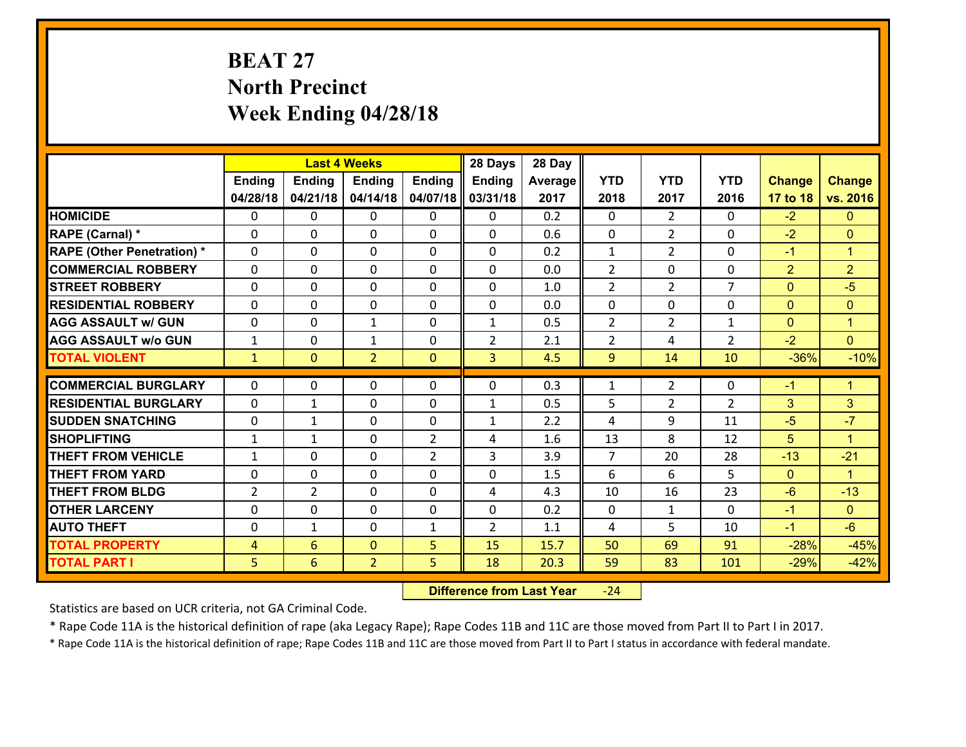# **BEAT 27 North Precinct Week Ending 04/28/18**

|                                   |                |                 | <b>Last 4 Weeks</b> |                | 28 Days        | 28 Day  |                |                |                |                |                      |
|-----------------------------------|----------------|-----------------|---------------------|----------------|----------------|---------|----------------|----------------|----------------|----------------|----------------------|
|                                   | <b>Ending</b>  | <b>Ending</b>   | <b>Ending</b>       | <b>Ending</b>  | Ending         | Average | <b>YTD</b>     | <b>YTD</b>     | <b>YTD</b>     | <b>Change</b>  | <b>Change</b>        |
|                                   | 04/28/18       | 04/21/18        | 04/14/18            | 04/07/18       | 03/31/18       | 2017    | 2018           | 2017           | 2016           | 17 to 18       | vs. 2016             |
| <b>HOMICIDE</b>                   | $\Omega$       | 0               | $\mathbf{0}$        | $\Omega$       | 0              | 0.2     | $\Omega$       | $\mathfrak{D}$ | $\Omega$       | $-2$           | $\mathbf{0}$         |
| RAPE (Carnal) *                   | $\Omega$       | 0               | $\mathbf{0}$        | 0              | $\Omega$       | 0.6     | $\Omega$       | $\overline{2}$ | $\Omega$       | $-2$           | $\mathbf{0}$         |
| <b>RAPE (Other Penetration) *</b> | $\Omega$       | 0               | $\mathbf 0$         | 0              | 0              | 0.2     | $\mathbf{1}$   | $\overline{2}$ | $\Omega$       | $-1$           | $\blacktriangleleft$ |
| <b>COMMERCIAL ROBBERY</b>         | 0              | 0               | 0                   | 0              | 0              | 0.0     | $\overline{2}$ | 0              | $\Omega$       | $\overline{2}$ | $\overline{2}$       |
| <b>STREET ROBBERY</b>             | $\Omega$       | 0               | $\mathbf 0$         | 0              | 0              | 1.0     | $\overline{2}$ | $\overline{2}$ | $\overline{7}$ | $\overline{0}$ | $-5$                 |
| <b>RESIDENTIAL ROBBERY</b>        | 0              | 0               | $\mathbf 0$         | 0              | 0              | 0.0     | $\mathbf 0$    | $\mathbf 0$    | 0              | $\overline{0}$ | $\mathbf{0}$         |
| <b>AGG ASSAULT w/ GUN</b>         | 0              | 0               | 1                   | 0              | $\mathbf{1}$   | 0.5     | $\overline{2}$ | $\overline{2}$ | $\mathbf{1}$   | $\overline{0}$ | $\mathbf{1}$         |
| <b>AGG ASSAULT w/o GUN</b>        | $\mathbf{1}$   | 0               | $\mathbf{1}$        | 0              | $\overline{2}$ | 2.1     | $\overline{2}$ | 4              | $\overline{2}$ | $-2$           | $\overline{0}$       |
| <b>TOTAL VIOLENT</b>              | $\mathbf{1}$   | $\overline{0}$  | $\overline{2}$      | $\mathbf{0}$   | 3              | 4.5     | 9              | 14             | 10             | $-36%$         | $-10%$               |
|                                   |                |                 |                     |                |                |         |                |                |                |                |                      |
| <b>COMMERCIAL BURGLARY</b>        | $\Omega$       | 0               | $\mathbf{0}$        | 0              | $\Omega$       | 0.3     | 1              | $\overline{2}$ | 0              | $-1$           | $\mathbf{1}$         |
| <b>RESIDENTIAL BURGLARY</b>       | $\Omega$       | 1               | $\mathbf 0$         | 0              | $\mathbf{1}$   | 0.5     | 5              | $\overline{2}$ | $\overline{2}$ | 3              | 3                    |
| <b>SUDDEN SNATCHING</b>           | $\mathbf{0}$   | 1               | $\mathbf{0}$        | $\Omega$       | $\mathbf{1}$   | 2.2     | 4              | 9              | 11             | $-5$           | $-7$                 |
| <b>SHOPLIFTING</b>                | $\mathbf{1}$   | 1               | $\Omega$            | $\overline{2}$ | 4              | 1.6     | 13             | 8              | 12             | 5              | $\blacktriangleleft$ |
| <b>THEFT FROM VEHICLE</b>         | $\mathbf{1}$   | 0               | $\mathbf 0$         | $\overline{2}$ | 3              | 3.9     | $\overline{7}$ | 20             | 28             | $-13$          | $-21$                |
| <b>THEFT FROM YARD</b>            | $\mathbf{0}$   | 0               | 0                   | 0              | 0              | 1.5     | 6              | 6              | 5              | $\mathbf{0}$   | $\blacktriangleleft$ |
| <b>THEFT FROM BLDG</b>            | $\overline{2}$ | $\overline{2}$  | $\mathbf 0$         | 0              | 4              | 4.3     | 10             | 16             | 23             | $-6$           | $-13$                |
| <b>OTHER LARCENY</b>              | 0              | 0               | $\mathbf 0$         | 0              | 0              | 0.2     | $\mathbf 0$    | $\mathbf{1}$   | $\Omega$       | $-1$           | $\overline{0}$       |
| <b>AUTO THEFT</b>                 | 0              | $\mathbf{1}$    | 0                   | $\mathbf{1}$   | $\overline{2}$ | 1.1     | 4              | 5              | 10             | $-1$           | $-6$                 |
| <b>TOTAL PROPERTY</b>             | $\overline{4}$ | $6\overline{6}$ | $\mathbf{O}$        | 5              | 15             | 15.7    | 50             | 69             | 91             | $-28%$         | $-45%$               |
| <b>TOTAL PART I</b>               | 5              | 6               | $\overline{2}$      | 5              | 18             | 20.3    | 59             | 83             | 101            | $-29%$         | $-42%$               |

 **Difference from Last Year**‐24

Statistics are based on UCR criteria, not GA Criminal Code.

\* Rape Code 11A is the historical definition of rape (aka Legacy Rape); Rape Codes 11B and 11C are those moved from Part II to Part I in 2017.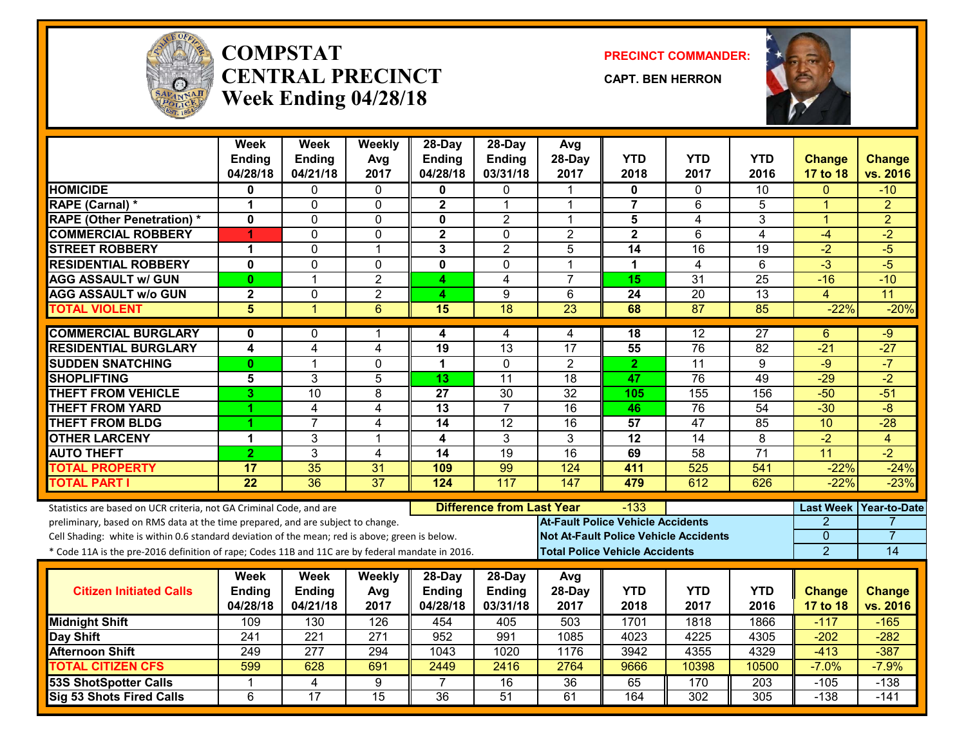

#### **COMPSTATCENTRAL PRECINCTWeek Ending 04/28/18**

**PRECINCT COMMANDER:**

**CAPT. BEN HERRON**



|                                                                                                  | Week<br><b>Ending</b>   | <b>Week</b><br><b>Ending</b> | Weekly<br>Avg    | 28-Day<br><b>Ending</b> | 28-Day<br><b>Ending</b>          | Avg<br>28-Day                            | <b>YTD</b>              | <b>YTD</b>                                   | <b>YTD</b>       | <b>Change</b>           | <b>Change</b>         |
|--------------------------------------------------------------------------------------------------|-------------------------|------------------------------|------------------|-------------------------|----------------------------------|------------------------------------------|-------------------------|----------------------------------------------|------------------|-------------------------|-----------------------|
|                                                                                                  | 04/28/18                | 04/21/18                     | 2017             | 04/28/18                | 03/31/18                         | 2017                                     | 2018                    | 2017                                         | 2016             | 17 to 18                | vs. 2016              |
| <b>HOMICIDE</b>                                                                                  | 0                       | 0                            | $\Omega$         | 0                       | 0                                |                                          | 0                       | $\Omega$                                     | 10               | $\Omega$                | $-10$                 |
| RAPE (Carnal) *                                                                                  | 1                       | 0                            | $\mathbf 0$      | $\mathbf 2$             | $\mathbf 1$                      | 1                                        | $\overline{\mathbf{7}}$ | 6                                            | 5                | $\mathbf{1}$            | $\overline{2}$        |
| <b>RAPE (Other Penetration) *</b>                                                                | $\mathbf 0$             | 0                            | $\mathbf 0$      | 0                       | $\overline{2}$                   | 1                                        | 5                       | 4                                            | 3                | $\mathbf{1}$            | $\overline{2}$        |
| <b>COMMERCIAL ROBBERY</b>                                                                        | 4                       | 0                            | $\mathbf 0$      | $\mathbf 2$             | $\Omega$                         | $\overline{2}$                           | $\overline{\mathbf{2}}$ | 6                                            | $\overline{4}$   | $-4$                    | $-2$                  |
| <b>STREET ROBBERY</b>                                                                            | 1                       | 0                            | $\mathbf 1$      | 3                       | $\overline{2}$                   | 5                                        | 14                      | 16                                           | 19               | $-2$                    | $-5$                  |
| <b>RESIDENTIAL ROBBERY</b>                                                                       | $\mathbf 0$             | $\overline{0}$               | $\mathbf 0$      | $\overline{\mathbf{0}}$ | $\mathbf 0$                      | 1                                        | $\mathbf 1$             | 4                                            | 6                | $-3$                    | $-5$                  |
| <b>AGG ASSAULT w/ GUN</b>                                                                        | $\mathbf{0}$            | 1                            | $\overline{2}$   | 4                       | 4                                | $\overline{7}$                           | 15                      | $\overline{31}$                              | $\overline{25}$  | $-16$                   | $-10$                 |
| <b>AGG ASSAULT W/o GUN</b>                                                                       | $\overline{\mathbf{2}}$ | $\overline{0}$               | $\overline{2}$   | 4                       | 9                                | 6                                        | $\overline{24}$         | $\overline{20}$                              | $\overline{13}$  | $\overline{\mathbf{4}}$ | 11                    |
| <b>TOTAL VIOLENT</b>                                                                             | 5                       | $\mathbf{1}$                 | 6                | 15                      | $\overline{18}$                  | 23                                       | 68                      | 87                                           | 85               | $-22%$                  | $-20%$                |
| <b>COMMERCIAL BURGLARY</b>                                                                       | $\mathbf{0}$            | 0                            | 1                | 4                       | 4                                | 4                                        | 18                      | 12                                           | $\overline{27}$  | 6                       | $-9$                  |
| <b>RESIDENTIAL BURGLARY</b>                                                                      | $\overline{\mathbf{4}}$ | $\overline{\mathbf{4}}$      | 4                | 19                      | 13                               | 17                                       | 55                      | $\overline{76}$                              | 82               | $-21$                   | $-27$                 |
| <b>SUDDEN SNATCHING</b>                                                                          | $\mathbf{0}$            | 1                            | $\Omega$         | $\mathbf 1$             | $\mathbf{0}$                     | $\overline{2}$                           | $\mathbf{2}$            | 11                                           | 9                | $-9$                    | $-7$                  |
| <b>SHOPLIFTING</b>                                                                               | 5                       | 3                            | 5                | 13                      | $\overline{11}$                  | $\overline{18}$                          | 47                      | $\overline{76}$                              | 49               | $-29$                   | $-2$                  |
| <b>THEFT FROM VEHICLE</b>                                                                        | 3                       | $\overline{10}$              | 8                | $\overline{27}$         | $\overline{30}$                  | $\overline{32}$                          | 105                     | 155                                          | 156              | $-50$                   | $-51$                 |
| <b>THEFT FROM YARD</b>                                                                           | 1                       | 4                            | 4                | $\overline{13}$         | $\overline{7}$                   | $\overline{16}$                          | 46                      | 76                                           | $\overline{54}$  | $-30$                   | $-\frac{1}{\sqrt{2}}$ |
| <b>THEFT FROM BLDG</b>                                                                           | 1                       | $\overline{7}$               | 4                | 14                      | 12                               | 16                                       | 57                      | 47                                           | 85               | 10                      | $-28$                 |
| <b>OTHER LARCENY</b>                                                                             | 1                       | 3                            | 1                | $\overline{\mathbf{4}}$ | 3                                | $\overline{3}$                           | $\overline{12}$         | $\overline{14}$                              | $\overline{8}$   | $-2$                    | $\overline{4}$        |
| <b>AUTO THEFT</b>                                                                                | $\overline{2}$          | 3                            | $\overline{4}$   | $\overline{14}$         | $\overline{19}$                  | $\overline{16}$                          | 69                      | $\overline{58}$                              | $\overline{71}$  | $\overline{11}$         | $\overline{-2}$       |
| <b>TOTAL PROPERTY</b>                                                                            | 17                      | 35                           | 31               | 109                     | 99                               | 124                                      | 411                     | 525                                          | 541              | $-22%$                  | $-24%$                |
| <b>TOTAL PART I</b>                                                                              | $\overline{22}$         | $\overline{36}$              | $\overline{37}$  | 124                     | 117                              | 147                                      | 479                     | 612                                          | 626              | $-22%$                  | $-23%$                |
| Statistics are based on UCR criteria, not GA Criminal Code, and are                              |                         |                              |                  |                         | <b>Difference from Last Year</b> |                                          | -133                    |                                              |                  | <b>Last Week</b>        | <b>Year-to-Date</b>   |
| preliminary, based on RMS data at the time prepared, and are subject to change.                  |                         |                              |                  |                         |                                  | <b>At-Fault Police Vehicle Accidents</b> |                         |                                              |                  | $\overline{2}$          |                       |
| Cell Shading: white is within 0.6 standard deviation of the mean; red is above; green is below.  |                         |                              |                  |                         |                                  |                                          |                         | <b>Not At-Fault Police Vehicle Accidents</b> |                  | $\mathbf 0$             | 7                     |
| * Code 11A is the pre-2016 definition of rape; Codes 11B and 11C are by federal mandate in 2016. |                         |                              |                  |                         |                                  | <b>Total Police Vehicle Accidents</b>    |                         |                                              |                  | $\overline{2}$          | 14                    |
|                                                                                                  | Week                    | <b>Week</b>                  | Weekly           | $28-Day$                | 28-Day                           | Avg                                      |                         |                                              |                  |                         |                       |
| <b>Citizen Initiated Calls</b>                                                                   | <b>Ending</b>           | <b>Ending</b>                | Avg              | <b>Ending</b>           | <b>Ending</b>                    | 28-Day                                   | <b>YTD</b>              | <b>YTD</b>                                   | <b>YTD</b>       | <b>Change</b>           | <b>Change</b>         |
|                                                                                                  | 04/28/18                | 04/21/18                     | 2017             | 04/28/18                | 03/31/18                         | 2017                                     | 2018                    | 2017                                         | 2016             | 17 to 18                | vs. 2016              |
| <b>Midnight Shift</b>                                                                            | 109                     | 130                          | 126              | 454                     | 405                              | 503                                      | 1701                    | 1818                                         | 1866             | $-117$                  | $-165$                |
| Day Shift                                                                                        | 241                     | 221                          | $\overline{271}$ | 952                     | 991                              | 1085                                     | 4023                    | 4225                                         | 4305             | $-202$                  | $-282$                |
| <b>Afternoon Shift</b>                                                                           | 249                     | 277                          | 294              | 1043                    | 1020                             | 1176                                     | 3942                    | 4355                                         | 4329             | $-413$                  | $-387$                |
| <b>TOTAL CITIZEN CFS</b>                                                                         | 599                     | 628                          | 691              | 2449                    | 2416                             | 2764                                     | 9666                    | 10398                                        | 10500            | $-7.0%$                 | $-7.9%$               |
| <b>53S ShotSpotter Calls</b>                                                                     | -1                      | 4                            | $\overline{9}$   | 7                       | 16                               | $\overline{36}$                          | 65                      | 170                                          | $\overline{203}$ | $-105$                  | $-138$                |
| Sig 53 Shots Fired Calls                                                                         | 6                       | $\overline{17}$              | $\overline{15}$  | $\overline{36}$         | $\overline{51}$                  | 61                                       | 164                     | 302                                          | $\overline{305}$ | $-138$                  | $-141$                |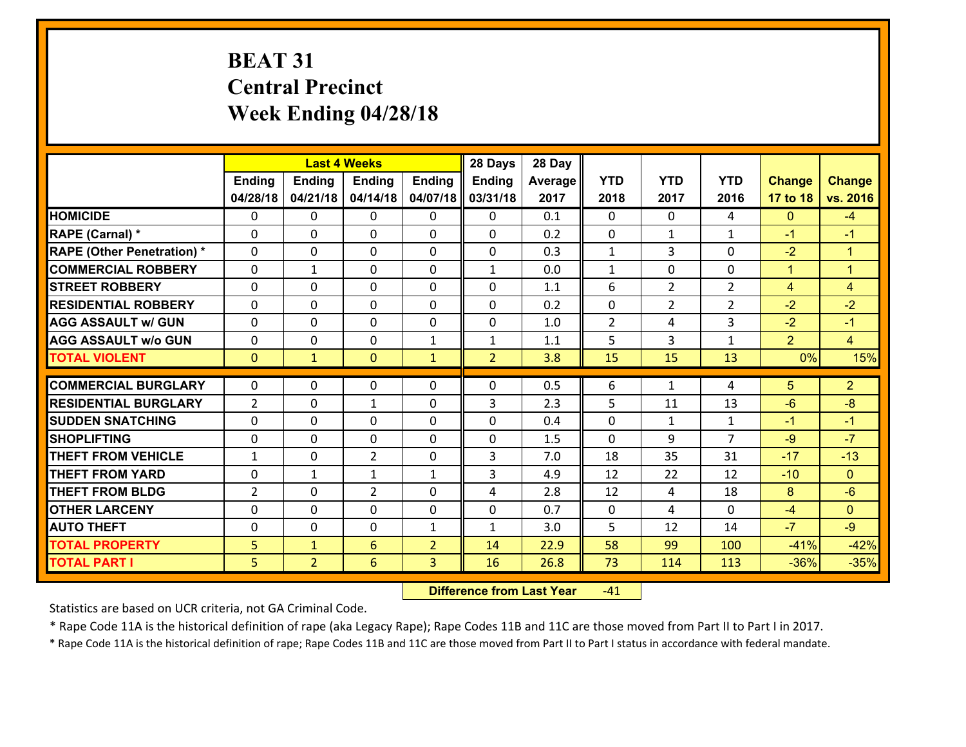# **BEAT 31 Central Precinct Week Ending 04/28/18**

|                                   |                |                | <b>Last 4 Weeks</b> |                | 28 Days        | 28 Day  |                |                |                |                |                      |
|-----------------------------------|----------------|----------------|---------------------|----------------|----------------|---------|----------------|----------------|----------------|----------------|----------------------|
|                                   | <b>Ending</b>  | <b>Ending</b>  | <b>Ending</b>       | <b>Ending</b>  | Ending         | Average | <b>YTD</b>     | <b>YTD</b>     | <b>YTD</b>     | <b>Change</b>  | <b>Change</b>        |
|                                   | 04/28/18       | 04/21/18       | 04/14/18            | 04/07/18       | 03/31/18       | 2017    | 2018           | 2017           | 2016           | 17 to 18       | vs. 2016             |
| <b>HOMICIDE</b>                   | $\Omega$       | 0              | 0                   | 0              | 0              | 0.1     | 0              | $\Omega$       | 4              | $\mathbf{0}$   | $-4$                 |
| RAPE (Carnal) *                   | $\Omega$       | 0              | $\mathbf{0}$        | $\Omega$       | $\Omega$       | 0.2     | $\mathbf{0}$   | $\mathbf{1}$   | $\mathbf{1}$   | $-1$           | $-1$                 |
| <b>RAPE (Other Penetration) *</b> | 0              | 0              | $\mathbf 0$         | $\Omega$       | 0              | 0.3     | $\mathbf{1}$   | 3              | 0              | $-2$           | $\blacktriangleleft$ |
| <b>COMMERCIAL ROBBERY</b>         | 0              | $\mathbf{1}$   | $\mathbf 0$         | 0              | $\mathbf{1}$   | 0.0     | $\mathbf{1}$   | 0              | 0              | $\mathbf{1}$   | $\blacktriangleleft$ |
| <b>STREET ROBBERY</b>             | 0              | 0              | $\mathbf 0$         | 0              | 0              | 1.1     | 6              | $\overline{2}$ | $\overline{2}$ | $\overline{4}$ | $\overline{4}$       |
| <b>RESIDENTIAL ROBBERY</b>        | 0              | 0              | $\mathbf 0$         | $\mathbf 0$    | 0              | 0.2     | $\mathbf 0$    | $\overline{2}$ | $\overline{2}$ | $-2$           | $-2$                 |
| <b>AGG ASSAULT w/ GUN</b>         | 0              | 0              | $\mathbf 0$         | 0              | 0              | 1.0     | $\overline{2}$ | 4              | 3              | $-2$           | $-1$                 |
| <b>AGG ASSAULT w/o GUN</b>        | 0              | 0              | $\mathbf 0$         | $\mathbf{1}$   | $\mathbf{1}$   | 1.1     | 5              | 3              | 1              | $\overline{2}$ | $\overline{4}$       |
| <b>TOTAL VIOLENT</b>              | $\mathbf{0}$   | $\mathbf{1}$   | $\mathbf{0}$        | $\mathbf{1}$   | $\overline{2}$ | 3.8     | 15             | 15             | 13             | 0%             | 15%                  |
| <b>COMMERCIAL BURGLARY</b>        | $\Omega$       |                |                     |                |                |         |                |                | 4              |                |                      |
|                                   |                | 0              | 0                   | 0              | $\Omega$       | 0.5     | 6              | $\mathbf{1}$   |                | 5              | $\overline{2}$       |
| <b>RESIDENTIAL BURGLARY</b>       | $\overline{2}$ | 0              | 1                   | 0              | 3              | 2.3     | 5              | 11             | 13             | $-6$           | $-8$                 |
| <b>SUDDEN SNATCHING</b>           | $\Omega$       | $\Omega$       | $\mathbf 0$         | $\Omega$       | 0              | 0.4     | 0              | $\mathbf{1}$   | $\mathbf{1}$   | $-1$           | $-1$                 |
| <b>SHOPLIFTING</b>                | 0              | 0              | $\mathbf 0$         | 0              | 0              | 1.5     | 0              | 9              | $\overline{7}$ | $-9$           | $-7$                 |
| <b>THEFT FROM VEHICLE</b>         | $\mathbf{1}$   | 0              | $\overline{2}$      | $\mathbf{0}$   | 3              | 7.0     | 18             | 35             | 31             | $-17$          | $-13$                |
| <b>THEFT FROM YARD</b>            | 0              | $\mathbf{1}$   | 1                   | $\mathbf{1}$   | 3              | 4.9     | 12             | 22             | 12             | $-10$          | $\overline{0}$       |
| <b>THEFT FROM BLDG</b>            | $\overline{2}$ | 0              | $\overline{2}$      | $\Omega$       | 4              | 2.8     | 12             | 4              | 18             | 8              | $-6$                 |
| <b>OTHER LARCENY</b>              | $\mathbf 0$    | 0              | $\mathbf 0$         | $\Omega$       | 0              | 0.7     | $\mathbf 0$    | 4              | 0              | $-4$           | $\overline{0}$       |
| <b>AUTO THEFT</b>                 | 0              | 0              | $\mathbf 0$         | $\mathbf{1}$   | $\mathbf{1}$   | 3.0     | 5              | 12             | 14             | $-7$           | $-9$                 |
| <b>TOTAL PROPERTY</b>             | 5              | $\mathbf{1}$   | 6                   | $\overline{2}$ | 14             | 22.9    | 58             | 99             | 100            | $-41%$         | $-42%$               |
| <b>TOTAL PART I</b>               | 5              | $\overline{2}$ | 6                   | 3              | 16             | 26.8    | 73             | 114            | 113            | $-36%$         | $-35%$               |

 **Difference from Last Year**r -41

Statistics are based on UCR criteria, not GA Criminal Code.

\* Rape Code 11A is the historical definition of rape (aka Legacy Rape); Rape Codes 11B and 11C are those moved from Part II to Part I in 2017.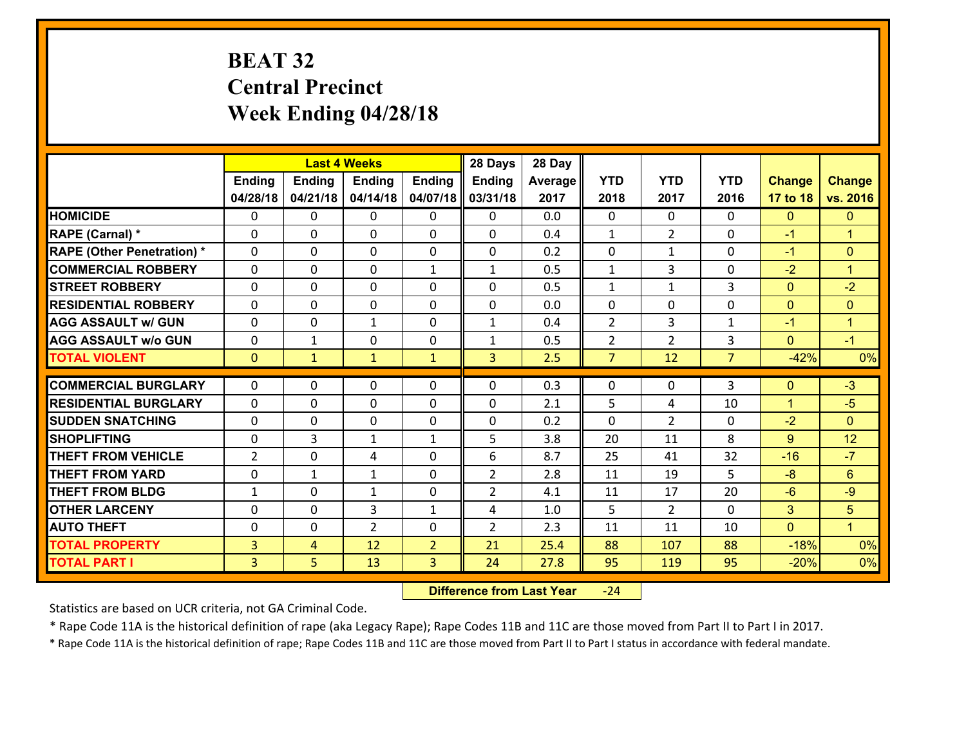# **BEAT 32 Central Precinct Week Ending 04/28/18**

|                                   |                |               | <b>Last 4 Weeks</b> |                | 28 Days        | 28 Day  |                |                |                |                |                      |
|-----------------------------------|----------------|---------------|---------------------|----------------|----------------|---------|----------------|----------------|----------------|----------------|----------------------|
|                                   | <b>Ending</b>  | <b>Ending</b> | <b>Ending</b>       | <b>Ending</b>  | <b>Ending</b>  | Average | <b>YTD</b>     | <b>YTD</b>     | <b>YTD</b>     | <b>Change</b>  | <b>Change</b>        |
|                                   | 04/28/18       | 04/21/18      | 04/14/18            | 04/07/18       | 03/31/18       | 2017    | 2018           | 2017           | 2016           | 17 to 18       | vs. 2016             |
| <b>HOMICIDE</b>                   | $\Omega$       | 0             | $\Omega$            | $\Omega$       | $\Omega$       | 0.0     | $\Omega$       | $\Omega$       | 0              | $\mathbf{0}$   | $\mathbf{0}$         |
| RAPE (Carnal) *                   | 0              | 0             | $\mathbf{0}$        | 0              | $\Omega$       | 0.4     | $\mathbf{1}$   | $\overline{2}$ | $\Omega$       | $-1$           | $\blacktriangleleft$ |
| <b>RAPE (Other Penetration) *</b> | $\Omega$       | 0             | $\mathbf{0}$        | $\Omega$       | $\Omega$       | 0.2     | 0              | $\mathbf{1}$   | $\Omega$       | $-1$           | $\mathbf{0}$         |
| <b>COMMERCIAL ROBBERY</b>         | 0              | 0             | $\mathbf 0$         | $\mathbf{1}$   | $\mathbf{1}$   | 0.5     | $\mathbf{1}$   | 3              | $\Omega$       | $-2$           | $\mathbf{1}$         |
| <b>STREET ROBBERY</b>             | $\Omega$       | 0             | $\mathbf 0$         | 0              | 0              | 0.5     | $\mathbf 1$    | $\mathbf{1}$   | 3              | $\overline{0}$ | $-2$                 |
| <b>RESIDENTIAL ROBBERY</b>        | $\Omega$       | $\Omega$      | $\mathbf 0$         | $\Omega$       | 0              | 0.0     | $\mathbf 0$    | 0              | $\Omega$       | $\mathbf{0}$   | $\mathbf{0}$         |
| <b>AGG ASSAULT w/ GUN</b>         | $\Omega$       | 0             | $\mathbf{1}$        | 0              | $\mathbf{1}$   | 0.4     | $\overline{2}$ | 3              | $\mathbf{1}$   | $-1$           | $\mathbf{1}$         |
| <b>AGG ASSAULT w/o GUN</b>        | 0              | 1             | $\mathbf 0$         | 0              | $\mathbf{1}$   | 0.5     | $\overline{2}$ | $\overline{2}$ | 3              | $\mathbf{0}$   | $-1$                 |
| <b>TOTAL VIOLENT</b>              | $\mathbf{0}$   | $\mathbf{1}$  | $\mathbf{1}$        | $\mathbf{1}$   | 3              | 2.5     | $\overline{7}$ | 12             | $\overline{7}$ | $-42%$         | 0%                   |
| <b>COMMERCIAL BURGLARY</b>        | $\Omega$       | 0             | $\mathbf{0}$        | $\Omega$       | $\Omega$       | 0.3     | $\Omega$       | $\Omega$       | 3              | $\mathbf{0}$   | $-3$                 |
| <b>RESIDENTIAL BURGLARY</b>       | 0              | 0             | $\mathbf 0$         | 0              | 0              | 2.1     | 5              | 4              | 10             | $\mathbf{1}$   | $-5$                 |
| <b>SUDDEN SNATCHING</b>           | 0              | 0             | $\mathbf 0$         | 0              | 0              | 0.2     | $\mathbf 0$    | $\overline{2}$ | $\Omega$       | $-2$           | $\mathbf{0}$         |
| <b>SHOPLIFTING</b>                | 0              | 3             | 1                   | $\mathbf{1}$   | 5              | 3.8     | 20             | 11             | 8              | $9^{\circ}$    | 12                   |
| <b>THEFT FROM VEHICLE</b>         | $\overline{2}$ | 0             | 4                   | 0              | 6              | 8.7     | 25             | 41             | 32             | $-16$          | $-7$                 |
| <b>THEFT FROM YARD</b>            | $\mathbf 0$    | $\mathbf{1}$  | 1                   | 0              | $\overline{2}$ | 2.8     | 11             | 19             | 5              | $-8$           | $6\phantom{a}$       |
| <b>THEFT FROM BLDG</b>            | $\mathbf{1}$   | 0             | 1                   | 0              | $\overline{2}$ | 4.1     | 11             | 17             | 20             | $-6$           | $-9$                 |
| <b>OTHER LARCENY</b>              | 0              | 0             | 3                   | $\mathbf{1}$   | 4              | 1.0     | 5              | $\overline{2}$ | $\Omega$       | 3              | 5                    |
| <b>AUTO THEFT</b>                 | 0              | 0             | $\overline{2}$      | 0              | $\overline{2}$ | 2.3     | 11             | 11             | 10             | $\mathbf{0}$   | $\blacktriangleleft$ |
| <b>TOTAL PROPERTY</b>             | $\overline{3}$ | 4             | 12                  | $\overline{2}$ | 21             | 25.4    | 88             | 107            | 88             | $-18%$         | 0%                   |
| <b>TOTAL PART I</b>               | $\overline{3}$ | 5             | 13                  | $\overline{3}$ | 24             | 27.8    | 95             | 119            | 95             | $-20%$         | 0%                   |

 **Difference from Last Year**‐24

Statistics are based on UCR criteria, not GA Criminal Code.

\* Rape Code 11A is the historical definition of rape (aka Legacy Rape); Rape Codes 11B and 11C are those moved from Part II to Part I in 2017.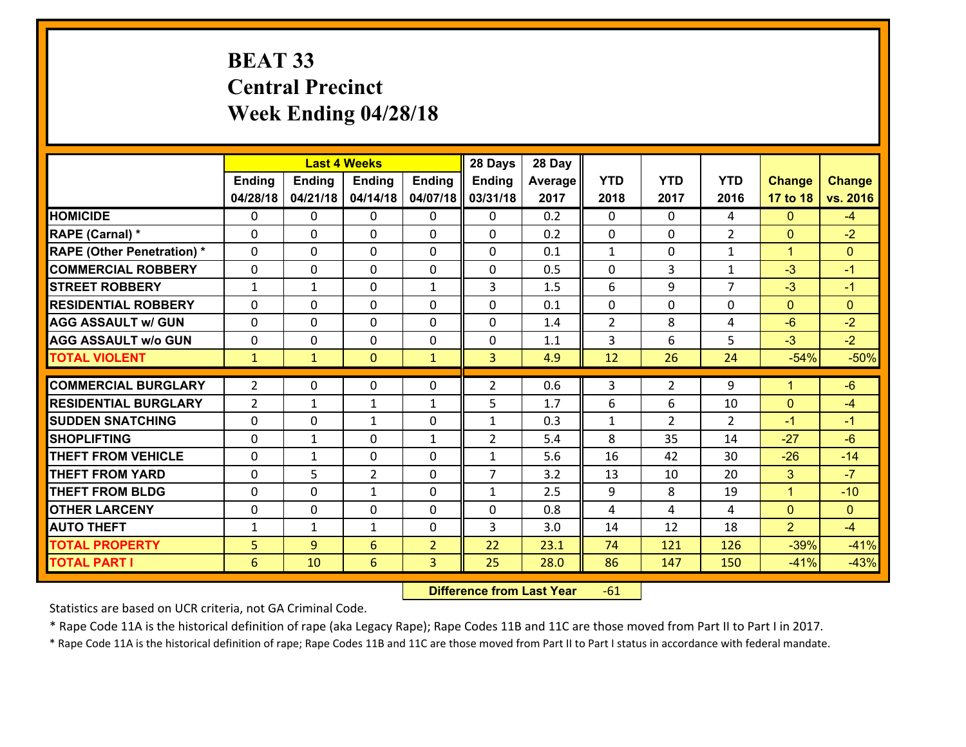# **BEAT 33 Central PrecinctWeek Ending 04/28/18**

|                                   |                |               | <b>Last 4 Weeks</b>            |                   | 28 Days                        | 28 Day  |                   |                      |                |                           |                |
|-----------------------------------|----------------|---------------|--------------------------------|-------------------|--------------------------------|---------|-------------------|----------------------|----------------|---------------------------|----------------|
|                                   | <b>Ending</b>  | <b>Ending</b> | <b>Endina</b>                  | <b>Ending</b>     | <b>Ending</b>                  | Average | <b>YTD</b>        | <b>YTD</b>           | <b>YTD</b>     | <b>Change</b>             | <b>Change</b>  |
|                                   | 04/28/18       | 04/21/18      | 04/14/18                       | 04/07/18          | 03/31/18                       | 2017    | 2018              | 2017                 | 2016           | 17 to 18                  | vs. 2016       |
| <b>HOMICIDE</b>                   | $\Omega$       | 0             | 0                              | $\Omega$          | 0                              | 0.2     | 0                 | $\Omega$             | 4              | $\mathbf{0}$              | $-4$           |
| RAPE (Carnal) *                   | $\Omega$       | $\Omega$      | $\mathbf 0$                    | $\Omega$          | $\Omega$                       | 0.2     | $\Omega$          | $\Omega$             | $\mathcal{P}$  | $\mathbf{0}$              | $-2$           |
| <b>RAPE (Other Penetration) *</b> | 0              | 0             | $\mathbf 0$                    | 0                 | 0                              | 0.1     | $\mathbf{1}$      | 0                    | $\mathbf{1}$   | $\mathbf{1}$              | $\Omega$       |
| <b>COMMERCIAL ROBBERY</b>         | 0              | 0             | $\mathbf 0$                    | 0                 | 0                              | 0.5     | 0                 | 3                    | $\mathbf{1}$   | $-3$                      | $-1$           |
| <b>STREET ROBBERY</b>             | $\mathbf{1}$   | $\mathbf{1}$  | $\mathbf 0$                    | $\mathbf{1}$      | 3                              | 1.5     | 6                 | 9                    | $\overline{7}$ | $-3$                      | $-1$           |
| <b>RESIDENTIAL ROBBERY</b>        | 0              | 0             | $\mathbf 0$                    | $\Omega$          | 0                              | 0.1     | $\mathbf 0$       | $\Omega$             | 0              | $\mathbf{0}$              | $\overline{0}$ |
| <b>AGG ASSAULT w/ GUN</b>         | 0              | 0             | $\mathbf 0$                    | 0                 | 0                              | 1.4     | $\overline{2}$    | 8                    | 4              | $-6$                      | $-2$           |
| <b>AGG ASSAULT w/o GUN</b>        | 0              | 0             | $\mathbf 0$                    | $\mathbf 0$       | 0                              | 1.1     | 3                 | 6                    | 5              | $-3$                      | $-2$           |
| <b>TOTAL VIOLENT</b>              | $\mathbf{1}$   | $\mathbf{1}$  | $\mathbf{0}$                   | $\mathbf{1}$      | 3                              | 4.9     | 12                | 26                   | 24             | $-54%$                    | $-50%$         |
| <b>COMMERCIAL BURGLARY</b>        | $\overline{2}$ | 0             | 0                              | 0                 | $\overline{2}$                 | 0.6     | 3                 | $\overline{2}$       | 9              | $\blacktriangleleft$      | $-6$           |
| <b>RESIDENTIAL BURGLARY</b>       | $\overline{2}$ |               |                                |                   | 5                              | 1.7     | 6                 | 6                    | 10             | $\mathbf{0}$              | $-4$           |
| <b>SUDDEN SNATCHING</b>           |                | 1<br>$\Omega$ | $\mathbf{1}$                   | $\mathbf{1}$      |                                | 0.3     |                   |                      | $\overline{2}$ | $-1$                      | $-1$           |
| <b>SHOPLIFTING</b>                | 0<br>0         | $\mathbf{1}$  | 1<br>$\mathbf 0$               | 0<br>$\mathbf{1}$ | $\mathbf{1}$<br>$\overline{2}$ | 5.4     | $\mathbf{1}$<br>8 | $\overline{2}$<br>35 | 14             | $-27$                     | $-6$           |
| <b>THEFT FROM VEHICLE</b>         | $\mathbf{0}$   | $\mathbf{1}$  |                                | 0                 |                                | 5.6     | 16                | 42                   | 30             | $-26$                     | $-14$          |
| <b>THEFT FROM YARD</b>            |                | 5             | 0                              |                   | $\mathbf{1}$<br>$\overline{7}$ | 3.2     |                   |                      | 20             |                           | $-7$           |
| <b>THEFT FROM BLDG</b>            | 0<br>0         | 0             | $\overline{2}$<br>$\mathbf{1}$ | 0<br>$\Omega$     |                                | 2.5     | 13<br>9           | 10<br>8              | 19             | 3<br>$\blacktriangleleft$ | $-10$          |
|                                   |                |               |                                |                   | $\mathbf{1}$                   |         |                   |                      |                |                           |                |
| <b>OTHER LARCENY</b>              | 0              | 0             | $\mathbf 0$                    | $\mathbf 0$       | 0                              | 0.8     | 4                 | 4                    | 4              | $\mathbf{0}$              | $\overline{0}$ |
| <b>AUTO THEFT</b>                 | $\mathbf{1}$   | $\mathbf{1}$  | $\mathbf{1}$                   | $\Omega$          | 3                              | 3.0     | 14                | 12                   | 18             | $\overline{2}$            | $-4$           |
| <b>TOTAL PROPERTY</b>             | 5              | 9             | 6                              | $\overline{2}$    | 22                             | 23.1    | 74                | 121                  | 126            | $-39%$                    | $-41%$         |
| <b>TOTAL PART I</b>               | 6              | 10            | 6                              | 3                 | 25                             | 28.0    | 86                | 147                  | 150            | $-41%$                    | $-43%$         |

 **Difference from Last Year**r -61

Statistics are based on UCR criteria, not GA Criminal Code.

\* Rape Code 11A is the historical definition of rape (aka Legacy Rape); Rape Codes 11B and 11C are those moved from Part II to Part I in 2017.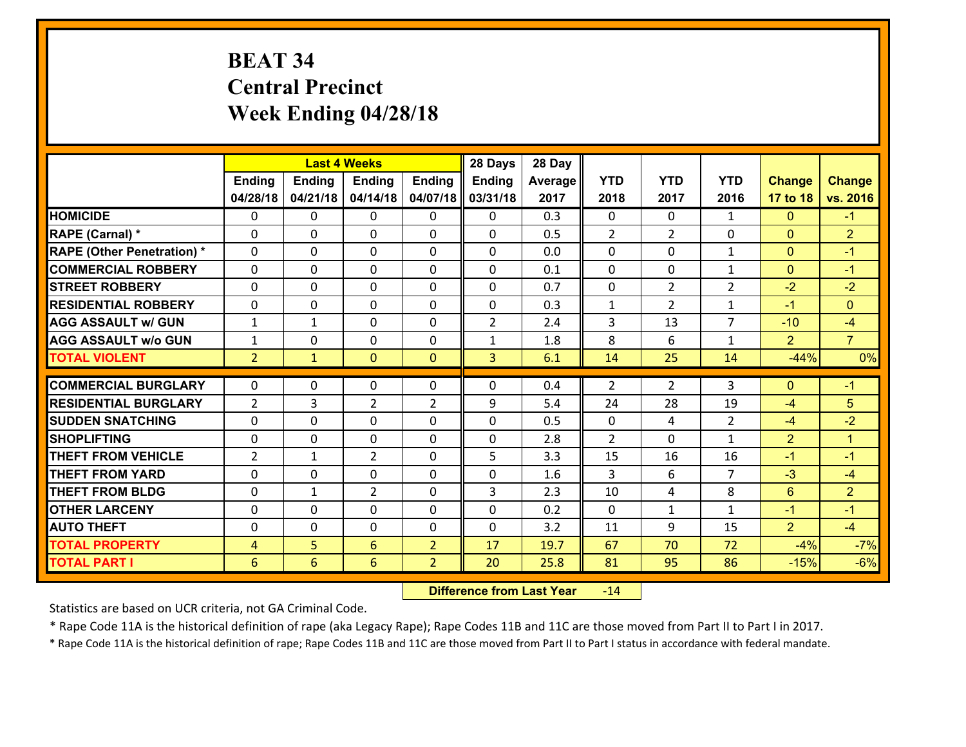# **BEAT 34 Central Precinct Week Ending 04/28/18**

|                                   |                |               | <b>Last 4 Weeks</b> |                | 28 Days        | 28 Day  |                |                |                |                |                |
|-----------------------------------|----------------|---------------|---------------------|----------------|----------------|---------|----------------|----------------|----------------|----------------|----------------|
|                                   | Ending         | <b>Ending</b> | <b>Ending</b>       | <b>Ending</b>  | <b>Ending</b>  | Average | <b>YTD</b>     | <b>YTD</b>     | <b>YTD</b>     | <b>Change</b>  | <b>Change</b>  |
|                                   | 04/28/18       | 04/21/18      | 04/14/18            | 04/07/18       | 03/31/18       | 2017    | 2018           | 2017           | 2016           | 17 to 18       | vs. 2016       |
| <b>HOMICIDE</b>                   | $\mathbf{0}$   | 0             | $\mathbf{0}$        | 0              | 0              | 0.3     | $\mathbf{0}$   | $\Omega$       | $\mathbf{1}$   | $\mathbf{0}$   | $-1$           |
| RAPE (Carnal) *                   | $\Omega$       | 0             | $\mathbf{0}$        | 0              | $\Omega$       | 0.5     | 2              | $\overline{2}$ | 0              | $\mathbf{0}$   | $\overline{2}$ |
| <b>RAPE (Other Penetration) *</b> | $\Omega$       | $\Omega$      | $\Omega$            | $\Omega$       | $\Omega$       | 0.0     | $\Omega$       | $\Omega$       | $\mathbf{1}$   | $\Omega$       | $-1$           |
| <b>COMMERCIAL ROBBERY</b>         | 0              | 0             | $\mathbf 0$         | 0              | 0              | 0.1     | 0              | $\mathbf{0}$   | $\mathbf{1}$   | $\mathbf{0}$   | $-1$           |
| <b>STREET ROBBERY</b>             | $\Omega$       | 0             | $\mathbf{0}$        | $\Omega$       | $\Omega$       | 0.7     | $\mathbf{0}$   | $\overline{2}$ | $\overline{2}$ | $-2$           | $-2$           |
| <b>RESIDENTIAL ROBBERY</b>        | $\Omega$       | $\Omega$      | $\mathbf 0$         | $\Omega$       | 0              | 0.3     | $\mathbf 1$    | $\overline{2}$ | $\mathbf{1}$   | $-1$           | $\Omega$       |
| <b>AGG ASSAULT w/ GUN</b>         | $\mathbf{1}$   | $\mathbf{1}$  | $\mathbf 0$         | $\Omega$       | $\overline{2}$ | 2.4     | 3              | 13             | $\overline{7}$ | $-10$          | $-4$           |
| <b>AGG ASSAULT W/o GUN</b>        | $\mathbf{1}$   | 0             | $\mathbf 0$         | 0              | $\mathbf{1}$   | 1.8     | 8              | 6              | $\mathbf{1}$   | $\overline{2}$ | $\overline{7}$ |
| <b>TOTAL VIOLENT</b>              | $\overline{2}$ | $\mathbf{1}$  | $\mathbf{0}$        | $\mathbf{0}$   | $\overline{3}$ | 6.1     | 14             | 25             | 14             | $-44%$         | 0%             |
| <b>COMMERCIAL BURGLARY</b>        | $\mathbf{0}$   | 0             | 0                   | 0              | $\Omega$       | 0.4     | 2              | 2              | 3              | $\mathbf{0}$   | $-1$           |
| <b>RESIDENTIAL BURGLARY</b>       | 2              | 3             | $\overline{2}$      | $\overline{2}$ | 9              | 5.4     | 24             | 28             | 19             | -4             | 5              |
| <b>ISUDDEN SNATCHING</b>          | $\Omega$       | 0             | $\mathbf{0}$        | $\Omega$       | $\Omega$       | 0.5     | $\Omega$       | 4              | $\overline{2}$ | $-4$           | $-2$           |
| <b>SHOPLIFTING</b>                | $\mathbf{0}$   | 0             | $\mathbf 0$         | $\Omega$       | 0              | 2.8     | $\overline{2}$ | $\Omega$       | $\mathbf{1}$   | $\overline{2}$ | $\mathbf{1}$   |
| <b>THEFT FROM VEHICLE</b>         | 2              | $\mathbf{1}$  | $\overline{2}$      | $\Omega$       | 5              | 3.3     | 15             | 16             | 16             | $-1$           | $-1$           |
| <b>THEFT FROM YARD</b>            | 0              | 0             | $\mathbf 0$         | $\Omega$       | 0              | 1.6     | 3              | 6              | $\overline{7}$ | $-3$           | $-4$           |
| <b>THEFT FROM BLDG</b>            | 0              | $\mathbf{1}$  | $\overline{2}$      | 0              | 3              | 2.3     | 10             | 4              | 8              | 6              | $\overline{2}$ |
| <b>OTHER LARCENY</b>              | 0              | 0             | $\mathbf 0$         | 0              | 0              | 0.2     | 0              | $\mathbf{1}$   | $\mathbf{1}$   | $-1$           | $-1$           |
| <b>AUTO THEFT</b>                 | $\mathbf{0}$   | 0             | $\mathbf 0$         | 0              | 0              | 3.2     | 11             | 9              | 15             | $\overline{2}$ | $-4$           |
| <b>TOTAL PROPERTY</b>             | $\overline{4}$ | 5             | 6                   | $\overline{2}$ | 17             | 19.7    | 67             | 70             | 72             | $-4%$          | $-7%$          |
| <b>TOTAL PART I</b>               | 6              | 6             | 6                   | $\overline{2}$ | 20             | 25.8    | 81             | 95             | 86             | $-15%$         | $-6%$          |

 **Difference from Last Year**r -14

Statistics are based on UCR criteria, not GA Criminal Code.

\* Rape Code 11A is the historical definition of rape (aka Legacy Rape); Rape Codes 11B and 11C are those moved from Part II to Part I in 2017.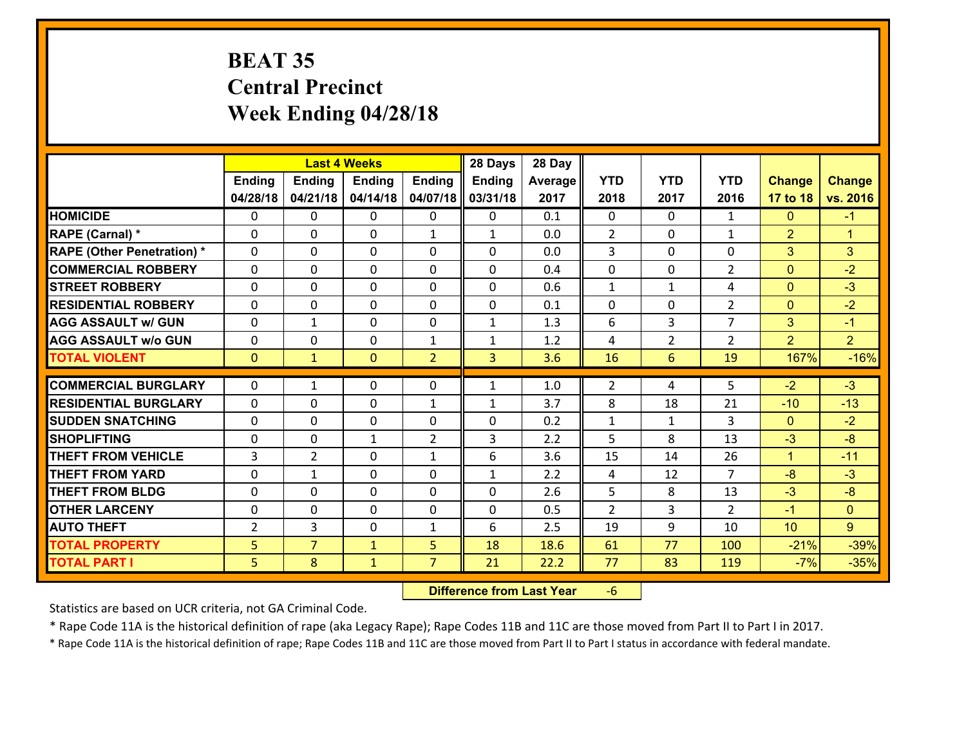# **BEAT 35 Central Precinct Week Ending 04/28/18**

|                                   |                |                | <b>Last 4 Weeks</b> |                | 28 Days       | 28 Day  |                |                |                |                |                      |
|-----------------------------------|----------------|----------------|---------------------|----------------|---------------|---------|----------------|----------------|----------------|----------------|----------------------|
|                                   | <b>Ending</b>  | <b>Ending</b>  | <b>Ending</b>       | <b>Ending</b>  | <b>Ending</b> | Average | <b>YTD</b>     | <b>YTD</b>     | <b>YTD</b>     | <b>Change</b>  | <b>Change</b>        |
|                                   | 04/28/18       | 04/21/18       | 04/14/18            | 04/07/18       | 03/31/18      | 2017    | 2018           | 2017           | 2016           | 17 to 18       | vs. 2016             |
| <b>HOMICIDE</b>                   | 0              | 0              | 0                   | 0              | 0             | 0.1     | $\mathbf 0$    | $\Omega$       | $\mathbf{1}$   | $\mathbf{0}$   | $-1$                 |
| RAPE (Carnal) *                   | $\Omega$       | 0              | $\mathbf{0}$        | $\mathbf{1}$   | $\mathbf{1}$  | 0.0     | 2              | 0              | $\mathbf{1}$   | $\overline{2}$ | $\blacktriangleleft$ |
| <b>RAPE (Other Penetration) *</b> | $\Omega$       | 0              | $\Omega$            | $\Omega$       | $\Omega$      | 0.0     | 3              | $\Omega$       | $\Omega$       | 3              | 3                    |
| <b>COMMERCIAL ROBBERY</b>         | $\Omega$       | 0              | $\mathbf 0$         | $\Omega$       | 0             | 0.4     | 0              | $\Omega$       | $\overline{2}$ | $\mathbf{0}$   | $-2$                 |
| <b>STREET ROBBERY</b>             | 0              | 0              | $\mathbf 0$         | 0              | 0             | 0.6     | $\mathbf{1}$   | $\mathbf{1}$   | 4              | $\mathbf{0}$   | $-3$                 |
| <b>RESIDENTIAL ROBBERY</b>        | $\Omega$       | 0              | $\mathbf 0$         | 0              | 0             | 0.1     | $\mathbf 0$    | $\mathbf{0}$   | $\overline{2}$ | $\overline{0}$ | $-2$                 |
| <b>AGG ASSAULT w/ GUN</b>         | 0              | $\mathbf{1}$   | $\mathbf 0$         | 0              | $\mathbf{1}$  | 1.3     | 6              | $\overline{3}$ | $\overline{7}$ | 3              | $-1$                 |
| <b>AGG ASSAULT w/o GUN</b>        | 0              | 0              | $\mathbf 0$         | $\mathbf{1}$   | $\mathbf{1}$  | 1.2     | 4              | $\overline{2}$ | $\overline{2}$ | $\overline{2}$ | 2 <sup>1</sup>       |
| <b>TOTAL VIOLENT</b>              | $\mathbf{0}$   | $\mathbf{1}$   | $\mathbf{0}$        | $\overline{2}$ | 3             | 3.6     | 16             | 6              | 19             | 167%           | $-16%$               |
| <b>COMMERCIAL BURGLARY</b>        | $\Omega$       |                |                     |                |               |         | 2              |                | 5              | $-2$           | $-3$                 |
|                                   |                | 1              | 0                   | 0              | $\mathbf{1}$  | 1.0     |                | 4              |                |                |                      |
| <b>RESIDENTIAL BURGLARY</b>       | $\Omega$       | 0              | $\mathbf{0}$        | $\mathbf{1}$   | $\mathbf{1}$  | 3.7     | 8              | 18             | 21             | $-10$          | $-13$                |
| <b>SUDDEN SNATCHING</b>           | $\Omega$       | 0              | $\mathbf 0$         | $\Omega$       | 0             | 0.2     | $\mathbf{1}$   | $\mathbf{1}$   | 3              | $\Omega$       | $-2$                 |
| <b>SHOPLIFTING</b>                | 0              | 0              | 1                   | $\overline{2}$ | 3             | 2.2     | 5              | 8              | 13             | $-3$           | $-8$                 |
| <b>THEFT FROM VEHICLE</b>         | 3              | $\overline{2}$ | 0                   | $\mathbf{1}$   | 6             | 3.6     | 15             | 14             | 26             | $\mathbf{1}$   | $-11$                |
| <b>THEFT FROM YARD</b>            | 0              | $\mathbf{1}$   | $\mathbf 0$         | 0              | $\mathbf{1}$  | 2.2     | 4              | 12             | $\overline{7}$ | $-8$           | $-3$                 |
| <b>THEFT FROM BLDG</b>            | 0              | 0              | $\mathbf 0$         | 0              | 0             | 2.6     | 5              | 8              | 13             | $-3$           | $-8$                 |
| <b>OTHER LARCENY</b>              | 0              | 0              | $\mathbf 0$         | 0              | 0             | 0.5     | $\overline{2}$ | 3              | $\overline{2}$ | $-1$           | $\overline{0}$       |
| <b>AUTO THEFT</b>                 | $\overline{2}$ | 3              | 0                   | $\mathbf{1}$   | 6             | 2.5     | 19             | 9              | 10             | 10             | 9                    |
| <b>TOTAL PROPERTY</b>             | 5 <sup>1</sup> | $\overline{7}$ | $\mathbf{1}$        | 5              | 18            | 18.6    | 61             | 77             | 100            | $-21%$         | $-39%$               |
| <b>TOTAL PART I</b>               | 5              | 8              | $\mathbf{1}$        | $\overline{7}$ | 21            | 22.2    | 77             | 83             | 119            | $-7%$          | $-35%$               |

 **Difference from Last Year**r -6

Statistics are based on UCR criteria, not GA Criminal Code.

\* Rape Code 11A is the historical definition of rape (aka Legacy Rape); Rape Codes 11B and 11C are those moved from Part II to Part I in 2017.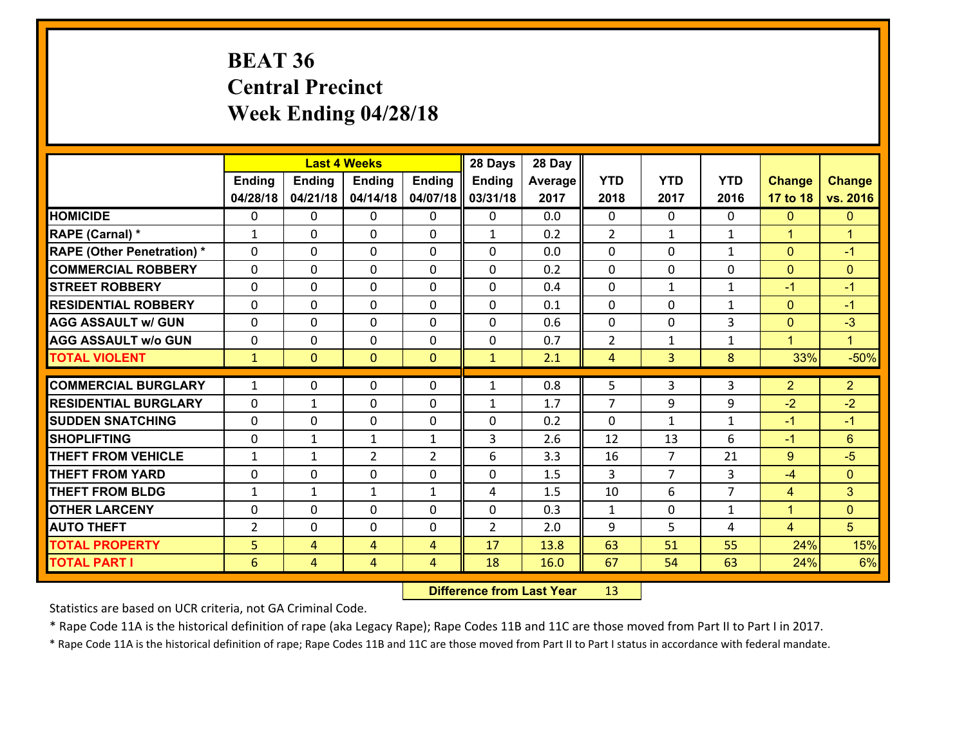# **BEAT 36 Central Precinct Week Ending 04/28/18**

|                                              |                |                     | <b>Last 4 Weeks</b> |                | 28 Days        | 28 Day       |                |                |                |                |                |
|----------------------------------------------|----------------|---------------------|---------------------|----------------|----------------|--------------|----------------|----------------|----------------|----------------|----------------|
|                                              | Ending         | <b>Ending</b>       | <b>Ending</b>       | <b>Ending</b>  | <b>Ending</b>  | Average      | <b>YTD</b>     | <b>YTD</b>     | <b>YTD</b>     | <b>Change</b>  | <b>Change</b>  |
|                                              | 04/28/18       | 04/21/18            | 04/14/18            | 04/07/18       | 03/31/18       | 2017         | 2018           | 2017           | 2016           | 17 to 18       | vs. 2016       |
| <b>HOMICIDE</b>                              | 0              | 0                   | 0                   | 0              | 0              | 0.0          | 0              | $\Omega$       | 0              | $\mathbf{0}$   | $\mathbf{0}$   |
| RAPE (Carnal) *                              | 1              | 0                   | $\mathbf{0}$        | 0              | $\mathbf{1}$   | 0.2          | 2              | $\mathbf{1}$   | $\mathbf{1}$   | $\mathbf{1}$   | $\mathbf{1}$   |
| <b>RAPE (Other Penetration) *</b>            | $\mathbf{0}$   | 0                   | $\mathbf{0}$        | $\Omega$       | $\Omega$       | 0.0          | $\mathbf{0}$   | 0              | $\mathbf{1}$   | $\mathbf{0}$   | $-1$           |
| <b>COMMERCIAL ROBBERY</b>                    | $\mathbf{0}$   | 0                   | $\mathbf{0}$        | 0              | $\Omega$       | 0.2          | $\Omega$       | $\Omega$       | 0              | $\mathbf{0}$   | $\mathbf{0}$   |
| <b>ISTREET ROBBERY</b>                       | $\mathbf{0}$   | 0                   | $\mathbf 0$         | 0              | 0              | 0.4          | $\mathbf{0}$   | $\mathbf{1}$   | $\mathbf{1}$   | $-1$           | $-1$           |
| <b>RESIDENTIAL ROBBERY</b>                   | $\Omega$       | 0                   | 0                   | $\Omega$       | $\Omega$       | 0.1          | $\mathbf{0}$   | $\mathbf{0}$   | $\mathbf{1}$   | $\mathbf{0}$   | $-1$           |
| <b>AGG ASSAULT w/ GUN</b>                    | 0              | 0                   | $\mathbf 0$         | $\Omega$       | 0              | 0.6          | $\mathbf{0}$   | $\mathbf{0}$   | 3              | $\mathbf{0}$   | $-3$           |
| <b>AGG ASSAULT W/o GUN</b>                   | 0              | 0                   | $\mathbf 0$         | 0              | 0              | 0.7          | $\overline{2}$ | $\mathbf{1}$   | $\mathbf{1}$   | $\mathbf{1}$   | $\mathbf{1}$   |
| <b>TOTAL VIOLENT</b>                         | $\mathbf{1}$   | $\mathbf{0}$        | $\mathbf{0}$        | $\mathbf{0}$   | $\mathbf{1}$   | 2.1          | $\overline{4}$ | $\overline{3}$ | 8              | 33%            | $-50%$         |
| <b>COMMERCIAL BURGLARY</b>                   | $\mathbf{1}$   | 0                   | $\mathbf{0}$        | 0              | $\mathbf{1}$   | 0.8          | 5              | 3              | 3              | $\overline{2}$ | 2 <sup>1</sup> |
|                                              |                |                     |                     |                |                |              |                |                |                |                |                |
|                                              |                |                     |                     |                |                |              |                |                |                |                |                |
| <b>RESIDENTIAL BURGLARY</b>                  | $\mathbf{0}$   | 1                   | $\mathbf{0}$        | 0              | 1              | 1.7          | 7              | 9              | 9              | -2             | $-2$           |
| <b>ISUDDEN SNATCHING</b>                     | $\mathbf{0}$   | 0                   | 0                   | 0              | $\Omega$       | 0.2          | $\mathbf{0}$   | $\mathbf{1}$   | $\mathbf{1}$   | $-1$           | $-1$           |
| <b>SHOPLIFTING</b>                           | $\mathbf{0}$   | $\mathbf{1}$        | $\mathbf{1}$        | $\mathbf{1}$   | 3              | 2.6          | 12             | 13             | 6              | $-1$           | 6              |
| <b>THEFT FROM VEHICLE</b>                    | $\mathbf{1}$   | 1                   | 2                   | $\overline{2}$ | 6              | 3.3          | 16             | $\overline{7}$ | 21             | 9              | $-5$           |
| <b>THEFT FROM YARD</b>                       | $\mathbf{0}$   | 0                   | $\mathbf{0}$        | $\Omega$       | $\Omega$       | 1.5          | 3              | $\overline{7}$ | 3              | -4             | $\mathbf{0}$   |
| <b>THEFT FROM BLDG</b>                       | $\mathbf{1}$   | $\mathbf{1}$        | 1                   | $\mathbf{1}$   | 4              | 1.5          | 10             | 6              | $\overline{7}$ | $\overline{4}$ | 3              |
| <b>OTHER LARCENY</b>                         | $\mathbf{0}$   | 0                   | $\mathbf{0}$        | $\Omega$       | $\Omega$       | 0.3          | $\mathbf{1}$   | 0              | $\mathbf{1}$   | $\mathbf{1}$   | $\mathbf{0}$   |
| <b>AUTO THEFT</b>                            | $\overline{2}$ | 0                   | 0                   | 0              | $\overline{2}$ | 2.0          | 9              | 5              | 4              | $\overline{4}$ | 5              |
| <b>TOTAL PROPERTY</b><br><b>TOTAL PART I</b> | 5<br>6         | 4<br>$\overline{4}$ | 4<br>$\overline{4}$ | 4<br>4         | 17<br>18       | 13.8<br>16.0 | 63<br>67       | 51<br>54       | 55<br>63       | 24%<br>24%     | 15%<br>6%      |

 **Difference from Last Year**r 13

Statistics are based on UCR criteria, not GA Criminal Code.

\* Rape Code 11A is the historical definition of rape (aka Legacy Rape); Rape Codes 11B and 11C are those moved from Part II to Part I in 2017.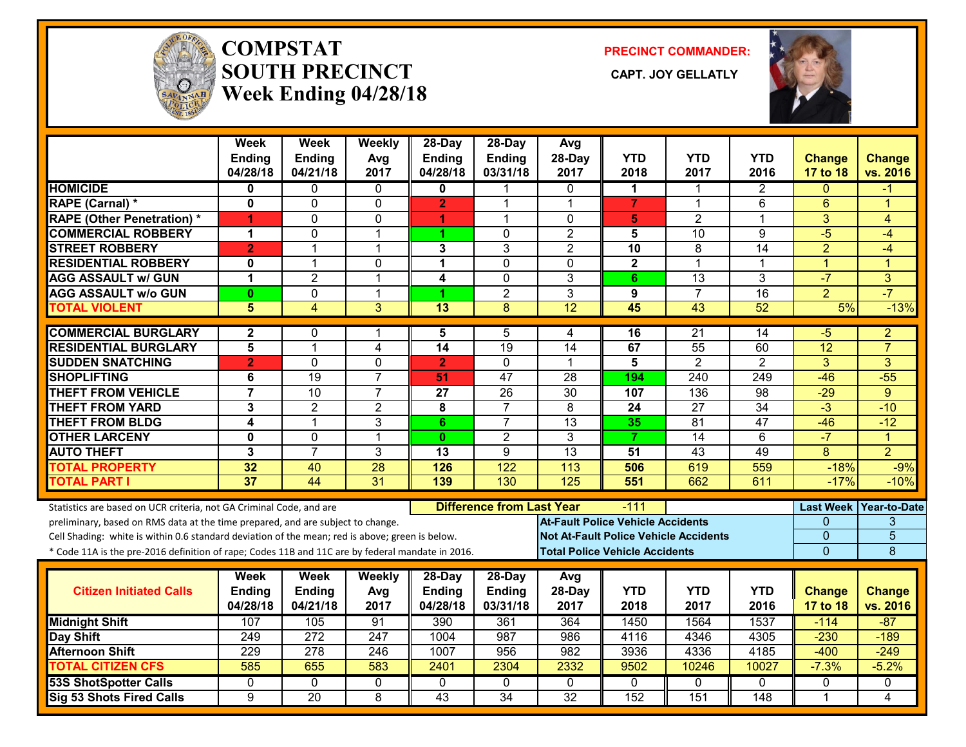

#### **COMPSTATSOUTH PRECINCT CAPT. JOY GELLATLYWeek Ending 04/28/18**

**PRECINCT COMMANDER:**



|                                                                                                  | Week<br>Ending<br>04/28/18 | Week<br><b>Ending</b><br>04/21/18 | Weekly<br>Avg<br>2017 | 28-Day<br><b>Ending</b><br>04/28/18 | $28$ -Day<br><b>Ending</b><br>03/31/18 | Avg<br>28-Day<br>2017                    | <b>YTD</b><br>2018                    | YTD<br>2017                                  | <b>YTD</b><br>2016 | <b>Change</b><br>17 to 18 | <b>Change</b><br>vs. 2016 |
|--------------------------------------------------------------------------------------------------|----------------------------|-----------------------------------|-----------------------|-------------------------------------|----------------------------------------|------------------------------------------|---------------------------------------|----------------------------------------------|--------------------|---------------------------|---------------------------|
| <b>HOMICIDE</b>                                                                                  | 0                          | 0                                 | $\mathbf{0}$          | $\mathbf{0}$                        | 1                                      | $\Omega$                                 | 1                                     | 1                                            | $\overline{2}$     | $\Omega$                  | -1                        |
| RAPE (Carnal) *                                                                                  | $\mathbf{0}$               | $\Omega$                          | $\mathbf 0$           | $\overline{2}$                      | 1                                      | $\overline{1}$                           | $\overline{7}$                        | $\mathbf 1$                                  | 6                  | $6\phantom{1}$            | 1                         |
| <b>RAPE (Other Penetration) *</b>                                                                | 1                          | $\mathbf{0}$                      | 0                     | 1                                   | 1                                      | $\mathbf{0}$                             | 5                                     | $\overline{2}$                               | 1                  | 3                         | 4                         |
| <b>COMMERCIAL ROBBERY</b>                                                                        | 1                          | 0                                 | 1                     | 1                                   | $\Omega$                               | $\overline{2}$                           | 5                                     | $\overline{10}$                              | 9                  | $-5$                      | $-4$                      |
| <b>STREET ROBBERY</b>                                                                            | $\overline{2}$             | 1                                 | $\mathbf 1$           | 3                                   | 3                                      | $\overline{2}$                           | 10                                    | 8                                            | 14                 | $\overline{2}$            | $-4$                      |
| <b>RESIDENTIAL ROBBERY</b>                                                                       | 0                          | $\mathbf{1}$                      | 0                     | 1                                   | 0                                      | $\Omega$                                 | $\mathbf{2}$                          | $\mathbf 1$                                  | 1                  | $\mathbf{1}$              | 1                         |
| <b>AGG ASSAULT w/ GUN</b>                                                                        | 1                          | $\overline{2}$                    | $\mathbf{1}$          | 4                                   | $\mathbf 0$                            | 3                                        | 6                                     | 13                                           | 3                  | $-7$                      | 3                         |
| <b>AGG ASSAULT w/o GUN</b>                                                                       | 0                          | $\mathbf 0$                       | $\mathbf 1$           | 1                                   | $\overline{2}$                         | 3                                        | 9                                     | $\overline{7}$                               | 16                 | $\overline{2}$            | $-7$                      |
| <b>TOTAL VIOLENT</b>                                                                             | 5                          | $\overline{4}$                    | $\overline{3}$        | 13                                  | $\overline{8}$                         | 12                                       | 45                                    | 43                                           | 52                 | 5%                        | $-13%$                    |
| <b>COMMERCIAL BURGLARY</b>                                                                       | $\mathbf{2}$               | $\mathbf{0}$                      | 1                     | 5                                   | 5                                      | 4                                        | 16                                    | 21                                           | 14                 | -5                        | $\overline{2}$            |
| <b>RESIDENTIAL BURGLARY</b>                                                                      | 5                          | 1                                 | 4                     | 14                                  | 19                                     | 14                                       | 67                                    | 55                                           | 60                 | 12                        | $\overline{7}$            |
| <b>SUDDEN SNATCHING</b>                                                                          | $\overline{2}$             | $\Omega$                          | $\overline{0}$        | $\overline{2}$                      | $\Omega$                               | $\mathbf 1$                              | $\overline{5}$                        | $\overline{2}$                               | $\overline{2}$     | $\overline{3}$            | $\overline{3}$            |
| <b>SHOPLIFTING</b>                                                                               | 6                          | 19                                | $\overline{7}$        | 51                                  | 47                                     | 28                                       | 194                                   | 240                                          | 249                | $-46$                     | $-55$                     |
| <b>THEFT FROM VEHICLE</b>                                                                        | $\overline{7}$             | 10                                | $\overline{7}$        | 27                                  | $\overline{26}$                        | $\overline{30}$                          | 107                                   | 136                                          | 98                 | $-29$                     | 9                         |
| <b>THEFT FROM YARD</b>                                                                           | 3                          | $\overline{2}$                    | 2                     | 8                                   | $\overline{7}$                         | 8                                        | 24                                    | $\overline{27}$                              | $\overline{34}$    | $\overline{3}$            | $-10$                     |
| <b>THEFT FROM BLDG</b>                                                                           | 4                          | $\mathbf{1}$                      | 3                     | 6                                   | $\overline{7}$                         | 13                                       | 35                                    | 81                                           | 47                 | $-46$                     | $-12$                     |
| <b>OTHER LARCENY</b>                                                                             | 0                          | $\Omega$                          | $\overline{1}$        | $\mathbf{0}$                        | $\overline{2}$                         | 3                                        | $\overline{7}$                        | $\overline{14}$                              | 6                  | $-7$                      | $\blacktriangleleft$      |
| <b>AUTO THEFT</b>                                                                                | 3                          | $\overline{7}$                    | $\overline{3}$        | $\overline{13}$                     | $\overline{9}$                         | 13                                       | 51                                    | $\overline{43}$                              | 49                 | $\overline{8}$            | $\overline{2}$            |
| <b>TOTAL PROPERTY</b>                                                                            | 32                         | 40                                | 28                    | 126                                 | 122                                    | 113                                      | 506                                   | 619                                          | 559                | $-18%$                    | $-9%$                     |
| <b>TOTAL PART I</b>                                                                              | $\overline{37}$            | 44                                | 31                    | 139                                 | 130                                    | $\overline{125}$                         | 551                                   | 662                                          | 611                | $-17%$                    | $-10%$                    |
| Statistics are based on UCR criteria, not GA Criminal Code, and are                              |                            |                                   |                       |                                     | <b>Difference from Last Year</b>       |                                          | $-111$                                |                                              |                    |                           | Last Week   Year-to-Date  |
| preliminary, based on RMS data at the time prepared, and are subject to change.                  |                            |                                   |                       |                                     |                                        | <b>At-Fault Police Vehicle Accidents</b> |                                       |                                              |                    | 0                         | 3                         |
| Cell Shading: white is within 0.6 standard deviation of the mean; red is above; green is below.  |                            |                                   |                       |                                     |                                        |                                          |                                       | <b>Not At-Fault Police Vehicle Accidents</b> |                    | 0                         | $\overline{5}$            |
| * Code 11A is the pre-2016 definition of rape; Codes 11B and 11C are by federal mandate in 2016. |                            |                                   |                       |                                     |                                        |                                          | <b>Total Police Vehicle Accidents</b> |                                              |                    | $\overline{0}$            | $\overline{8}$            |
|                                                                                                  | Week                       | Week                              | Weekly                | 28-Day                              | 28-Day                                 | Avg                                      |                                       |                                              |                    |                           |                           |
| <b>Citizen Initiated Calls</b>                                                                   | Ending                     | <b>Ending</b>                     | Avg                   | <b>Ending</b>                       | Ending                                 | 28-Day                                   | <b>YTD</b>                            | <b>YTD</b>                                   | <b>YTD</b>         | <b>Change</b>             | <b>Change</b>             |
|                                                                                                  | 04/28/18                   | 04/21/18                          | 2017                  | 04/28/18                            | 03/31/18                               | 2017                                     | 2018                                  | 2017                                         | 2016               | 17 to 18                  | vs. 2016                  |
| <b>Midnight Shift</b>                                                                            | 107                        | 105                               | 91                    | 390                                 | 361                                    | 364                                      | 1450                                  | 1564                                         | 1537               | $-114$                    | $-87$                     |
| <b>Day Shift</b>                                                                                 | 249                        | 272                               | 247                   | 1004                                | 987                                    | 986                                      | 4116                                  | 4346                                         | 4305               | $-230$                    | $-189$                    |
| <b>Afternoon Shift</b>                                                                           | 229                        | 278                               | 246                   | 1007                                | 956                                    | 982                                      | 3936                                  | 4336                                         | 4185               | $-400$                    | $-249$                    |
| <b>TOTAL CITIZEN CFS</b>                                                                         | 585                        | 655                               | 583                   | 2401                                | 2304                                   | 2332                                     | 9502                                  | 10246                                        | 10027              | $-7.3%$                   | $-5.2%$                   |
| <b>53S ShotSpotter Calls</b>                                                                     | 0                          | 0                                 | 0                     | 0                                   | 0                                      | $\mathbf{0}$                             | 0                                     | $\mathbf{0}$                                 | 0                  | 0                         | 0                         |
| Sig 53 Shots Fired Calls                                                                         | 9                          | $\overline{20}$                   | $\overline{8}$        | $\overline{43}$                     | 34                                     | 32                                       | 152                                   | 151                                          | $\overline{148}$   | $\mathbf 1$               | 4                         |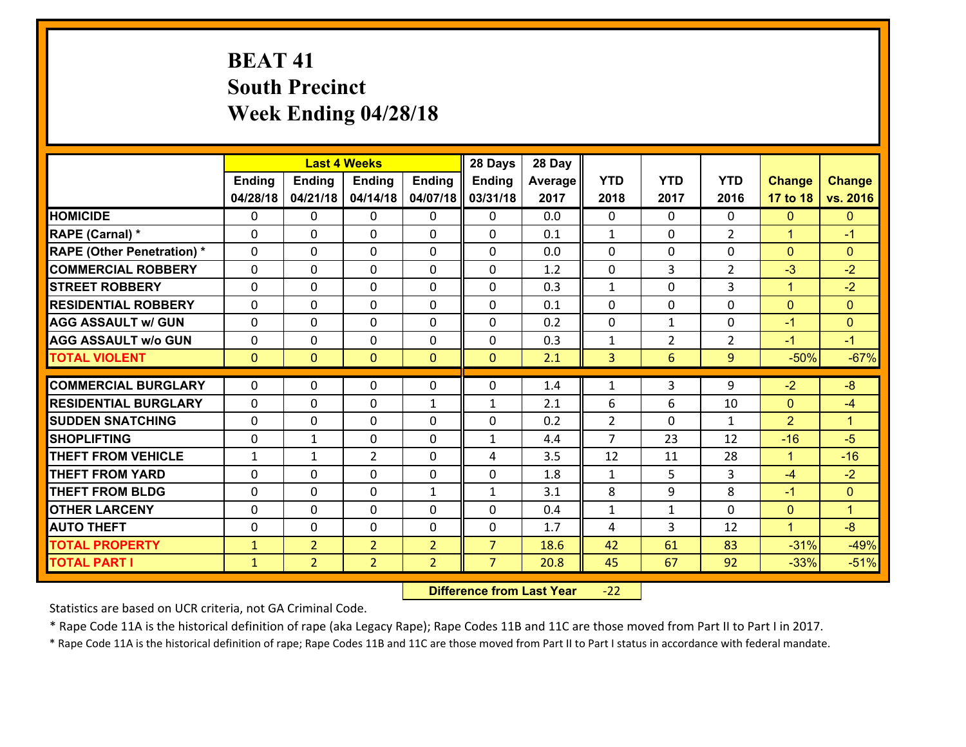# **BEAT 41 South Precinct Week Ending 04/28/18**

|                                              |                              |                                  | <b>Last 4 Weeks</b>              |                                  | 28 Days                          | 28 Day       |                |                |                |                  |                      |
|----------------------------------------------|------------------------------|----------------------------------|----------------------------------|----------------------------------|----------------------------------|--------------|----------------|----------------|----------------|------------------|----------------------|
|                                              | <b>Ending</b>                | <b>Ending</b>                    | <b>Ending</b>                    | <b>Ending</b>                    | <b>Ending</b>                    | Average      | <b>YTD</b>     | <b>YTD</b>     | <b>YTD</b>     | <b>Change</b>    | <b>Change</b>        |
|                                              | 04/28/18                     | 04/21/18                         | 04/14/18                         | 04/07/18                         | 03/31/18                         | 2017         | 2018           | 2017           | 2016           | 17 to 18         | vs. 2016             |
| <b>HOMICIDE</b>                              | 0                            | 0                                | 0                                | 0                                | 0                                | 0.0          | $\mathbf{0}$   | $\Omega$       | 0              | $\mathbf{0}$     | $\mathbf{0}$         |
| RAPE (Carnal) *                              | 0                            | $\Omega$                         | $\mathbf{0}$                     | 0                                | 0                                | 0.1          | 1              | 0              | $\overline{2}$ | $\mathbf{1}$     | $-1$                 |
| <b>RAPE (Other Penetration) *</b>            | $\Omega$                     | 0                                | $\Omega$                         | $\Omega$                         | $\Omega$                         | 0.0          | $\Omega$       | $\Omega$       | $\Omega$       | $\Omega$         | $\Omega$             |
| <b>COMMERCIAL ROBBERY</b>                    | 0                            | $\Omega$                         | $\mathbf 0$                      | $\Omega$                         | $\mathbf{0}$                     | 1.2          | $\mathbf 0$    | 3              | $\mathcal{L}$  | $-3$             | $-2$                 |
| <b>ISTREET ROBBERY</b>                       | 0                            | 0                                | $\mathbf 0$                      | 0                                | 0                                | 0.3          | $\mathbf{1}$   | $\mathbf 0$    | 3              | $\mathbf{1}$     | $-2$                 |
| <b>RESIDENTIAL ROBBERY</b>                   | 0                            | 0                                | 0                                | $\Omega$                         | 0                                | 0.1          | $\mathbf 0$    | $\mathbf{0}$   | 0              | $\mathbf{0}$     | $\overline{0}$       |
| <b>AGG ASSAULT w/ GUN</b>                    | 0                            | 0                                | $\mathbf 0$                      | $\Omega$                         | 0                                | 0.2          | $\mathbf 0$    | $\mathbf{1}$   | 0              | $-1$             | $\mathbf{0}$         |
| <b>AGG ASSAULT w/o GUN</b>                   | 0                            | 0                                | $\mathbf 0$                      | $\Omega$                         | 0                                | 0.3          | $\mathbf{1}$   | $\overline{2}$ | $\overline{2}$ | $-1$             | $-1$                 |
| <b>TOTAL VIOLENT</b>                         | $\mathbf{0}$                 | $\overline{0}$                   | $\mathbf{0}$                     | $\overline{0}$                   | $\mathbf{0}$                     | 2.1          | $\overline{3}$ | 6              | 9              | $-50%$           | $-67%$               |
| <b>COMMERCIAL BURGLARY</b>                   | $\Omega$                     | 0                                | $\mathbf{0}$                     | 0                                | 0                                | 1.4          | 1              | 3              | 9              | $-2$             | $-8$                 |
| <b>RESIDENTIAL BURGLARY</b>                  | $\Omega$                     | 0                                | $\Omega$                         | $\mathbf{1}$                     | $\mathbf{1}$                     | 2.1          | 6              | 6              | 10             | $\mathbf{0}$     | $-4$                 |
| <b>SUDDEN SNATCHING</b>                      | $\Omega$                     | $\Omega$                         | $\mathbf 0$                      | $\Omega$                         | 0                                | 0.2          | $\overline{2}$ | $\Omega$       | $\mathbf{1}$   | 2                | $\blacktriangleleft$ |
| <b>SHOPLIFTING</b>                           | $\Omega$                     | $\mathbf{1}$                     | $\mathbf{0}$                     | $\Omega$                         | $\mathbf{1}$                     | 4.4          | $\overline{7}$ | 23             | 12             | $-16$            | $-5$                 |
| <b>THEFT FROM VEHICLE</b>                    | 1                            | 1                                | $\overline{2}$                   | 0                                | 4                                | 3.5          | 12             | 11             | 28             | $\mathbf{1}$     | $-16$                |
| <b>THEFT FROM YARD</b>                       | 0                            | 0                                | $\mathbf 0$                      | $\Omega$                         | 0                                | 1.8          | $\mathbf{1}$   | 5              | 3              | $-4$             | $-2$                 |
| <b>THEFT FROM BLDG</b>                       | 0                            | 0                                | $\mathbf 0$                      | $\mathbf{1}$                     | $\mathbf{1}$                     | 3.1          | 8              | 9              | 8              | $-1$             | $\mathbf{0}$         |
| <b>OTHER LARCENY</b>                         | 0                            | 0                                | $\mathbf 0$                      | 0                                | 0                                | 0.4          | $\mathbf{1}$   | $\mathbf{1}$   | $\Omega$       | $\mathbf{0}$     | $\mathbf{1}$         |
| <b>AUTO THEFT</b>                            |                              |                                  |                                  |                                  |                                  |              |                |                |                | $\mathbf{1}$     | $-8$                 |
|                                              | 0                            | 0                                | $\mathbf{0}$                     | $\Omega$                         | 0                                | 1.7          | 4              | 3              | 12             |                  |                      |
|                                              |                              |                                  |                                  |                                  |                                  |              |                |                |                |                  |                      |
| <b>TOTAL PROPERTY</b><br><b>TOTAL PART I</b> | $\mathbf{1}$<br>$\mathbf{1}$ | $\overline{2}$<br>$\overline{2}$ | $\overline{2}$<br>$\overline{2}$ | $\overline{2}$<br>$\overline{2}$ | $\overline{7}$<br>$\overline{7}$ | 18.6<br>20.8 | 42<br>45       | 61<br>67       | 83<br>92       | $-31%$<br>$-33%$ | $-49%$<br>$-51%$     |

 **Difference from Last Year**r -22

Statistics are based on UCR criteria, not GA Criminal Code.

\* Rape Code 11A is the historical definition of rape (aka Legacy Rape); Rape Codes 11B and 11C are those moved from Part II to Part I in 2017.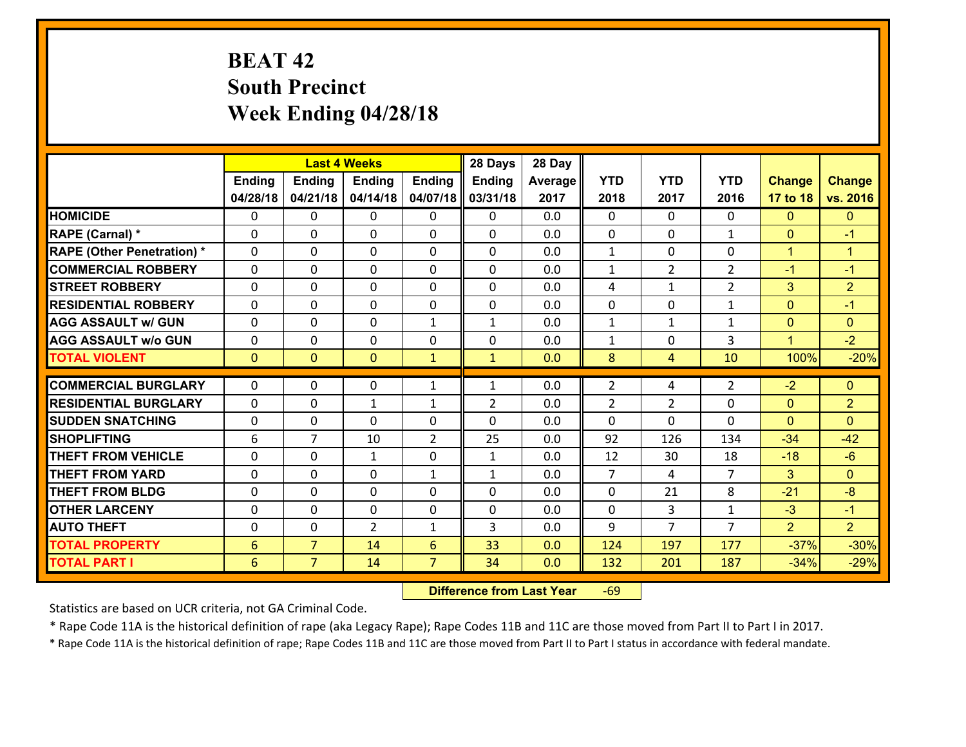# **BEAT 42 South Precinct Week Ending 04/28/18**

|                                   |                |                | <b>Last 4 Weeks</b> |                | 28 Days        | 28 Day  |                |                |                |                |                      |
|-----------------------------------|----------------|----------------|---------------------|----------------|----------------|---------|----------------|----------------|----------------|----------------|----------------------|
|                                   | <b>Ending</b>  | <b>Ending</b>  | <b>Ending</b>       | <b>Ending</b>  | <b>Ending</b>  | Average | <b>YTD</b>     | <b>YTD</b>     | <b>YTD</b>     | <b>Change</b>  | <b>Change</b>        |
|                                   | 04/28/18       | 04/21/18       | 04/14/18            | 04/07/18       | 03/31/18       | 2017    | 2018           | 2017           | 2016           | 17 to 18       | vs. 2016             |
| <b>HOMICIDE</b>                   | 0              | 0              | 0                   | 0              | 0              | 0.0     | $\Omega$       | $\Omega$       | 0              | $\mathbf{0}$   | $\mathbf{0}$         |
| RAPE (Carnal) *                   | 0              | $\Omega$       | $\mathbf{0}$        | 0              | 0              | 0.0     | $\mathbf{0}$   | 0              | $\mathbf{1}$   | $\mathbf{0}$   | $-1$                 |
| <b>RAPE (Other Penetration) *</b> | $\Omega$       | 0              | $\Omega$            | 0              | 0              | 0.0     | $\mathbf{1}$   | $\Omega$       | $\Omega$       | $\mathbf{1}$   | $\blacktriangleleft$ |
| <b>COMMERCIAL ROBBERY</b>         | 0              | $\Omega$       | $\mathbf 0$         | $\Omega$       | 0              | 0.0     | $\mathbf{1}$   | $\overline{2}$ | $\mathcal{L}$  | $-1$           | $-1$                 |
| <b>ISTREET ROBBERY</b>            | 0              | 0              | $\mathbf 0$         | 0              | 0              | 0.0     | 4              | $\mathbf{1}$   | $\overline{2}$ | 3              | $\overline{2}$       |
| <b>RESIDENTIAL ROBBERY</b>        | 0              | 0              | 0                   | $\Omega$       | 0              | 0.0     | $\mathbf 0$    | $\mathbf{0}$   | $\mathbf{1}$   | $\mathbf{0}$   | $-1$                 |
| <b>AGG ASSAULT w/ GUN</b>         | 0              | 0              | $\mathbf 0$         | $\mathbf{1}$   | $\mathbf{1}$   | 0.0     | $\mathbf{1}$   | $\mathbf{1}$   | $\mathbf{1}$   | $\mathbf{0}$   | $\mathbf{0}$         |
| <b>AGG ASSAULT w/o GUN</b>        | 0              | 0              | $\mathbf 0$         | $\Omega$       | 0              | 0.0     | $\mathbf{1}$   | $\mathbf{0}$   | 3              | $\mathbf{1}$   | $-2$                 |
| <b>TOTAL VIOLENT</b>              | $\mathbf{0}$   | $\overline{0}$ | $\mathbf{0}$        | $\mathbf{1}$   | $\mathbf{1}$   | 0.0     | 8              | $\overline{4}$ | 10             | 100%           | $-20%$               |
| <b>COMMERCIAL BURGLARY</b>        | $\Omega$       | 0              | $\mathbf{0}$        | $\mathbf{1}$   | 1              | 0.0     | $\overline{2}$ | 4              | 2              | $-2$           | $\mathbf{0}$         |
| <b>RESIDENTIAL BURGLARY</b>       | $\Omega$       | 0              | $\mathbf{1}$        | 1              | $\overline{2}$ | 0.0     | $\overline{2}$ | $\overline{2}$ | $\Omega$       | $\mathbf{0}$   | $\overline{2}$       |
| <b>SUDDEN SNATCHING</b>           | $\Omega$       | $\Omega$       | $\Omega$            | $\Omega$       | 0              | 0.0     | $\Omega$       | $\Omega$       | $\Omega$       | $\Omega$       | $\Omega$             |
| <b>SHOPLIFTING</b>                | 6              | $\overline{7}$ | 10                  | $\overline{2}$ | 25             | 0.0     | 92             | 126            | 134            | $-34$          | $-42$                |
| <b>THEFT FROM VEHICLE</b>         | 0              | 0              | $\mathbf{1}$        | 0              | $\mathbf{1}$   | 0.0     | 12             | 30             | 18             | $-18$          | $-6$                 |
| <b>THEFT FROM YARD</b>            | 0              | 0              | $\mathbf 0$         | $\mathbf{1}$   | $\mathbf{1}$   | 0.0     | $\overline{7}$ | 4              | $\overline{7}$ | 3              | $\mathbf{0}$         |
| <b>THEFT FROM BLDG</b>            | 0              | 0              | $\mathbf 0$         | 0              | 0              | 0.0     | $\mathbf 0$    | 21             | 8              | $-21$          | $-8$                 |
| <b>OTHER LARCENY</b>              | 0              | 0              | $\mathbf 0$         | 0              | 0              | 0.0     | $\mathbf 0$    | 3              | $\mathbf{1}$   | $-3$           | $-1$                 |
| <b>AUTO THEFT</b>                 | $\Omega$       | 0              | $\overline{2}$      | $\mathbf{1}$   | 3              | 0.0     | 9              | $\overline{7}$ | $\overline{7}$ | $\overline{2}$ | $\overline{2}$       |
| <b>TOTAL PROPERTY</b>             | 6              | $\overline{7}$ | 14                  | 6              | 33             | 0.0     | 124            | 197            | 177            | $-37%$         | $-30%$               |
| <b>TOTAL PART I</b>               | $6\phantom{1}$ | $\overline{7}$ | 14                  | $\overline{7}$ | 34             | 0.0     | 132            | 201            | 187            | $-34%$         | $-29%$               |

 **Difference from Last Year**r -69

Statistics are based on UCR criteria, not GA Criminal Code.

\* Rape Code 11A is the historical definition of rape (aka Legacy Rape); Rape Codes 11B and 11C are those moved from Part II to Part I in 2017.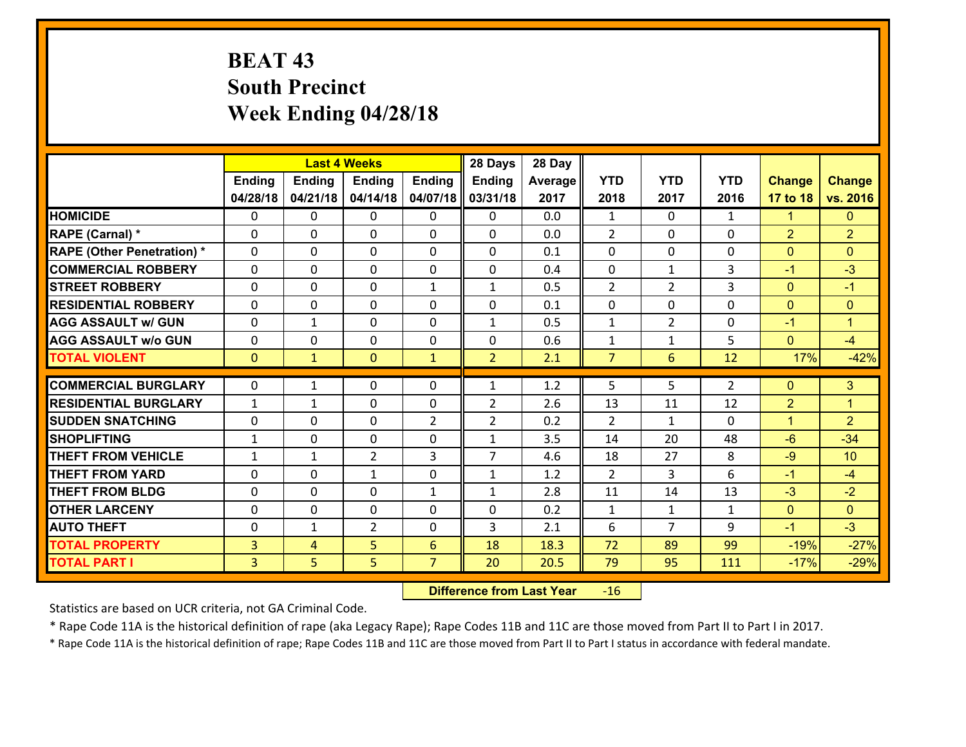# **BEAT 43 South Precinct Week Ending 04/28/18**

|                                   |                |               | <b>Last 4 Weeks</b> |                | 28 Days        | 28 Day  |                |                |                |                |                      |
|-----------------------------------|----------------|---------------|---------------------|----------------|----------------|---------|----------------|----------------|----------------|----------------|----------------------|
|                                   | <b>Ending</b>  | <b>Ending</b> | <b>Ending</b>       | Ending         | <b>Ending</b>  | Average | <b>YTD</b>     | <b>YTD</b>     | <b>YTD</b>     | <b>Change</b>  | <b>Change</b>        |
|                                   | 04/28/18       | 04/21/18      | 04/14/18            | 04/07/18       | 03/31/18       | 2017    | 2018           | 2017           | 2016           | 17 to 18       | vs. 2016             |
| <b>HOMICIDE</b>                   | $\Omega$       | 0             | $\Omega$            | $\Omega$       | $\Omega$       | 0.0     | 1              | $\Omega$       | $\mathbf{1}$   | $\mathbf{1}$   | $\mathbf{0}$         |
| RAPE (Carnal) *                   | 0              | 0             | $\mathbf{0}$        | 0              | $\Omega$       | 0.0     | 2              | 0              | $\Omega$       | $\overline{2}$ | $\overline{2}$       |
| <b>RAPE (Other Penetration) *</b> | $\Omega$       | 0             | $\mathbf{0}$        | $\Omega$       | $\Omega$       | 0.1     | $\Omega$       | $\Omega$       | $\Omega$       | $\mathbf{0}$   | $\Omega$             |
| <b>COMMERCIAL ROBBERY</b>         | 0              | 0             | 0                   | 0              | 0              | 0.4     | $\mathbf{0}$   | $\mathbf{1}$   | 3              | $-1$           | $-3$                 |
| <b>STREET ROBBERY</b>             | $\Omega$       | 0             | $\mathbf 0$         | $\mathbf{1}$   | $\mathbf{1}$   | 0.5     | $\overline{2}$ | $\overline{2}$ | 3              | $\mathbf{0}$   | $-1$                 |
| <b>RESIDENTIAL ROBBERY</b>        | $\Omega$       | $\Omega$      | $\mathbf 0$         | $\Omega$       | 0              | 0.1     | $\mathbf 0$    | $\Omega$       | $\Omega$       | $\mathbf{0}$   | $\mathbf{0}$         |
| <b>AGG ASSAULT w/ GUN</b>         | $\Omega$       | 1             | $\mathbf 0$         | 0              | $\mathbf{1}$   | 0.5     | $\mathbf 1$    | $\overline{2}$ | 0              | $-1$           | $\blacktriangleleft$ |
| <b>AGG ASSAULT w/o GUN</b>        | 0              | 0             | $\mathbf 0$         | 0              | 0              | 0.6     | $\mathbf 1$    | $\mathbf{1}$   | 5              | $\mathbf{0}$   | $-4$                 |
| <b>TOTAL VIOLENT</b>              | $\mathbf{0}$   | $\mathbf{1}$  | $\mathbf{O}$        | $\mathbf{1}$   | $\overline{2}$ | 2.1     | $\overline{7}$ | 6              | 12             | 17%            | $-42%$               |
| <b>COMMERCIAL BURGLARY</b>        | $\Omega$       | 1             | $\mathbf{0}$        | $\Omega$       | $\mathbf{1}$   | 1.2     | 5              | 5.             | $\overline{2}$ | $\mathbf{0}$   | 3                    |
| <b>RESIDENTIAL BURGLARY</b>       | $\mathbf{1}$   | 1             | $\mathbf 0$         | 0              | $\overline{2}$ | 2.6     | 13             | 11             | 12             | $\overline{2}$ | $\overline{1}$       |
| <b>SUDDEN SNATCHING</b>           | 0              | 0             | $\mathbf 0$         | $\overline{2}$ | $\overline{2}$ | 0.2     | 2              | $\mathbf{1}$   | 0              | $\mathbf{1}$   | $\overline{2}$       |
| <b>SHOPLIFTING</b>                | $\mathbf{1}$   | 0             | $\mathbf 0$         | 0              | $\mathbf{1}$   | 3.5     | 14             | 20             | 48             | $-6$           | $-34$                |
| <b>THEFT FROM VEHICLE</b>         | $\mathbf{1}$   | $\mathbf{1}$  | $\overline{2}$      | 3              | $\overline{7}$ | 4.6     | 18             | 27             | 8              | $-9$           | 10                   |
| <b>THEFT FROM YARD</b>            | 0              | 0             | 1                   | 0              | $\mathbf{1}$   | 1.2     | $\overline{2}$ | $\overline{3}$ | 6              | $-1$           | $-4$                 |
| <b>THEFT FROM BLDG</b>            | 0              | 0             | $\mathbf 0$         | $\mathbf{1}$   | $\mathbf{1}$   | 2.8     | 11             | 14             | 13             | $-3$           | $-2$                 |
| <b>OTHER LARCENY</b>              | 0              | 0             | $\mathbf 0$         | 0              | 0              | 0.2     | $\mathbf{1}$   | $\mathbf{1}$   | $\mathbf{1}$   | $\mathbf{0}$   | $\overline{0}$       |
| <b>AUTO THEFT</b>                 | $\mathbf{0}$   | 1             | $\overline{2}$      | 0              | 3              | 2.1     | 6              | $\overline{7}$ | 9              | $-1$           | $-3$                 |
| <b>TOTAL PROPERTY</b>             | $\overline{3}$ | 4             | 5                   | 6              | 18             | 18.3    | 72             | 89             | 99             | $-19%$         | $-27%$               |
| <b>TOTAL PART I</b>               | $\overline{3}$ | 5             | 5                   | $\overline{7}$ | 20             | 20.5    | 79             | 95             | 111            | $-17%$         | $-29%$               |

 **Difference from Last Year**r -16

Statistics are based on UCR criteria, not GA Criminal Code.

\* Rape Code 11A is the historical definition of rape (aka Legacy Rape); Rape Codes 11B and 11C are those moved from Part II to Part I in 2017.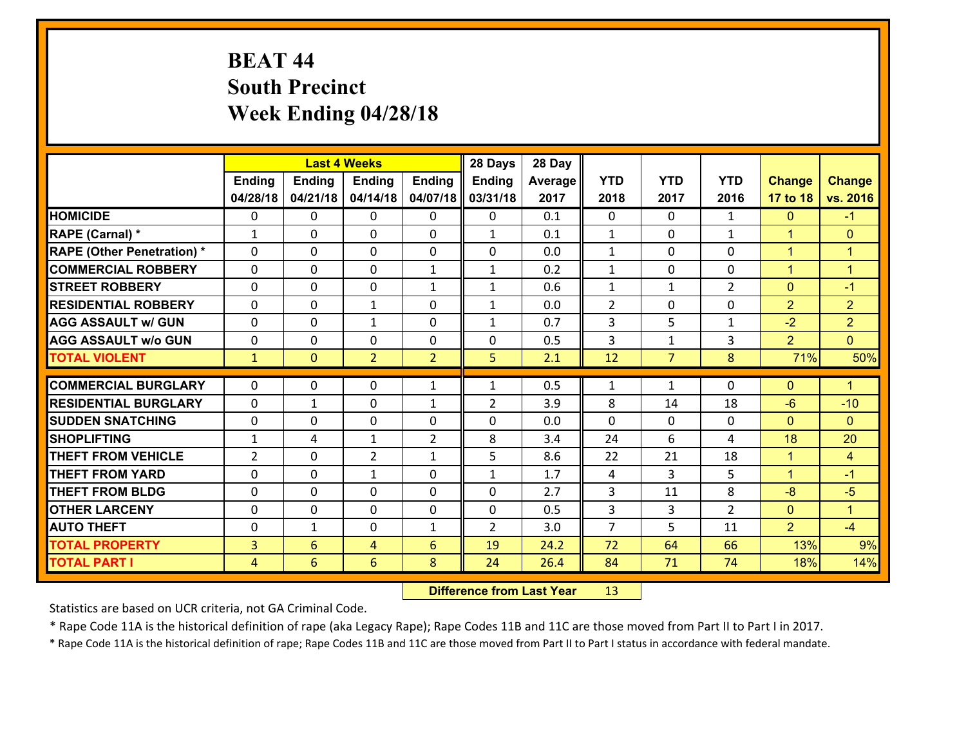# **BEAT 44 South Precinct Week Ending 04/28/18**

|                                   |                |                 | <b>Last 4 Weeks</b> |                | 28 Days        | 28 Day  |                         |                |                |                |                      |
|-----------------------------------|----------------|-----------------|---------------------|----------------|----------------|---------|-------------------------|----------------|----------------|----------------|----------------------|
|                                   | <b>Ending</b>  | <b>Ending</b>   | <b>Ending</b>       | <b>Ending</b>  | <b>Ending</b>  | Average | <b>YTD</b>              | <b>YTD</b>     | <b>YTD</b>     | <b>Change</b>  | <b>Change</b>        |
|                                   | 04/28/18       | 04/21/18        | 04/14/18            | 04/07/18       | 03/31/18       | 2017    | 2018                    | 2017           | 2016           | 17 to 18       | vs. 2016             |
| <b>HOMICIDE</b>                   | $\mathbf{0}$   | 0               | 0                   | 0              | $\mathbf{0}$   | 0.1     | $\mathbf 0$             | $\Omega$       | $\mathbf{1}$   | $\mathbf{0}$   | $-1$                 |
| RAPE (Carnal) *                   | $\mathbf{1}$   | 0               | $\mathbf{0}$        | 0              | $\mathbf{1}$   | 0.1     | 1                       | 0              | $\mathbf{1}$   | $\mathbf{1}$   | $\mathbf{0}$         |
| <b>RAPE (Other Penetration) *</b> | $\Omega$       | 0               | $\Omega$            | $\Omega$       | $\Omega$       | 0.0     | $\mathbf{1}$            | $\Omega$       | $\Omega$       | $\mathbf{1}$   | $\blacktriangleleft$ |
| <b>COMMERCIAL ROBBERY</b>         | $\Omega$       | $\Omega$        | $\mathbf 0$         | $\mathbf{1}$   | $\mathbf{1}$   | 0.2     | $\mathbf{1}$            | $\Omega$       | $\Omega$       | $\mathbf{1}$   | $\blacktriangleleft$ |
| <b>STREET ROBBERY</b>             | 0              | 0               | $\mathbf 0$         | $\mathbf{1}$   | $\mathbf{1}$   | 0.6     | $\mathbf 1$             | $\mathbf{1}$   | $\overline{2}$ | $\mathbf{0}$   | $-1$                 |
| <b>RESIDENTIAL ROBBERY</b>        | 0              | 0               | 1                   | 0              | $\mathbf{1}$   | 0.0     | $\overline{2}$          | 0              | 0              | $\overline{2}$ | $\overline{2}$       |
| <b>AGG ASSAULT w/ GUN</b>         | 0              | 0               | $\mathbf{1}$        | 0              | $\mathbf{1}$   | 0.7     | $\overline{3}$          | 5              | $\mathbf{1}$   | $-2$           | $\overline{2}$       |
| <b>AGG ASSAULT w/o GUN</b>        | 0              | 0               | $\mathbf 0$         | 0              | 0              | 0.5     | $\overline{\mathbf{3}}$ | $\mathbf{1}$   | 3              | $\overline{2}$ | $\overline{0}$       |
| <b>TOTAL VIOLENT</b>              | $\mathbf{1}$   | $\overline{0}$  | $\overline{2}$      | $\overline{2}$ | 5              | 2.1     | 12                      | $\overline{7}$ | 8              | 71%            | 50%                  |
| <b>COMMERCIAL BURGLARY</b>        | $\Omega$       |                 |                     |                |                |         |                         |                |                |                | $\blacktriangleleft$ |
|                                   |                | 0               | 0                   | $\mathbf{1}$   | $\mathbf{1}$   | 0.5     | 1                       | $\mathbf{1}$   | 0              | $\mathbf{0}$   |                      |
| <b>RESIDENTIAL BURGLARY</b>       | $\Omega$       | 1               | $\mathbf{0}$        | $\mathbf{1}$   | $\overline{2}$ | 3.9     | 8                       | 14             | 18             | $-6$           | $-10$                |
| <b>SUDDEN SNATCHING</b>           | $\Omega$       | 0               | $\mathbf 0$         | $\Omega$       | $\Omega$       | 0.0     | $\Omega$                | $\Omega$       | $\Omega$       | $\Omega$       | $\Omega$             |
| <b>SHOPLIFTING</b>                | $\mathbf{1}$   | 4               | 1                   | $\overline{2}$ | 8              | 3.4     | 24                      | 6              | 4              | 18             | 20                   |
| <b>THEFT FROM VEHICLE</b>         | $\overline{2}$ | 0               | $\overline{2}$      | $\mathbf{1}$   | 5              | 8.6     | 22                      | 21             | 18             | $\mathbf{1}$   | $\overline{4}$       |
| <b>THEFT FROM YARD</b>            | 0              | 0               | $\mathbf{1}$        | 0              | $\mathbf{1}$   | 1.7     | 4                       | $\overline{3}$ | 5              | $\mathbf{1}$   | $-1$                 |
| <b>THEFT FROM BLDG</b>            | 0              | 0               | $\mathbf 0$         | 0              | 0              | 2.7     | 3                       | 11             | 8              | $-8$           | $-5$                 |
| <b>OTHER LARCENY</b>              | 0              | 0               | $\mathbf 0$         | 0              | 0              | 0.5     | 3                       | 3              | $\overline{2}$ | $\mathbf{0}$   | $\mathbf{1}$         |
| <b>AUTO THEFT</b>                 | 0              | 1               | 0                   | $\mathbf{1}$   | $\overline{2}$ | 3.0     | $\overline{7}$          | 5              | 11             | $\overline{2}$ | $-4$                 |
| <b>TOTAL PROPERTY</b>             | 3              | 6               | 4                   | 6              | 19             | 24.2    | 72                      | 64             | 66             | 13%            | 9%                   |
| <b>TOTAL PART I</b>               | $\overline{4}$ | $6\overline{6}$ | 6                   | 8              | 24             | 26.4    | 84                      | 71             | 74             | 18%            | 14%                  |

 **Difference from Last Year**r 13

Statistics are based on UCR criteria, not GA Criminal Code.

\* Rape Code 11A is the historical definition of rape (aka Legacy Rape); Rape Codes 11B and 11C are those moved from Part II to Part I in 2017.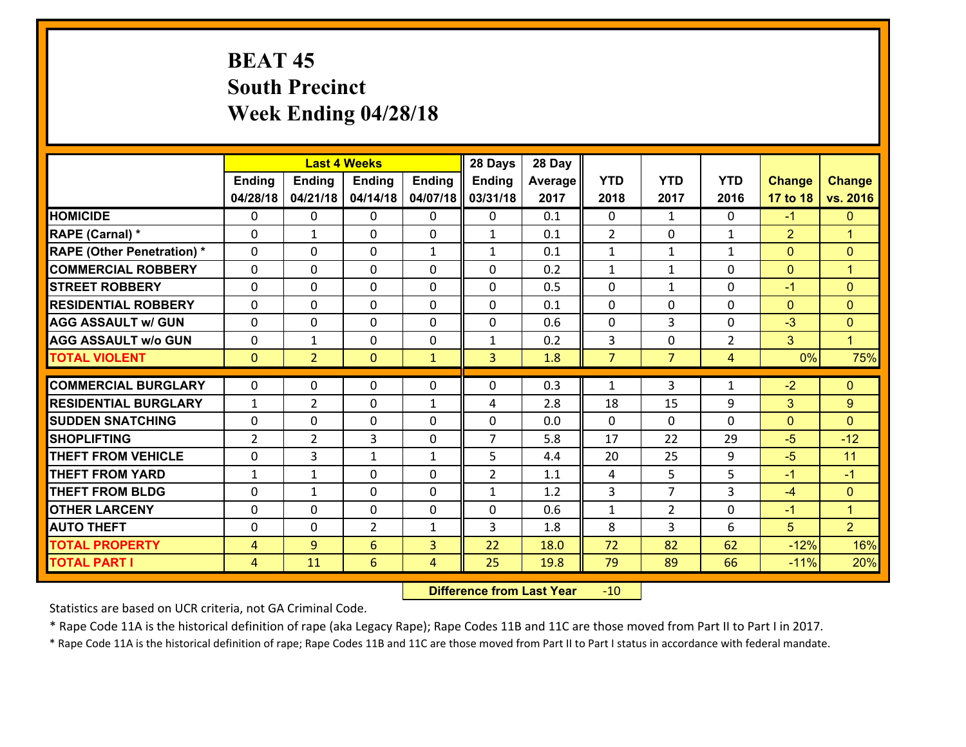# **BEAT 45 South Precinct Week Ending 04/28/18**

|                                   |                |                | <b>Last 4 Weeks</b> |               | 28 Days        | 28 Day  |                |                |                |                |                      |
|-----------------------------------|----------------|----------------|---------------------|---------------|----------------|---------|----------------|----------------|----------------|----------------|----------------------|
|                                   | <b>Ending</b>  | <b>Ending</b>  | <b>Ending</b>       | <b>Ending</b> | <b>Ending</b>  | Average | <b>YTD</b>     | <b>YTD</b>     | <b>YTD</b>     | <b>Change</b>  | <b>Change</b>        |
|                                   | 04/28/18       | 04/21/18       | 04/14/18            | 04/07/18      | 03/31/18       | 2017    | 2018           | 2017           | 2016           | 17 to 18       | vs. 2016             |
| <b>HOMICIDE</b>                   | 0              | $\Omega$       | $\Omega$            | 0             | $\Omega$       | 0.1     | $\Omega$       | $\mathbf{1}$   | 0              | $-1$           | $\mathbf{0}$         |
| RAPE (Carnal) *                   | $\Omega$       | $\mathbf{1}$   | $\mathbf{0}$        | 0             | $\mathbf{1}$   | 0.1     | 2              | 0              | $\mathbf{1}$   | $\overline{2}$ | $\blacktriangleleft$ |
| <b>RAPE (Other Penetration) *</b> | $\Omega$       | $\Omega$       | $\mathbf{0}$        | $\mathbf{1}$  | $\mathbf{1}$   | 0.1     | $\mathbf{1}$   | $\mathbf{1}$   | $\mathbf{1}$   | $\mathbf{0}$   | $\mathbf{0}$         |
| <b>COMMERCIAL ROBBERY</b>         | 0              | 0              | 0                   | $\Omega$      | $\mathbf{0}$   | 0.2     | $\mathbf{1}$   | $\mathbf{1}$   | $\Omega$       | $\mathbf 0$    | $\mathbf{1}$         |
| <b>STREET ROBBERY</b>             | 0              | 0              | $\mathbf 0$         | 0             | 0              | 0.5     | $\mathbf 0$    | $\mathbf{1}$   | 0              | $-1$           | $\mathbf{0}$         |
| <b>RESIDENTIAL ROBBERY</b>        | $\Omega$       | $\Omega$       | $\mathbf 0$         | $\Omega$      | $\Omega$       | 0.1     | $\Omega$       | $\Omega$       | $\Omega$       | $\mathbf{0}$   | $\mathbf{0}$         |
| <b>AGG ASSAULT w/ GUN</b>         | 0              | $\Omega$       | $\mathbf 0$         | $\Omega$      | 0              | 0.6     | $\mathbf 0$    | 3              | 0              | $-3$           | $\mathbf{0}$         |
| <b>AGG ASSAULT w/o GUN</b>        | 0              | $\mathbf{1}$   | $\mathbf 0$         | 0             | $\mathbf{1}$   | 0.2     | 3              | $\mathbf 0$    | $\overline{2}$ | 3              | $\mathbf{1}$         |
| <b>TOTAL VIOLENT</b>              | $\mathbf{0}$   | $\overline{2}$ | $\mathbf{0}$        | $\mathbf{1}$  | 3              | 1.8     | $\overline{7}$ | $\overline{7}$ | 4              | $0\%$          | 75%                  |
| <b>COMMERCIAL BURGLARY</b>        | $\Omega$       | $\Omega$       | $\mathbf{0}$        | $\Omega$      | 0              | 0.3     | $\mathbf{1}$   | 3              | $\mathbf{1}$   | $-2$           | $\mathbf{0}$         |
| <b>RESIDENTIAL BURGLARY</b>       | $\mathbf{1}$   | $\overline{2}$ | 0                   | $\mathbf{1}$  | 4              | 2.8     | 18             | 15             | 9              | 3              | 9                    |
| <b>SUDDEN SNATCHING</b>           | 0              | 0              | 0                   | $\Omega$      | 0              | 0.0     | $\mathbf 0$    | $\mathbf{0}$   | 0              | $\mathbf{0}$   | $\mathbf{0}$         |
| <b>SHOPLIFTING</b>                | $\overline{2}$ | $\overline{2}$ | 3                   | 0             | $\overline{7}$ | 5.8     | 17             | 22             | 29             | $-5$           | $-12$                |
| <b>THEFT FROM VEHICLE</b>         | 0              | 3              | $\mathbf{1}$        | $\mathbf{1}$  | 5              | 4.4     | 20             | 25             | 9              | $-5$           | 11                   |
| <b>THEFT FROM YARD</b>            | $\mathbf{1}$   | $\mathbf{1}$   | $\mathbf 0$         | $\Omega$      | $\overline{2}$ | 1.1     | 4              | 5              | 5              | $-1$           | $-1$                 |
| <b>THEFT FROM BLDG</b>            | 0              | $\mathbf{1}$   | $\mathbf 0$         | $\Omega$      | $\mathbf{1}$   | 1.2     | 3              | $\overline{7}$ | 3              | $-4$           | $\mathbf{0}$         |
| <b>OTHER LARCENY</b>              | 0              | 0              | $\mathbf 0$         | 0             | 0              | 0.6     | $\mathbf{1}$   | $\overline{2}$ | 0              | $-1$           | $\mathbf{1}$         |
| <b>AUTO THEFT</b>                 | 0              | 0              | $\overline{2}$      | $\mathbf{1}$  | 3              | 1.8     | 8              | 3              | 6              | 5              | $\overline{2}$       |
| <b>TOTAL PROPERTY</b>             | 4              | 9              | 6                   | 3             | 22             | 18.0    | 72             | 82             | 62             | $-12%$         | 16%                  |
| <b>TOTAL PART I</b>               | $\overline{4}$ | 11             | $6\phantom{1}$      | 4             | 25             | 19.8    | 79             | 89             | 66             | $-11%$         | 20%                  |

 **Difference from Last Year**r -10

Statistics are based on UCR criteria, not GA Criminal Code.

\* Rape Code 11A is the historical definition of rape (aka Legacy Rape); Rape Codes 11B and 11C are those moved from Part II to Part I in 2017.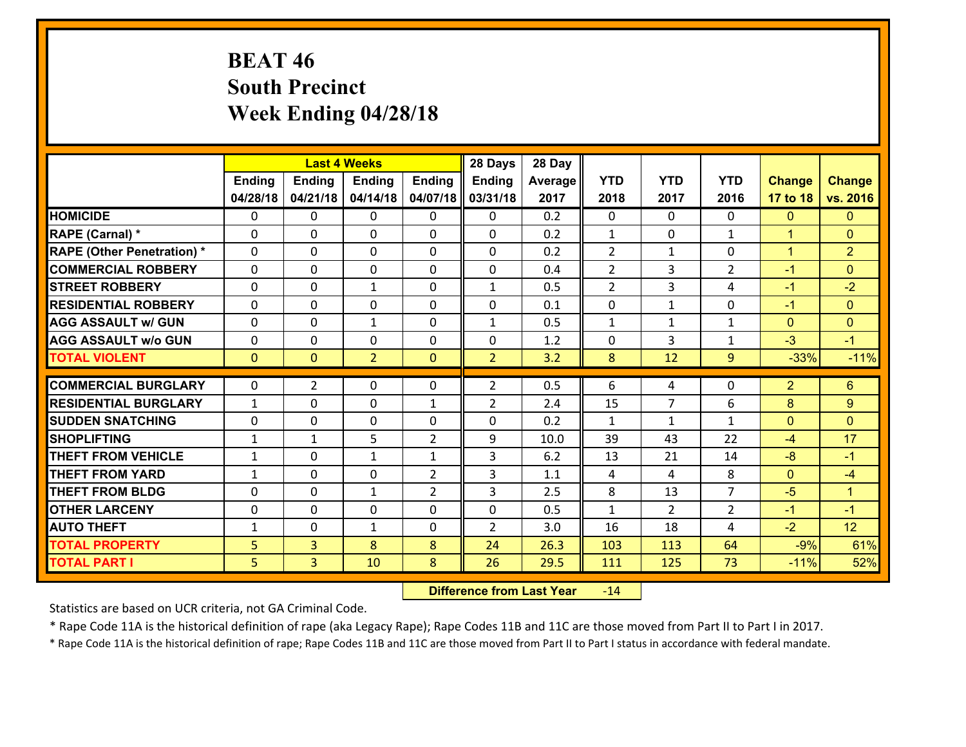# **BEAT 46 South Precinct Week Ending 04/28/18**

|                                              |              |                                  | <b>Last 4 Weeks</b> |                | 28 Days        | 28 Day       |                |                |                |                      |                      |
|----------------------------------------------|--------------|----------------------------------|---------------------|----------------|----------------|--------------|----------------|----------------|----------------|----------------------|----------------------|
|                                              | Ending       | <b>Ending</b>                    | <b>Ending</b>       | <b>Ending</b>  | Ending         | Average      | <b>YTD</b>     | <b>YTD</b>     | <b>YTD</b>     | <b>Change</b>        | <b>Change</b>        |
|                                              | 04/28/18     | 04/21/18                         | 04/14/18            | 04/07/18       | 03/31/18       | 2017         | 2018           | 2017           | 2016           | 17 to 18             | vs. 2016             |
| <b>HOMICIDE</b>                              | $\mathbf{0}$ | 0                                | $\mathbf{0}$        | 0              | $\mathbf{0}$   | 0.2          | $\mathbf{0}$   | $\Omega$       | $\Omega$       | $\mathbf{0}$         | $\mathbf{0}$         |
| RAPE (Carnal) *                              | $\Omega$     | 0                                | $\mathbf 0$         | $\Omega$       | 0              | 0.2          | 1              | $\Omega$       | $\mathbf{1}$   | $\blacktriangleleft$ | $\overline{0}$       |
| <b>RAPE (Other Penetration) *</b>            | $\Omega$     | $\Omega$                         | $\mathbf 0$         | $\Omega$       | $\Omega$       | 0.2          | $\overline{2}$ | $\mathbf{1}$   | $\Omega$       | $\blacktriangleleft$ | $\overline{2}$       |
| <b>COMMERCIAL ROBBERY</b>                    | 0            | 0                                | $\mathbf 0$         | 0              | 0              | 0.4          | $\overline{2}$ | 3              | $\overline{2}$ | $-1$                 | $\overline{0}$       |
| <b>STREET ROBBERY</b>                        | $\mathbf{0}$ | 0                                | $\mathbf{1}$        | $\Omega$       | $\mathbf{1}$   | 0.5          | 2              | 3              | 4              | $-1$                 | $-2$                 |
| <b>RESIDENTIAL ROBBERY</b>                   | $\Omega$     | 0                                | $\mathbf 0$         | $\Omega$       | 0              | 0.1          | $\mathbf{0}$   | $\mathbf{1}$   | 0              | $-1$                 | $\Omega$             |
| <b>AGG ASSAULT w/ GUN</b>                    | $\Omega$     | $\Omega$                         | $\mathbf{1}$        | $\Omega$       | $\mathbf{1}$   | 0.5          | $\mathbf{1}$   | $\mathbf{1}$   | $\mathbf{1}$   | $\overline{0}$       | $\Omega$             |
| <b>AGG ASSAULT w/o GUN</b>                   | 0            | 0                                | $\mathbf 0$         | $\Omega$       | 0              | 1.2          | 0              | 3              | $\mathbf{1}$   | $-3$                 | $-1$                 |
| <b>TOTAL VIOLENT</b>                         | $\mathbf{0}$ | $\mathbf{0}$                     | $\overline{2}$      | $\mathbf{0}$   | $\overline{2}$ | 3.2          | 8              | 12             | 9              | $-33%$               | $-11%$               |
| <b>COMMERCIAL BURGLARY</b>                   | 0            | $\overline{2}$                   | $\mathbf{0}$        | 0              | $\overline{2}$ | 0.5          | 6              | 4              | 0              | $\overline{2}$       | 6                    |
| <b>RESIDENTIAL BURGLARY</b>                  | $\mathbf{1}$ | 0                                | $\mathbf 0$         | $\mathbf{1}$   | $\overline{2}$ | 2.4          | 15             | $\overline{7}$ | 6              | 8                    | $9^{\circ}$          |
| <b>ISUDDEN SNATCHING</b>                     |              |                                  |                     |                |                |              |                |                |                |                      |                      |
|                                              |              |                                  |                     |                |                |              |                |                |                |                      |                      |
|                                              | 0            | 0                                | $\mathbf 0$         | 0              | 0              | 0.2          | $\mathbf{1}$   | $\mathbf{1}$   | $\mathbf{1}$   | $\mathbf{0}$         | $\overline{0}$       |
| <b>SHOPLIFTING</b>                           | 1            | 1                                | 5                   | $\overline{2}$ | 9              | 10.0         | 39             | 43             | 22             | $-4$                 | 17                   |
| <b>THEFT FROM VEHICLE</b>                    | $\mathbf{1}$ | 0                                | $\mathbf{1}$        | $\mathbf{1}$   | 3              | 6.2          | 13             | 21             | 14             | $-8$                 | $-1$                 |
| <b>THEFT FROM YARD</b>                       | $\mathbf{1}$ | $\Omega$                         | $\mathbf 0$         | $\overline{2}$ | 3              | 1.1          | 4              | 4              | 8              | $\mathbf{0}$         | $-4$                 |
| <b>THEFT FROM BLDG</b>                       | $\mathbf{0}$ | 0                                | 1                   | $\overline{2}$ | 3              | 2.5          | 8              | 13             | $\overline{7}$ | $-5$                 | $\blacktriangleleft$ |
| <b>OTHER LARCENY</b>                         | 0            | 0                                | $\mathbf 0$         | 0              | 0              | 0.5          | $\mathbf{1}$   | $\overline{2}$ | $\overline{2}$ | $-1$                 | $-1$                 |
| <b>AUTO THEFT</b>                            | $\mathbf{1}$ | 0                                | $\mathbf{1}$        | 0              | $\overline{2}$ | 3.0          | 16             | 18             | 4              | $-2$                 | 12                   |
| <b>TOTAL PROPERTY</b><br><b>TOTAL PART I</b> | 5<br>5       | $\overline{3}$<br>$\overline{3}$ | 8<br>10             | 8<br>8         | 24<br>26       | 26.3<br>29.5 | 103<br>111     | 113<br>125     | 64<br>73       | $-9%$<br>$-11%$      | 61%<br>52%           |

 **Difference from Last Year**r -14

Statistics are based on UCR criteria, not GA Criminal Code.

\* Rape Code 11A is the historical definition of rape (aka Legacy Rape); Rape Codes 11B and 11C are those moved from Part II to Part I in 2017.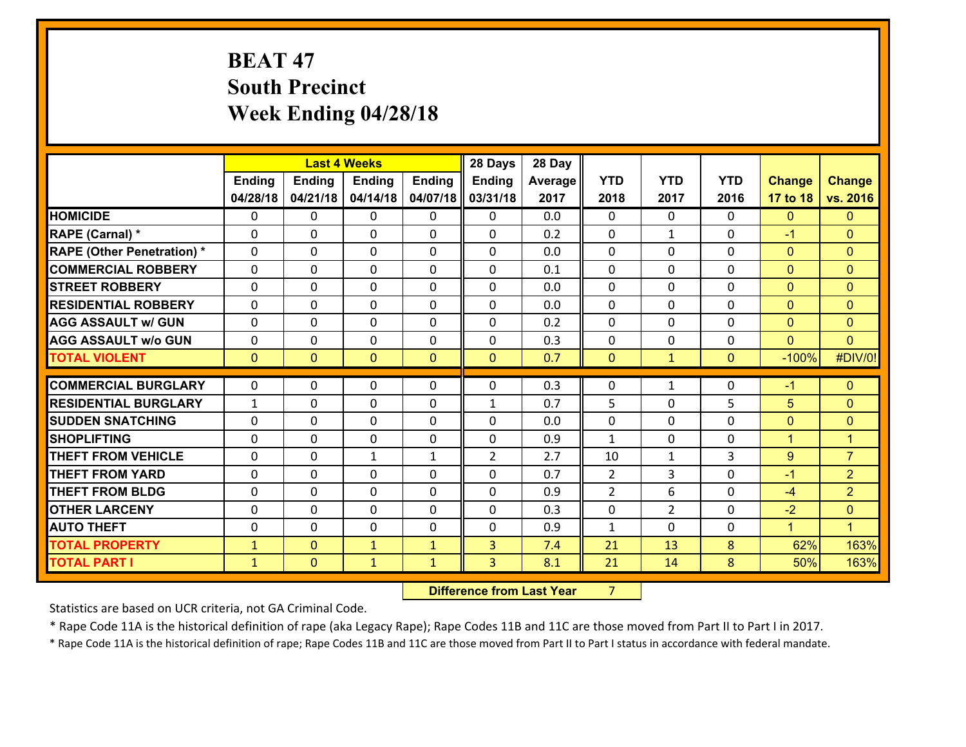# **BEAT 47 South Precinct Week Ending 04/28/18**

|                                   |              |                | <b>Last 4 Weeks</b> |                | 28 Days        | 28 Day  |                |              |                |                      |                      |
|-----------------------------------|--------------|----------------|---------------------|----------------|----------------|---------|----------------|--------------|----------------|----------------------|----------------------|
|                                   | Ending       | <b>Ending</b>  | <b>Ending</b>       | <b>Ending</b>  | <b>Ending</b>  | Average | <b>YTD</b>     | <b>YTD</b>   | <b>YTD</b>     | <b>Change</b>        | <b>Change</b>        |
|                                   | 04/28/18     | 04/21/18       | 04/14/18            | 04/07/18       | 03/31/18       | 2017    | 2018           | 2017         | 2016           | 17 to 18             | vs. 2016             |
| <b>HOMICIDE</b>                   | $\Omega$     | 0              | 0                   | 0              | 0              | 0.0     | $\Omega$       | $\Omega$     | 0              | $\mathbf{0}$         | $\mathbf{0}$         |
| RAPE (Carnal) *                   | $\Omega$     | 0              | $\mathbf 0$         | 0              | 0              | 0.2     | $\mathbf 0$    | $\mathbf{1}$ | $\Omega$       | $-1$                 | $\mathbf{0}$         |
| <b>RAPE (Other Penetration) *</b> | $\Omega$     | 0              | $\mathbf{0}$        | $\Omega$       | $\Omega$       | 0.0     | $\Omega$       | $\Omega$     | $\Omega$       | $\mathbf{0}$         | $\mathbf{0}$         |
| <b>COMMERCIAL ROBBERY</b>         | $\Omega$     | 0              | $\mathbf 0$         | $\Omega$       | $\Omega$       | 0.1     | $\Omega$       | $\Omega$     | $\Omega$       | $\mathbf{0}$         | $\mathbf{0}$         |
| <b>STREET ROBBERY</b>             | $\Omega$     | 0              | $\mathbf{0}$        | $\Omega$       | $\Omega$       | 0.0     | $\Omega$       | $\Omega$     | $\Omega$       | $\mathbf{0}$         | $\mathbf{0}$         |
| <b>RESIDENTIAL ROBBERY</b>        | $\Omega$     | 0              | $\mathbf{0}$        | $\Omega$       | $\Omega$       | 0.0     | $\Omega$       | $\Omega$     | $\Omega$       | $\mathbf{0}$         | $\mathbf{0}$         |
| <b>AGG ASSAULT w/ GUN</b>         | 0            | 0              | $\mathbf 0$         | $\Omega$       | 0              | 0.2     | 0              | $\Omega$     | $\Omega$       | $\mathbf{0}$         | $\mathbf{0}$         |
| <b>AGG ASSAULT w/o GUN</b>        | $\mathbf{0}$ | 0              | 0                   | 0              | 0              | 0.3     | 0              | 0            | $\Omega$       | $\mathbf{0}$         | $\mathbf{0}$         |
| <b>TOTAL VIOLENT</b>              | $\mathbf{0}$ | $\overline{0}$ | $\mathbf{0}$        | $\overline{0}$ | $\mathbf{0}$   | 0.7     | $\mathbf{0}$   | $\mathbf{1}$ | $\overline{0}$ | $-100%$              | #DIV/0!              |
| <b>COMMERCIAL BURGLARY</b>        |              |                |                     |                |                |         |                |              |                |                      |                      |
|                                   |              |                |                     |                |                |         |                |              |                |                      |                      |
|                                   | $\mathbf{0}$ | 0              | 0                   | 0              | $\Omega$       | 0.3     | 0              | $\mathbf{1}$ | 0              | $-1$                 | $\mathbf{0}$         |
| <b>RESIDENTIAL BURGLARY</b>       | $\mathbf{1}$ | 0              | $\mathbf 0$         | $\Omega$       | $\mathbf{1}$   | 0.7     | 5              | $\Omega$     | 5              | 5                    | $\mathbf{0}$         |
| <b>SUDDEN SNATCHING</b>           | 0            | 0              | $\mathbf{0}$        | 0              | $\Omega$       | 0.0     | $\mathbf{0}$   | $\Omega$     | $\Omega$       | $\mathbf{0}$         | $\mathbf{0}$         |
| <b>SHOPLIFTING</b>                | $\Omega$     | 0              | $\mathbf 0$         | $\Omega$       | 0              | 0.9     | $\mathbf{1}$   | $\Omega$     | $\Omega$       | $\mathbf{1}$         | $\overline{1}$       |
| <b>THEFT FROM VEHICLE</b>         | 0            | 0              | $\mathbf{1}$        | $\mathbf{1}$   | $\overline{2}$ | 2.7     | 10             | $\mathbf{1}$ | 3              | $9^{\circ}$          | $\overline{7}$       |
| <b>THEFT FROM YARD</b>            | 0            | 0              | $\mathbf{0}$        | $\Omega$       | $\Omega$       | 0.7     | 2              | 3            | $\Omega$       | $-1$                 | $\overline{2}$       |
| <b>THEFT FROM BLDG</b>            | $\Omega$     | 0              | $\Omega$            | $\Omega$       | $\Omega$       | 0.9     | $\overline{2}$ | 6            | $\Omega$       | $-4$                 | $\overline{2}$       |
| <b>OTHER LARCENY</b>              | 0            | 0              | $\mathbf{0}$        | $\Omega$       | $\Omega$       | 0.3     | 0              | 2            | $\Omega$       | $-2$                 | $\mathbf{0}$         |
| <b>AUTO THEFT</b>                 | 0            | 0              | $\mathbf{0}$        | $\Omega$       | $\Omega$       | 0.9     | $\mathbf{1}$   | 0            | $\Omega$       | $\blacktriangleleft$ | $\blacktriangleleft$ |
| <b>TOTAL PROPERTY</b>             | $\mathbf{1}$ | $\overline{0}$ | $\mathbf{1}$        | $\mathbf{1}$   | 3              | 7.4     | 21             | 13           | 8              | 62%                  | 163%                 |
| <b>TOTAL PART I</b>               | $\mathbf{1}$ | $\mathbf{0}$   | $\mathbf{1}$        | $\mathbf{1}$   | 3 <sup>1</sup> | 8.1     | 21             | 14           | 8              | 50%                  | 163%                 |

**12. Difference from Last Year 7**  $7 \quad \blacksquare$ 

Statistics are based on UCR criteria, not GA Criminal Code.

\* Rape Code 11A is the historical definition of rape (aka Legacy Rape); Rape Codes 11B and 11C are those moved from Part II to Part I in 2017.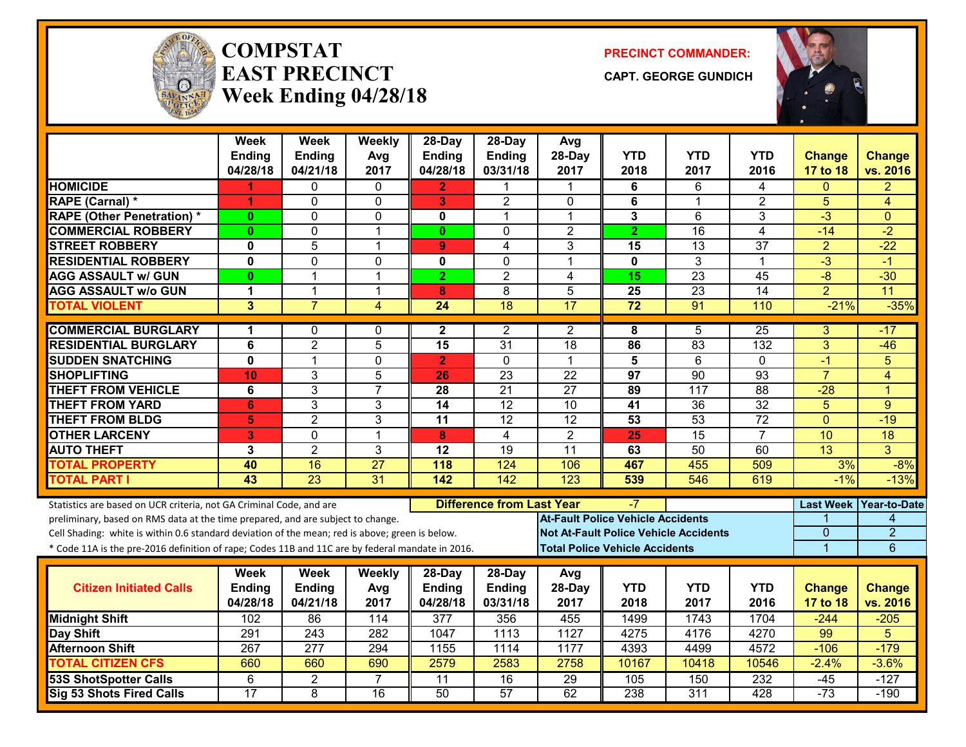

#### **COMPSTATEAST PRECINCTWeek Ending 04/28/18**

**PRECINCT COMMANDER:**

**CAPT. GEORGE GUNDICH**



|                                                                                                  | <b>Week</b><br><b>Ending</b> | <b>Week</b><br><b>Ending</b> | Weekly<br>Avg   | 28-Day<br><b>Ending</b>                | $28$ -Day<br><b>Ending</b> | Avg<br>28-Day   | <b>YTD</b>                                   | <b>YTD</b>      | <b>YTD</b>      | <b>Change</b>   | <b>Change</b>            |
|--------------------------------------------------------------------------------------------------|------------------------------|------------------------------|-----------------|----------------------------------------|----------------------------|-----------------|----------------------------------------------|-----------------|-----------------|-----------------|--------------------------|
|                                                                                                  | 04/28/18                     | 04/21/18                     | 2017            | 04/28/18                               | 03/31/18                   | 2017            | 2018                                         | 2017            | 2016            | 17 to 18        | vs. 2016                 |
| <b>HOMICIDE</b>                                                                                  |                              | 0                            | $\Omega$        | $\mathbf{2}$                           | 1                          | 1               | 6                                            | 6               | 4               | 0               | $\overline{2}$           |
| RAPE (Carnal) *                                                                                  | 1                            | 0                            | $\mathbf 0$     | 3                                      | $\overline{2}$             | $\mathbf{0}$    | 6                                            | $\mathbf 1$     | $\overline{2}$  | 5               | $\overline{4}$           |
| <b>RAPE (Other Penetration) *</b>                                                                | $\mathbf{0}$                 | 0                            | 0               | 0                                      | 1                          | $\mathbf{1}$    | 3                                            | 6               | 3               | $-3$            | $\mathbf{0}$             |
| <b>COMMERCIAL ROBBERY</b>                                                                        | $\mathbf{0}$                 | 0                            | $\overline{1}$  | $\mathbf{0}$                           | $\Omega$                   | $\overline{2}$  | $\overline{2}$                               | $\overline{16}$ | $\overline{4}$  | $-14$           | $-2$                     |
| <b>STREET ROBBERY</b>                                                                            | $\mathbf 0$                  | 5                            | 1               | 9                                      | 4                          | 3               | 15                                           | 13              | 37              | $\overline{2}$  | $-22$                    |
| <b>RESIDENTIAL ROBBERY</b>                                                                       | $\mathbf 0$                  | $\overline{0}$               | $\mathbf{0}$    | 0                                      | $\mathbf 0$                | 1               | $\mathbf 0$                                  | $\overline{3}$  | $\mathbf 1$     | $-3$            | $-1$                     |
| <b>AGG ASSAULT w/ GUN</b>                                                                        | $\mathbf{0}$                 | $\mathbf{1}$                 | $\overline{1}$  | $\overline{2}$                         | $\overline{2}$             | $\overline{4}$  | 15                                           | $\overline{23}$ | 45              | $-8$            | $-30$                    |
| <b>AGG ASSAULT w/o GUN</b>                                                                       | 1                            | 1                            | $\overline{1}$  | 8                                      | $\overline{8}$             | 5               | 25                                           | $\overline{23}$ | $\overline{14}$ | $\overline{2}$  | 11                       |
| <b>TOTAL VIOLENT</b>                                                                             | 3                            | $\overline{7}$               | 4               | $\overline{24}$                        | $\overline{18}$            | $\overline{17}$ | $\overline{72}$                              | 91              | 110             | $-21%$          | $-35%$                   |
| <b>COMMERCIAL BURGLARY</b>                                                                       | 1                            | 0                            | $\mathbf{0}$    | $\mathbf{2}$                           | 2                          | $\overline{2}$  | 8                                            | 5               | $\overline{25}$ | 3               | -17                      |
| <b>RESIDENTIAL BURGLARY</b>                                                                      | 6                            | $\overline{2}$               | 5               | 15                                     | $\overline{31}$            | $\overline{18}$ | 86                                           | 83              | 132             | $\overline{3}$  | $-46$                    |
| <b>SUDDEN SNATCHING</b>                                                                          | $\mathbf 0$                  | 1                            | $\mathbf{0}$    | $\overline{2}$                         | $\Omega$                   | $\mathbf 1$     | 5                                            | 6               | 0               | $-1$            | 5                        |
| <b>SHOPLIFTING</b>                                                                               | 10                           | 3                            | 5               | 26                                     | $\overline{23}$            | $\overline{22}$ | $\overline{97}$                              | $\overline{90}$ | $\overline{93}$ | $\overline{7}$  | $\overline{4}$           |
| <b>THEFT FROM VEHICLE</b>                                                                        | 6                            | $\overline{3}$               | $\overline{7}$  | $\overline{28}$                        | $\overline{21}$            | $\overline{27}$ | 89                                           | 117             | 88              | $-28$           | $\overline{1}$           |
| <b>THEFT FROM YARD</b>                                                                           | 6                            | 3                            | $\mathbf{3}$    | 14                                     | $\overline{12}$            | 10              | 41                                           | $\overline{36}$ | $\overline{32}$ | 5               | 9                        |
| <b>THEFT FROM BLDG</b>                                                                           | $\overline{\mathbf{5}}$      | $\overline{2}$               | 3               | $\overline{11}$                        | $\overline{12}$            | $\overline{12}$ | 53                                           | $\overline{53}$ | $\overline{72}$ | $\overline{0}$  | $-19$                    |
| <b>OTHER LARCENY</b>                                                                             | 3                            | 0                            | $\mathbf{1}$    | 8                                      | $\overline{4}$             | $\overline{2}$  | $\overline{25}$                              | $\overline{15}$ | $\overline{7}$  | 10              | $\overline{18}$          |
| <b>AUTO THEFT</b>                                                                                | 3                            | $\overline{2}$               | 3               | 12                                     | 19                         | 11              | 63                                           | 50              | 60              | $\overline{13}$ | $\overline{3}$           |
| <b>TOTAL PROPERTY</b>                                                                            | 40                           | 16                           | $\overline{27}$ | 118                                    | 124                        | 106             | 467                                          | 455             | 509             | 3%              | $-8%$                    |
| <b>TOTAL PART I</b>                                                                              | 43                           | $\overline{23}$              | 31              | 142                                    | $\overline{142}$           | 123             | 539                                          | 546             | 619             | $-1%$           | $-13%$                   |
| Statistics are based on UCR criteria, not GA Criminal Code, and are                              |                              |                              |                 | <b>Difference from Last Year</b><br>-7 |                            |                 |                                              |                 |                 |                 | Last Week   Year-to-Date |
| preliminary, based on RMS data at the time prepared, and are subject to change.                  |                              |                              |                 |                                        |                            |                 | <b>At-Fault Police Vehicle Accidents</b>     |                 |                 |                 | 4                        |
| Cell Shading: white is within 0.6 standard deviation of the mean; red is above; green is below.  |                              |                              |                 |                                        |                            |                 | <b>Not At-Fault Police Vehicle Accidents</b> |                 |                 | 0               | $\overline{2}$           |
| * Code 11A is the pre-2016 definition of rape; Codes 11B and 11C are by federal mandate in 2016. |                              |                              |                 |                                        |                            |                 | <b>Total Police Vehicle Accidents</b>        |                 |                 | 1               | 6                        |
|                                                                                                  | Week                         | <b>Week</b>                  | Weekly          | 28-Day                                 | $28-Day$                   | Avg             |                                              |                 |                 |                 |                          |
| <b>Citizen Initiated Calls</b>                                                                   | Ending                       | Ending                       | Avg             | Ending                                 | <b>Ending</b>              | 28-Day          | <b>YTD</b>                                   | <b>YTD</b>      | <b>YTD</b>      | <b>Change</b>   | <b>Change</b>            |
|                                                                                                  | 04/28/18                     | 04/21/18                     | 2017            | 04/28/18                               | 03/31/18                   | 2017            | 2018                                         | 2017            | 2016            | <b>17 to 18</b> | vs. 2016                 |
| <b>Midnight Shift</b>                                                                            | 102                          | 86                           | 114             | 377                                    | 356                        | 455             | 1499                                         | 1743            | 1704            | $-244$          | $-205$                   |
| Day Shift                                                                                        | 291                          | $\overline{243}$             | 282             | 1047                                   | 1113                       | 1127            | 4275                                         | 4176            | 4270            | 99              | 5                        |
| <b>Afternoon Shift</b>                                                                           | 267                          | 277                          | 294             | 1155                                   | 1114                       | 1177            | 4393                                         | 4499            | 4572            | $-106$          | $-179$                   |
| <b>TOTAL CITIZEN CFS</b>                                                                         | 660                          | 660                          | 690             | 2579                                   | 2583                       | 2758            | 10167                                        | 10418           | 10546           | $-2.4%$         | $-3.6%$                  |
| <b>53S ShotSpotter Calls</b>                                                                     | 6                            | $\overline{2}$               | $\overline{7}$  | $\overline{11}$                        | $\overline{16}$            | 29              | 105                                          | 150             | 232             | $-45$           | $-127$                   |
| <b>Sig 53 Shots Fired Calls</b>                                                                  | 17                           | 8                            | 16              | 50                                     | 57                         | 62              | 238                                          | 311             | 428             | $-73$           | $-190$                   |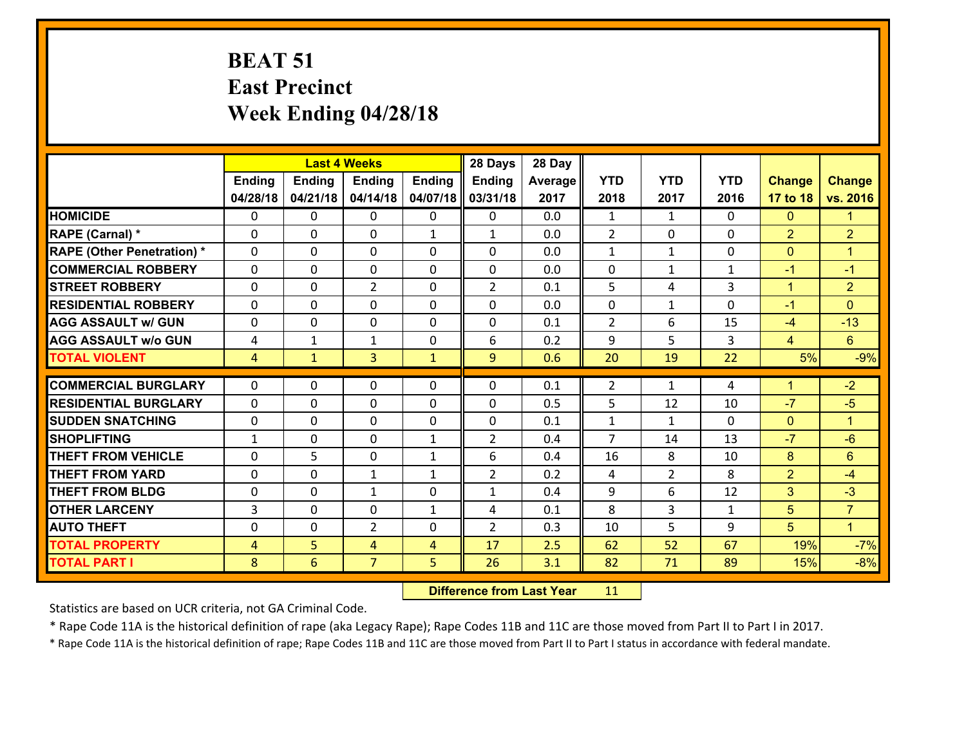# **BEAT 51 East Precinct Week Ending 04/28/18**

|                                               |                   |               | <b>Last 4 Weeks</b>      |                   | 28 Days                    | 28 Day     |                                |                    |              |                      |                      |
|-----------------------------------------------|-------------------|---------------|--------------------------|-------------------|----------------------------|------------|--------------------------------|--------------------|--------------|----------------------|----------------------|
|                                               | <b>Ending</b>     | <b>Ending</b> | <b>Ending</b>            | <b>Ending</b>     | Ending                     | Average    | <b>YTD</b>                     | <b>YTD</b>         | <b>YTD</b>   | <b>Change</b>        | <b>Change</b>        |
|                                               | 04/28/18          | 04/21/18      | 04/14/18                 | 04/07/18          | 03/31/18                   | 2017       | 2018                           | 2017               | 2016         | 17 to 18             | vs. 2016             |
| <b>HOMICIDE</b>                               | $\Omega$          | 0             | $\mathbf{0}$             | 0                 | 0                          | 0.0        | 1                              | $\mathbf{1}$       | $\Omega$     | $\mathbf{0}$         | $\blacktriangleleft$ |
| RAPE (Carnal) *                               | $\Omega$          | 0             | $\mathbf{0}$             | $\mathbf{1}$      | $\mathbf{1}$               | 0.0        | 2                              | $\Omega$           | $\Omega$     | $\overline{2}$       | $\overline{2}$       |
| <b>RAPE (Other Penetration) *</b>             | $\Omega$          | 0             | $\mathbf 0$              | 0                 | 0                          | 0.0        | $\mathbf{1}$                   | $\mathbf{1}$       | 0            | $\mathbf{0}$         | $\overline{1}$       |
| <b>COMMERCIAL ROBBERY</b>                     | 0                 | 0             | 0                        | 0                 | 0                          | 0.0        | 0                              | $\mathbf{1}$       | 1            | $-1$                 | $-1$                 |
| <b>STREET ROBBERY</b>                         | $\Omega$          | 0             | $\overline{2}$           | 0                 | $\overline{2}$             | 0.1        | 5                              | 4                  | 3            | $\mathbf{1}$         | $\overline{2}$       |
| <b>RESIDENTIAL ROBBERY</b>                    | 0                 | 0             | $\mathbf 0$              | 0                 | 0                          | 0.0        | $\mathbf 0$                    | $\mathbf{1}$       | 0            | $-1$                 | $\mathbf{0}$         |
| <b>AGG ASSAULT w/ GUN</b>                     | 0                 | 0             | $\mathbf 0$              | 0                 | 0                          | 0.1        | $\overline{2}$                 | 6                  | 15           | $-4$                 | $-13$                |
| <b>AGG ASSAULT w/o GUN</b>                    | 4                 | 1             | $\mathbf{1}$             | 0                 | 6                          | 0.2        | 9                              | 5                  | 3            | $\overline{4}$       | $6\phantom{a}$       |
| <b>TOTAL VIOLENT</b>                          | $\overline{4}$    | $\mathbf{1}$  | $\overline{3}$           | $\mathbf{1}$      | 9                          | 0.6        | 20                             | 19                 | 22           | 5%                   | $-9%$                |
| <b>COMMERCIAL BURGLARY</b>                    | $\Omega$          | 0             | $\mathbf{0}$             | 0                 | $\Omega$                   | 0.1        | $\overline{2}$                 | $\mathbf{1}$       | 4            | $\blacktriangleleft$ | $-2$                 |
| <b>RESIDENTIAL BURGLARY</b>                   | $\Omega$          | 0             | $\mathbf 0$              | 0                 | $\Omega$                   | 0.5        | 5                              | 12                 | 10           | $-7$                 | $-5$                 |
|                                               |                   |               |                          | $\Omega$          |                            |            |                                |                    | $\Omega$     |                      | $\blacktriangleleft$ |
| <b>SUDDEN SNATCHING</b><br><b>SHOPLIFTING</b> | 0<br>$\mathbf{1}$ | 0<br>0        | $\mathbf{0}$<br>$\Omega$ | $\mathbf{1}$      | $\Omega$<br>$\overline{2}$ | 0.1<br>0.4 | $\mathbf{1}$<br>$\overline{7}$ | $\mathbf{1}$<br>14 | 13           | $\mathbf{0}$<br>$-7$ | $-6$                 |
| <b>THEFT FROM VEHICLE</b>                     | 0                 | 5             | $\mathbf 0$              | $\mathbf{1}$      | 6                          | 0.4        | 16                             | 8                  | 10           | 8                    | 6                    |
| <b>THEFT FROM YARD</b>                        | $\mathbf{0}$      | 0             |                          |                   | $\overline{2}$             | 0.2        |                                | $\overline{2}$     | 8            | $\overline{2}$       | $-4$                 |
| <b>THEFT FROM BLDG</b>                        | 0                 | 0             | 1<br>$\mathbf{1}$        | $\mathbf{1}$<br>0 | $\mathbf{1}$               | 0.4        | 4<br>9                         | 6                  | 12           | 3                    | $-3$                 |
|                                               |                   |               |                          |                   |                            |            |                                |                    |              |                      |                      |
| <b>OTHER LARCENY</b>                          | $\overline{3}$    | 0             | $\mathbf 0$              | $\mathbf{1}$      | 4                          | 0.1        | 8                              | 3                  | $\mathbf{1}$ | 5                    | $\overline{7}$       |
| <b>AUTO THEFT</b>                             | $\mathbf{0}$      | 0             | $\overline{2}$           | 0                 | $\overline{2}$             | 0.3        | 10                             | 5                  | 9            | 5                    | $\mathbf{1}$         |
| <b>TOTAL PROPERTY</b>                         | $\overline{4}$    | 5             | 4                        | $\overline{4}$    | 17                         | 2.5        | 62                             | 52                 | 67           | 19%                  | $-7%$                |
| <b>TOTAL PART I</b>                           | 8                 | 6             | $\overline{7}$           | 5                 | 26                         | 3.1        | 82                             | 71                 | 89           | 15%                  | $-8%$                |

 **Difference from Last Year**r 11

Statistics are based on UCR criteria, not GA Criminal Code.

\* Rape Code 11A is the historical definition of rape (aka Legacy Rape); Rape Codes 11B and 11C are those moved from Part II to Part I in 2017.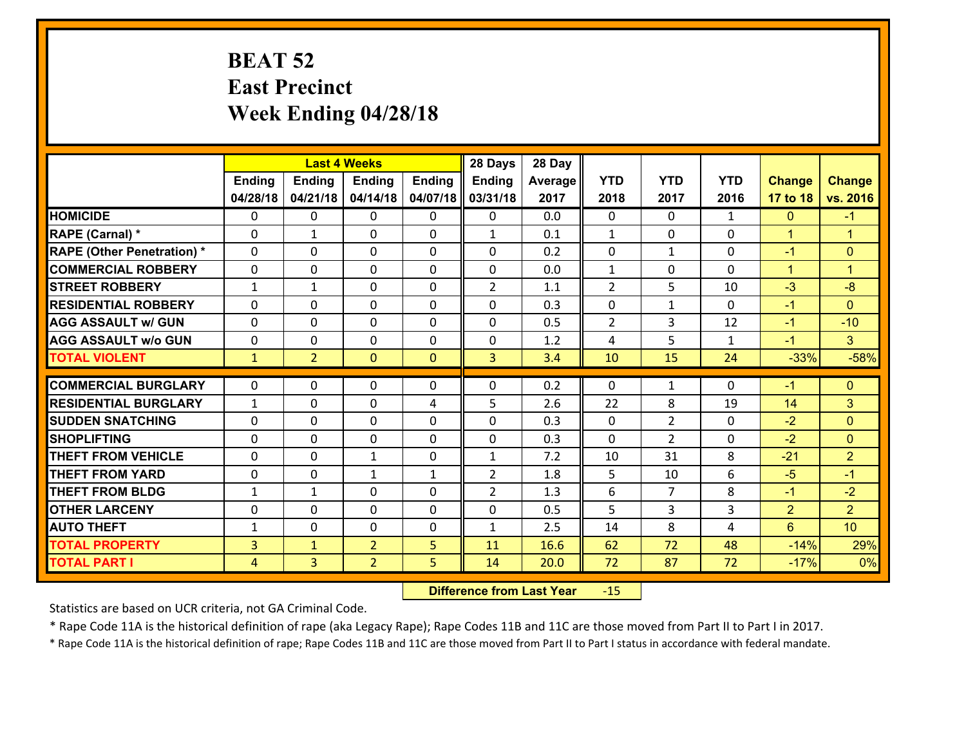# **BEAT 52 East Precinct Week Ending 04/28/18**

|                                   | <b>Last 4 Weeks</b> |                |                |               | 28 Days        | 28 Day  |                |                |              |                |                      |
|-----------------------------------|---------------------|----------------|----------------|---------------|----------------|---------|----------------|----------------|--------------|----------------|----------------------|
|                                   | <b>Ending</b>       | <b>Ending</b>  | <b>Ending</b>  | <b>Ending</b> | Ending         | Average | <b>YTD</b>     | <b>YTD</b>     | <b>YTD</b>   | <b>Change</b>  | <b>Change</b>        |
|                                   | 04/28/18            | 04/21/18       | 04/14/18       | 04/07/18      | 03/31/18       | 2017    | 2018           | 2017           | 2016         | 17 to 18       | vs. 2016             |
| <b>HOMICIDE</b>                   | $\Omega$            | 0              | $\mathbf{0}$   | $\Omega$      | $\mathbf{0}$   | 0.0     | $\Omega$       | $\Omega$       | $\mathbf{1}$ | $\Omega$       | $-1$                 |
| RAPE (Carnal) *                   | $\Omega$            | 1              | $\mathbf{0}$   | $\Omega$      | $\mathbf{1}$   | 0.1     | $\mathbf{1}$   | $\mathbf{0}$   | $\Omega$     | $\mathbf{1}$   | $\overline{1}$       |
| <b>RAPE (Other Penetration) *</b> | $\Omega$            | 0              | $\mathbf 0$    | 0             | 0              | 0.2     | 0              | $\mathbf{1}$   | $\Omega$     | $-1$           | $\mathbf{0}$         |
| <b>COMMERCIAL ROBBERY</b>         | 0                   | 0              | $\mathbf 0$    | 0             | 0              | 0.0     | $\mathbf{1}$   | $\mathbf 0$    | $\Omega$     | $\mathbf{1}$   | $\blacktriangleleft$ |
| <b>STREET ROBBERY</b>             | $\mathbf{1}$        | 1              | $\mathbf 0$    | 0             | $\overline{2}$ | 1.1     | $\overline{2}$ | 5              | 10           | $-3$           | $-8$                 |
| <b>RESIDENTIAL ROBBERY</b>        | 0                   | 0              | $\mathbf 0$    | 0             | 0              | 0.3     | $\mathbf 0$    | $\mathbf{1}$   | 0            | $-1$           | $\overline{0}$       |
| <b>AGG ASSAULT w/ GUN</b>         | 0                   | 0              | $\mathbf 0$    | 0             | 0              | 0.5     | $\overline{2}$ | 3              | 12           | $-1$           | $-10$                |
| <b>AGG ASSAULT w/o GUN</b>        | 0                   | 0              | 0              | 0             | 0              | 1.2     | 4              | 5              | 1            | $-1$           | 3 <sup>1</sup>       |
| <b>TOTAL VIOLENT</b>              | $\mathbf{1}$        | $\overline{2}$ | $\overline{0}$ | $\mathbf{0}$  | $\overline{3}$ | 3.4     | 10             | 15             | 24           | $-33%$         | $-58%$               |
|                                   |                     |                |                |               |                |         |                |                |              |                |                      |
| <b>COMMERCIAL BURGLARY</b>        | $\Omega$            | 0              | $\mathbf{0}$   | 0             | 0              | 0.2     | 0              | $\mathbf{1}$   | $\Omega$     | $-1$           | $\mathbf{0}$         |
| <b>RESIDENTIAL BURGLARY</b>       | $\mathbf{1}$        | 0              | $\mathbf 0$    | 4             | 5              | 2.6     | 22             | 8              | 19           | 14             | 3                    |
| <b>SUDDEN SNATCHING</b>           | $\Omega$            | 0              | $\mathbf 0$    | 0             | 0              | 0.3     | $\mathbf 0$    | $\overline{2}$ | 0            | $-2$           | $\mathbf{0}$         |
| <b>SHOPLIFTING</b>                | 0                   | 0              | $\mathbf 0$    | 0             | 0              | 0.3     | 0              | $\overline{2}$ | 0            | $-2$           | $\mathbf{0}$         |
| <b>THEFT FROM VEHICLE</b>         | 0                   | 0              | 1              | 0             | $\mathbf{1}$   | 7.2     | 10             | 31             | 8            | $-21$          | 2 <sup>1</sup>       |
| <b>THEFT FROM YARD</b>            | $\mathbf 0$         | 0              | 1              | $\mathbf{1}$  | $\overline{2}$ | 1.8     | 5              | 10             | 6            | $-5$           | $-1$                 |
| <b>THEFT FROM BLDG</b>            | $\mathbf{1}$        | 1              | $\mathbf 0$    | $\Omega$      | $\overline{2}$ | 1.3     | 6              | $\overline{7}$ | 8            | $-1$           | $-2$                 |
| <b>OTHER LARCENY</b>              | $\mathbf 0$         | 0              | $\mathbf 0$    | $\Omega$      | 0              | 0.5     | 5              | $\overline{3}$ | 3            | $\overline{2}$ | 2 <sup>1</sup>       |
| <b>AUTO THEFT</b>                 | $\mathbf{1}$        | 0              | $\mathbf 0$    | 0             | $\mathbf{1}$   | 2.5     | 14             | 8              | 4            | $6^{\circ}$    | 10 <sup>1</sup>      |
| <b>TOTAL PROPERTY</b>             | $\overline{3}$      | $\mathbf{1}$   | $\overline{2}$ | 5             | 11             | 16.6    | 62             | 72             | 48           | $-14%$         | 29%                  |
| <b>TOTAL PART I</b>               | $\overline{4}$      | $\overline{3}$ | $\overline{2}$ | 5             | 14             | 20.0    | 72             | 87             | 72           | $-17%$         | 0%                   |

 **Difference from Last Year**r -15

Statistics are based on UCR criteria, not GA Criminal Code.

\* Rape Code 11A is the historical definition of rape (aka Legacy Rape); Rape Codes 11B and 11C are those moved from Part II to Part I in 2017.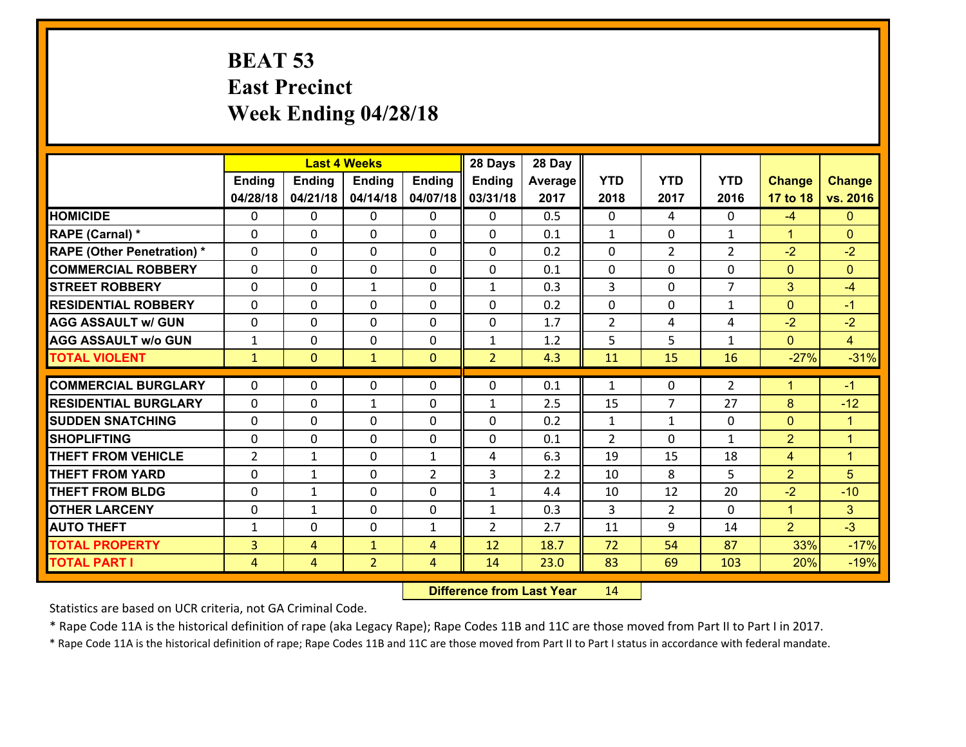# **BEAT 53 East Precinct Week Ending 04/28/18**

|                                               |                          | <b>Last 4 Weeks</b>          |                          |                | 28 Days        | 28 Day         |                                |                          |                   |                                |                      |
|-----------------------------------------------|--------------------------|------------------------------|--------------------------|----------------|----------------|----------------|--------------------------------|--------------------------|-------------------|--------------------------------|----------------------|
|                                               | Ending                   | <b>Ending</b>                | <b>Ending</b>            | Ending         | <b>Ending</b>  | <b>Average</b> | <b>YTD</b>                     | <b>YTD</b>               | <b>YTD</b>        | <b>Change</b>                  | <b>Change</b>        |
|                                               | 04/28/18                 | 04/21/18                     | 04/14/18                 | 04/07/18       | 03/31/18       | 2017           | 2018                           | 2017                     | 2016              | 17 to 18                       | vs. 2016             |
| <b>HOMICIDE</b>                               | $\Omega$                 | 0                            | $\mathbf{0}$             | $\Omega$       | 0              | 0.5            | $\Omega$                       | 4                        | 0                 | $-4$                           | $\Omega$             |
| RAPE (Carnal) *                               | $\Omega$                 | 0                            | $\Omega$                 | $\Omega$       | $\Omega$       | 0.1            | $\mathbf{1}$                   | 0                        | $\mathbf{1}$      | $\mathbf{1}$                   | $\Omega$             |
| <b>RAPE (Other Penetration) *</b>             | $\Omega$                 | 0                            | 0                        | 0              | 0              | 0.2            | $\mathbf 0$                    | $\overline{2}$           | $\overline{2}$    | $-2$                           | $-2$                 |
| <b>COMMERCIAL ROBBERY</b>                     | 0                        | 0                            | 0                        | 0              | 0              | 0.1            | $\mathbf{0}$                   | 0                        | 0                 | $\mathbf{0}$                   | $\mathbf{0}$         |
| <b>STREET ROBBERY</b>                         | $\Omega$                 | 0                            | $\mathbf{1}$             | 0              | $\mathbf{1}$   | 0.3            | $\overline{3}$                 | $\Omega$                 | $\overline{7}$    | 3                              | $-4$                 |
| <b>RESIDENTIAL ROBBERY</b>                    | 0                        | 0                            | 0                        | 0              | 0              | 0.2            | 0                              | 0                        | $\mathbf{1}$      | $\mathbf{0}$                   | $-1$                 |
| <b>AGG ASSAULT w/ GUN</b>                     | 0                        | 0                            | $\mathbf 0$              | 0              | 0              | 1.7            | $\overline{2}$                 | 4                        | 4                 | $-2$                           | $-2$                 |
| <b>AGG ASSAULT W/o GUN</b>                    | $\mathbf{1}$             | 0                            | 0                        | 0              | 1              | 1.2            | 5                              | 5                        | $\mathbf{1}$      | $\overline{0}$                 | $\overline{4}$       |
| <b>TOTAL VIOLENT</b>                          | $\mathbf{1}$             | $\mathbf{0}$                 | $\mathbf{1}$             | $\mathbf{0}$   | $\overline{2}$ | 4.3            | 11                             | 15                       | 16                | $-27%$                         | $-31%$               |
| <b>COMMERCIAL BURGLARY</b>                    | $\Omega$                 | 0                            | 0                        | $\mathbf{0}$   | 0              | 0.1            | $\mathbf{1}$                   | $\Omega$                 | 2                 | $\blacktriangleleft$           | $-1$                 |
| <b>RESIDENTIAL BURGLARY</b>                   | $\Omega$                 | 0                            | $\mathbf{1}$             | 0              |                | 2.5            | 15                             | $\overline{7}$           | 27                | 8                              | $-12$                |
|                                               |                          | 0                            |                          | $\Omega$       | $\mathbf{1}$   |                |                                |                          |                   |                                | $\blacktriangleleft$ |
| <b>SUDDEN SNATCHING</b><br><b>SHOPLIFTING</b> | $\mathbf{0}$<br>$\Omega$ | $\Omega$                     | $\mathbf{0}$<br>$\Omega$ | $\Omega$       | 0<br>$\Omega$  | 0.2<br>0.1     | $\mathbf{1}$<br>$\overline{2}$ | $\mathbf{1}$<br>$\Omega$ | 0<br>$\mathbf{1}$ | $\mathbf{0}$<br>$\overline{2}$ | $\blacktriangleleft$ |
| <b>THEFT FROM VEHICLE</b>                     | $\overline{2}$           | $\mathbf{1}$                 | $\mathbf{0}$             | $\mathbf{1}$   | 4              | 6.3            | 19                             | 15                       | 18                | $\overline{4}$                 | $\blacktriangleleft$ |
| <b>THEFT FROM YARD</b>                        | 0                        |                              |                          | $\overline{2}$ | 3              | 2.2            |                                | 8                        | 5                 | $\overline{2}$                 | 5                    |
| <b>THEFT FROM BLDG</b>                        | 0                        | $\mathbf{1}$<br>$\mathbf{1}$ | 0<br>$\mathbf{0}$        | 0              | $\mathbf{1}$   | 4.4            | 10<br>10                       | 12                       | 20                | $-2$                           | $-10$                |
|                                               |                          |                              |                          |                |                |                |                                |                          |                   |                                |                      |
| <b>OTHER LARCENY</b>                          | 0                        | $\mathbf{1}$                 | 0                        | 0              | $\mathbf{1}$   | 0.3            | 3                              | $\overline{2}$           | 0                 | $\mathbf{1}$                   | 3 <sup>1</sup>       |
| <b>AUTO THEFT</b>                             | $\mathbf{1}$             | 0                            | 0                        | $\mathbf{1}$   | $\overline{2}$ | 2.7            | 11                             | 9                        | 14                | $\overline{2}$                 | $-3$                 |
| <b>TOTAL PROPERTY</b>                         | $\overline{3}$           | 4                            | $\mathbf{1}$             | $\overline{4}$ | 12             | 18.7           | 72                             | 54                       | 87                | 33%                            | $-17%$               |
| <b>TOTAL PART I</b>                           | $\overline{4}$           | 4                            | $\overline{2}$           | $\overline{4}$ | 14             | 23.0           | 83                             | 69                       | 103               | 20%                            | $-19%$               |

 **Difference from Last Year**r 14

Statistics are based on UCR criteria, not GA Criminal Code.

\* Rape Code 11A is the historical definition of rape (aka Legacy Rape); Rape Codes 11B and 11C are those moved from Part II to Part I in 2017.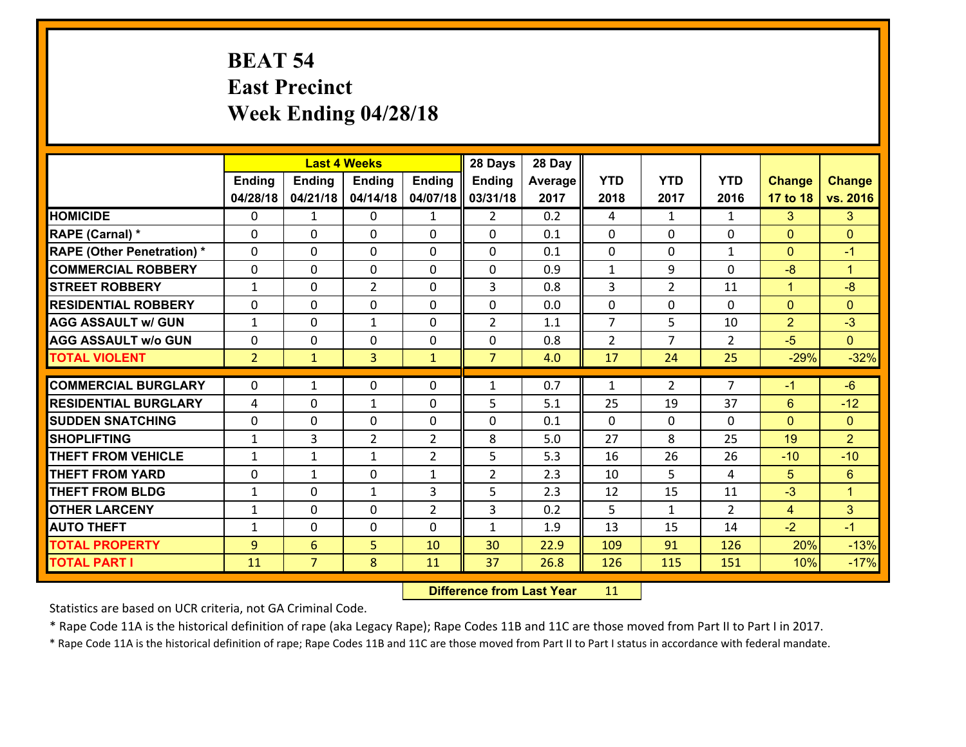# **BEAT 54 East Precinct Week Ending 04/28/18**

|                                   |                | <b>Last 4 Weeks</b> |                |                | 28 Days        | 28 Day  |                |                |                |                |                      |
|-----------------------------------|----------------|---------------------|----------------|----------------|----------------|---------|----------------|----------------|----------------|----------------|----------------------|
|                                   | Ending         | <b>Ending</b>       | <b>Ending</b>  | Ending         | <b>Ending</b>  | Average | <b>YTD</b>     | <b>YTD</b>     | <b>YTD</b>     | <b>Change</b>  | <b>Change</b>        |
|                                   | 04/28/18       | 04/21/18            | 04/14/18       | 04/07/18       | 03/31/18       | 2017    | 2018           | 2017           | 2016           | 17 to 18       | vs. 2016             |
| <b>HOMICIDE</b>                   | $\mathbf{0}$   | $\mathbf{1}$        | 0              | $\mathbf{1}$   | $\overline{2}$ | 0.2     | 4              | $\mathbf{1}$   | $\mathbf{1}$   | 3              | 3                    |
| RAPE (Carnal) *                   | $\Omega$       | 0                   | 0              | $\mathbf{0}$   | $\Omega$       | 0.1     | $\mathbf{0}$   | 0              | 0              | $\mathbf{0}$   | $\mathbf{0}$         |
| <b>RAPE (Other Penetration) *</b> | $\Omega$       | 0                   | $\Omega$       | $\Omega$       | $\Omega$       | 0.1     | $\Omega$       | $\Omega$       | $\mathbf{1}$   | $\Omega$       | $-1$                 |
| <b>COMMERCIAL ROBBERY</b>         | $\Omega$       | $\Omega$            | $\mathbf{0}$   | 0              | $\Omega$       | 0.9     | $\mathbf{1}$   | 9              | $\Omega$       | $-8$           | $\blacktriangleleft$ |
| <b>STREET ROBBERY</b>             | $\mathbf{1}$   | 0                   | $\overline{2}$ | 0              | 3              | 0.8     | 3              | $\overline{2}$ | 11             | $\mathbf{1}$   | $-8$                 |
| <b>RESIDENTIAL ROBBERY</b>        | $\Omega$       | 0                   | 0              | 0              | 0              | 0.0     | $\mathbf 0$    | $\Omega$       | $\mathbf{0}$   | $\mathbf{0}$   | $\Omega$             |
| <b>AGG ASSAULT w/ GUN</b>         | $\mathbf{1}$   | 0                   | $\mathbf{1}$   | 0              | $\overline{2}$ | 1.1     | $\overline{7}$ | 5              | 10             | $\overline{2}$ | $-3$                 |
| <b>AGG ASSAULT W/o GUN</b>        | 0              | 0                   | 0              | 0              | 0              | 0.8     | $\overline{2}$ | $\overline{7}$ | $\overline{2}$ | $-5$           | $\overline{0}$       |
| <b>TOTAL VIOLENT</b>              | 2 <sup>1</sup> | $\mathbf{1}$        | 3              | $\mathbf{1}$   | $\overline{7}$ | 4.0     | 17             | 24             | 25             | $-29%$         | $-32%$               |
| <b>COMMERCIAL BURGLARY</b>        | $\Omega$       | $\mathbf{1}$        | 0              | $\mathbf{0}$   |                | 0.7     | 1              | $\overline{2}$ | $\overline{7}$ | $-1$           | $-6$                 |
|                                   |                |                     |                |                | $\mathbf{1}$   |         |                |                |                |                |                      |
| <b>RESIDENTIAL BURGLARY</b>       | 4              | 0                   | $\mathbf{1}$   | $\Omega$       | 5              | 5.1     | 25             | 19             | 37             | 6              | $-12$                |
| <b>SUDDEN SNATCHING</b>           | $\Omega$       | 0                   | $\mathbf{0}$   | $\Omega$       | $\Omega$       | 0.1     | $\Omega$       | $\Omega$       | $\Omega$       | $\Omega$       | $\Omega$             |
| <b>SHOPLIFTING</b>                | $\mathbf{1}$   | 3                   | $\overline{2}$ | 2              | 8              | 5.0     | 27             | 8              | 25             | 19             | $\overline{2}$       |
| <b>THEFT FROM VEHICLE</b>         | 1              | $\mathbf{1}$        | $\mathbf{1}$   | $\overline{2}$ | 5              | 5.3     | 16             | 26             | 26             | $-10$          | $-10$                |
| <b>THEFT FROM YARD</b>            | 0              | $\mathbf{1}$        | 0              | $\mathbf{1}$   | $\overline{2}$ | 2.3     | 10             | 5              | 4              | 5 <sup>5</sup> | $6^{\circ}$          |
| <b>THEFT FROM BLDG</b>            | $\mathbf{1}$   | 0                   | $\mathbf{1}$   | 3              | 5              | 2.3     | 12             | 15             | 11             | $-3$           | $\mathbf{1}$         |
| <b>OTHER LARCENY</b>              | $\mathbf{1}$   | 0                   | 0              | $\overline{2}$ | 3              | 0.2     | 5              | $\mathbf{1}$   | $\overline{2}$ | $\overline{4}$ | 3 <sup>1</sup>       |
| <b>AUTO THEFT</b>                 | $\mathbf{1}$   | 0                   | 0              | $\Omega$       | 1              | 1.9     | 13             | 15             | 14             | $-2$           | $-1$                 |
| <b>TOTAL PROPERTY</b>             | 9              | 6                   | 5              | 10             | 30             | 22.9    | 109            | 91             | 126            | 20%            | $-13%$               |
| <b>TOTAL PART I</b>               | 11             | $\overline{7}$      | 8              | 11             | 37             | 26.8    | 126            | 115            | 151            | 10%            | $-17%$               |

 **Difference from Last Year**r 11

Statistics are based on UCR criteria, not GA Criminal Code.

\* Rape Code 11A is the historical definition of rape (aka Legacy Rape); Rape Codes 11B and 11C are those moved from Part II to Part I in 2017.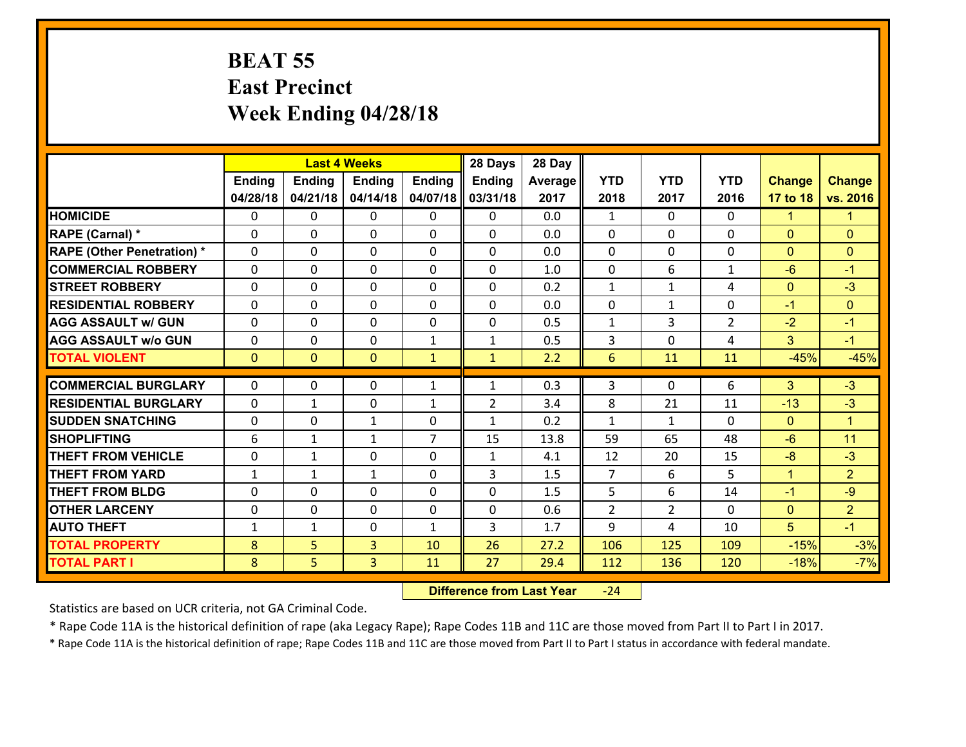### **BEAT 55 East Precinct Week Ending 04/28/18**

|                                   |               |                | <b>Last 4 Weeks</b> |                | 28 Days        | 28 Day  |                |                |                |               |                      |
|-----------------------------------|---------------|----------------|---------------------|----------------|----------------|---------|----------------|----------------|----------------|---------------|----------------------|
|                                   | <b>Ending</b> | <b>Ending</b>  | <b>Ending</b>       | <b>Ending</b>  | Ending         | Average | <b>YTD</b>     | <b>YTD</b>     | <b>YTD</b>     | <b>Change</b> | <b>Change</b>        |
|                                   | 04/28/18      | 04/21/18       | 04/14/18            | 04/07/18       | 03/31/18       | 2017    | 2018           | 2017           | 2016           | 17 to 18      | vs. 2016             |
| <b>HOMICIDE</b>                   | $\Omega$      | 0              | $\mathbf{0}$        | $\Omega$       | 0              | 0.0     | $\mathbf{1}$   | $\Omega$       | $\Omega$       | 1             | 1.                   |
| RAPE (Carnal) *                   | $\Omega$      | 0              | $\mathbf{0}$        | $\Omega$       | 0              | 0.0     | 0              | 0              | $\Omega$       | $\mathbf{0}$  | $\mathbf{0}$         |
| <b>RAPE (Other Penetration) *</b> | $\Omega$      | 0              | $\mathbf 0$         | 0              | 0              | 0.0     | $\mathbf{0}$   | 0              | 0              | $\mathbf{0}$  | $\mathbf{0}$         |
| <b>COMMERCIAL ROBBERY</b>         | 0             | 0              | $\mathbf 0$         | 0              | 0              | 1.0     | $\mathbf 0$    | 6              | $\mathbf{1}$   | $-6$          | $-1$                 |
| <b>STREET ROBBERY</b>             | $\Omega$      | 0              | $\mathbf 0$         | 0              | 0              | 0.2     | $\mathbf{1}$   | $\mathbf{1}$   | 4              | $\mathbf{0}$  | $-3$                 |
| <b>RESIDENTIAL ROBBERY</b>        | 0             | 0              | $\mathbf 0$         | 0              | 0              | 0.0     | $\mathbf 0$    | $\mathbf{1}$   | 0              | $-1$          | $\mathbf{0}$         |
| <b>AGG ASSAULT w/ GUN</b>         | 0             | 0              | $\mathbf 0$         | 0              | 0              | 0.5     | $\mathbf{1}$   | 3              | $\overline{2}$ | $-2$          | $-1$                 |
| <b>AGG ASSAULT w/o GUN</b>        | 0             | 0              | 0                   | $\mathbf{1}$   | $\mathbf{1}$   | 0.5     | 3              | $\Omega$       | 4              | 3             | $-1$                 |
| <b>TOTAL VIOLENT</b>              | $\mathbf{0}$  | $\overline{0}$ | $\mathbf{O}$        | $\mathbf{1}$   | $\mathbf{1}$   | 2.2     | 6              | 11             | 11             | $-45%$        | $-45%$               |
| <b>COMMERCIAL BURGLARY</b>        | $\Omega$      | 0              |                     |                |                | 0.3     | 3              | $\Omega$       | 6              | 3             | $-3$                 |
|                                   |               |                | 0                   | $\mathbf{1}$   | $\mathbf{1}$   |         |                |                |                |               |                      |
| <b>RESIDENTIAL BURGLARY</b>       | $\Omega$      | 1              | $\mathbf 0$         | $\mathbf{1}$   | $\overline{2}$ | 3.4     | 8              | 21             | 11             | $-13$         | $-3$                 |
| <b>SUDDEN SNATCHING</b>           | $\Omega$      | 0              | $\mathbf{1}$        | 0              | $\mathbf{1}$   | 0.2     | $\mathbf{1}$   | $\mathbf{1}$   | $\Omega$       | $\mathbf{0}$  | $\blacktriangleleft$ |
| <b>SHOPLIFTING</b>                | 6             | $\mathbf{1}$   | $\mathbf{1}$        | $\overline{7}$ | 15             | 13.8    | 59             | 65             | 48             | $-6$          | 11                   |
| <b>THEFT FROM VEHICLE</b>         | 0             | 1              | $\mathbf 0$         | 0              | $\mathbf{1}$   | 4.1     | 12             | 20             | 15             | $-8$          | $-3$                 |
| <b>THEFT FROM YARD</b>            | $\mathbf{1}$  | $\mathbf{1}$   | 1                   | 0              | 3              | 1.5     | $\overline{7}$ | 6              | 5              | $\mathbf{1}$  | $\overline{2}$       |
| <b>THEFT FROM BLDG</b>            | $\Omega$      | $\Omega$       | $\mathbf 0$         | $\Omega$       | 0              | 1.5     | 5              | 6              | 14             | $-1$          | $-9$                 |
| <b>OTHER LARCENY</b>              | $\mathbf 0$   | 0              | $\mathbf 0$         | $\Omega$       | 0              | 0.6     | $\overline{2}$ | $\overline{2}$ | $\Omega$       | $\mathbf{0}$  | $\overline{2}$       |
| <b>AUTO THEFT</b>                 | $\mathbf{1}$  | 1              | $\mathbf 0$         | $\mathbf{1}$   | 3              | 1.7     | 9              | 4              | 10             | 5             | $-1$                 |
| <b>TOTAL PROPERTY</b>             | 8             | 5              | $\overline{3}$      | 10             | 26             | 27.2    | 106            | 125            | 109            | $-15%$        | $-3%$                |
| <b>TOTAL PART I</b>               | 8             | 5              | 3                   | 11             | 27             | 29.4    | 112            | 136            | 120            | $-18%$        | $-7%$                |

 **Difference from Last Year**‐24

Statistics are based on UCR criteria, not GA Criminal Code.

\* Rape Code 11A is the historical definition of rape (aka Legacy Rape); Rape Codes 11B and 11C are those moved from Part II to Part I in 2017.